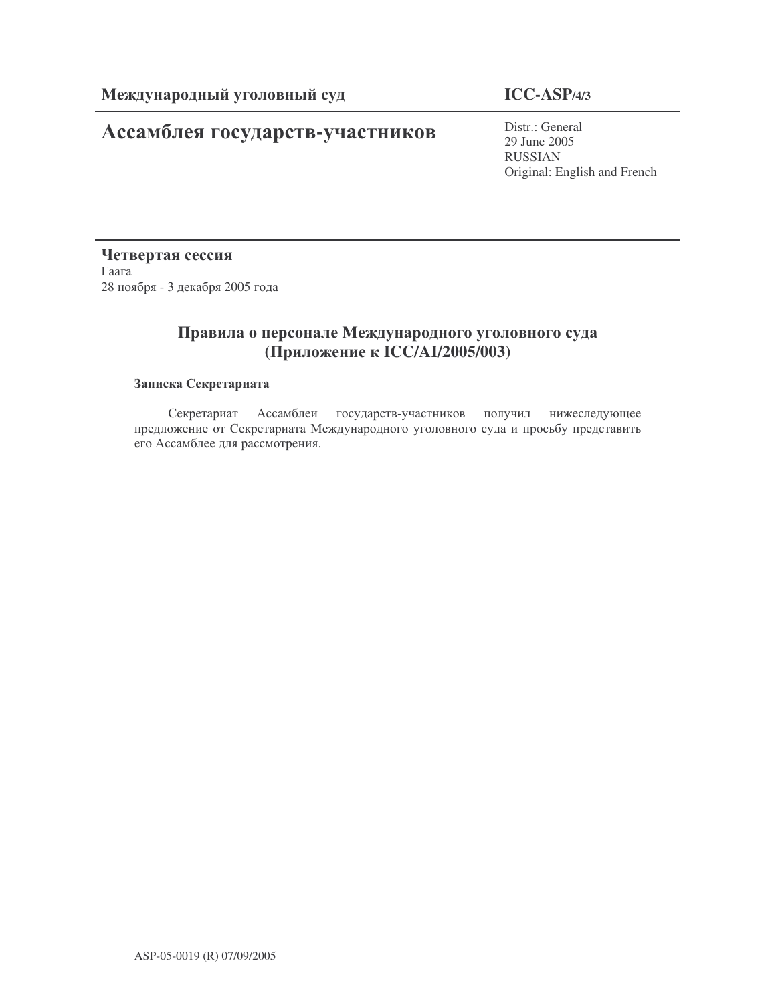# Ассамблея государств-участников

# **ICC-ASP/4/3**

Distr.: General 29 June 2005 RUSSIAN Original: English and French

Четвертая сессия  $\Gamma$ aara 28 ноября - 3 декабря 2005 года

# Правила о персонале Международного уголовного суда (Приложение к ICC/AI/2005/003)

### Записка Секретариата

Секретариат Ассамблеи государств-участников получил нижеследующее предложение от Секретариата Международного уголовного суда и просьбу представить его Ассамблее для рассмотрения.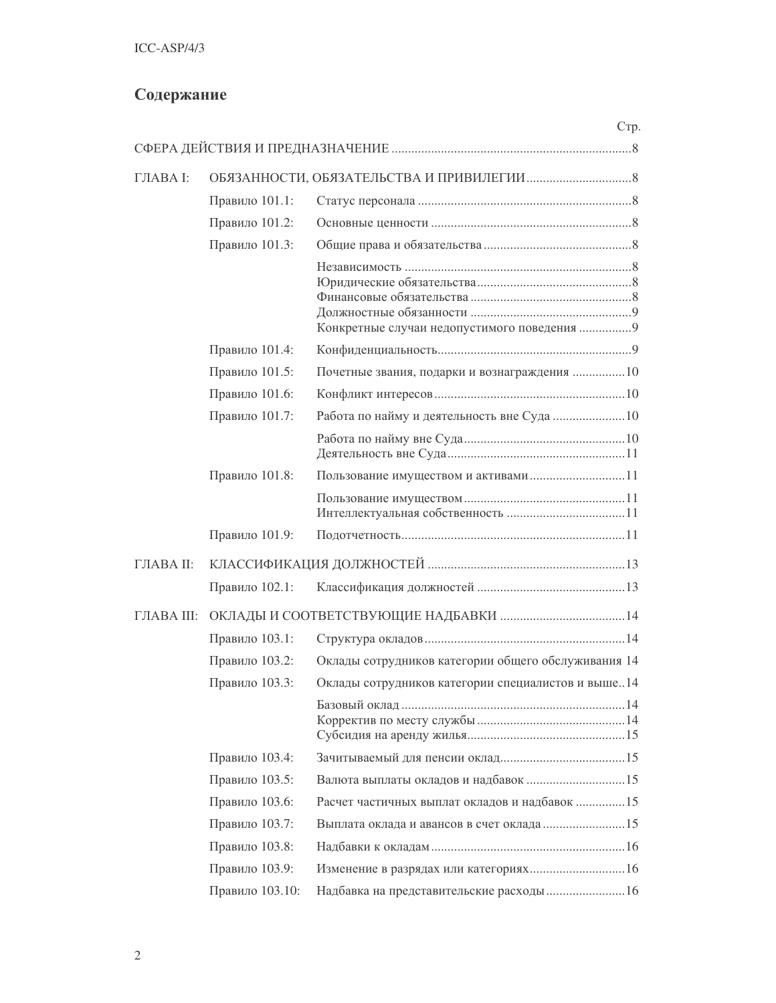# Содержание

|            |                 | Стр.                                                |  |  |  |  |
|------------|-----------------|-----------------------------------------------------|--|--|--|--|
|            |                 |                                                     |  |  |  |  |
| ГЛАВА І:   |                 |                                                     |  |  |  |  |
|            | Правило 101.1:  |                                                     |  |  |  |  |
|            | Правило 101.2:  |                                                     |  |  |  |  |
|            | Правило 101.3:  |                                                     |  |  |  |  |
|            |                 | Конкретные случаи недопустимого поведения 9         |  |  |  |  |
|            | Правило 101.4:  |                                                     |  |  |  |  |
|            | Правило 101.5:  | Почетные звания, подарки и вознаграждения 10        |  |  |  |  |
|            | Правило 101.6:  |                                                     |  |  |  |  |
|            | Правило 101.7:  |                                                     |  |  |  |  |
|            |                 |                                                     |  |  |  |  |
|            | Правило 101.8:  |                                                     |  |  |  |  |
|            |                 |                                                     |  |  |  |  |
|            | Правило 101.9:  |                                                     |  |  |  |  |
| ГЛАВА II:  |                 |                                                     |  |  |  |  |
|            | Правило 102.1:  |                                                     |  |  |  |  |
| ГЛАВА III: |                 |                                                     |  |  |  |  |
|            | Правило 103.1:  |                                                     |  |  |  |  |
|            | Правило 103.2:  | Оклады сотрудников категории общего обслуживания 14 |  |  |  |  |
|            | Правило 103.3:  | Оклады сотрудников категории специалистов и выше14  |  |  |  |  |
|            |                 |                                                     |  |  |  |  |
|            | Правило 103.4:  |                                                     |  |  |  |  |
|            | Правило 103.5:  |                                                     |  |  |  |  |
|            | Правило 103.6:  | Расчет частичных выплат окладов и надбавок 15       |  |  |  |  |
|            | Правило 103.7:  |                                                     |  |  |  |  |
|            | Правило 103.8:  |                                                     |  |  |  |  |
|            | Правило 103.9:  |                                                     |  |  |  |  |
|            | Правило 103.10: | Надбавка на представительские расходы  16           |  |  |  |  |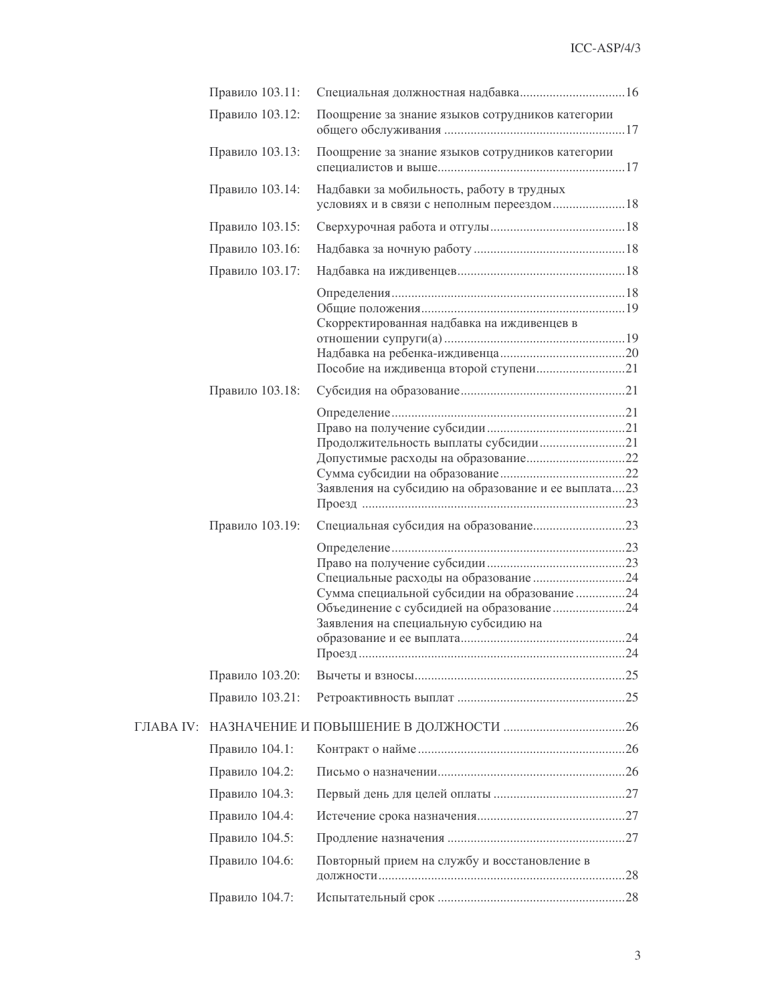|           | Правило 103.11: |                                                                                      |     |
|-----------|-----------------|--------------------------------------------------------------------------------------|-----|
|           | Правило 103.12: | Поощрение за знание языков сотрудников категории                                     |     |
|           | Правило 103.13: | Поощрение за знание языков сотрудников категории                                     |     |
|           | Правило 103.14: | Надбавки за мобильность, работу в трудных                                            |     |
|           | Правило 103.15: |                                                                                      |     |
|           | Правило 103.16: |                                                                                      |     |
|           | Правило 103.17: |                                                                                      |     |
|           |                 | Скорректированная надбавка на иждивенцев в                                           |     |
|           | Правило 103.18: |                                                                                      |     |
|           |                 | Заявления на субсидию на образование и ее выплата 23                                 |     |
|           | Правило 103.19: |                                                                                      |     |
|           |                 | Сумма специальной субсидии на образование 24<br>Заявления на специальную субсидию на | .24 |
|           | Правило 103.20: |                                                                                      |     |
|           | Правило 103.21: |                                                                                      |     |
| ГЛАВА IV: |                 |                                                                                      |     |
|           | Правило 104.1:  |                                                                                      |     |
|           | Правило 104.2:  |                                                                                      |     |
|           | Правило 104.3:  |                                                                                      |     |
|           | Правило 104.4:  |                                                                                      |     |
|           | Правило 104.5:  |                                                                                      |     |
|           | Правило 104.6:  | Повторный прием на службу и восстановление в                                         |     |
|           | Правило 104.7:  |                                                                                      |     |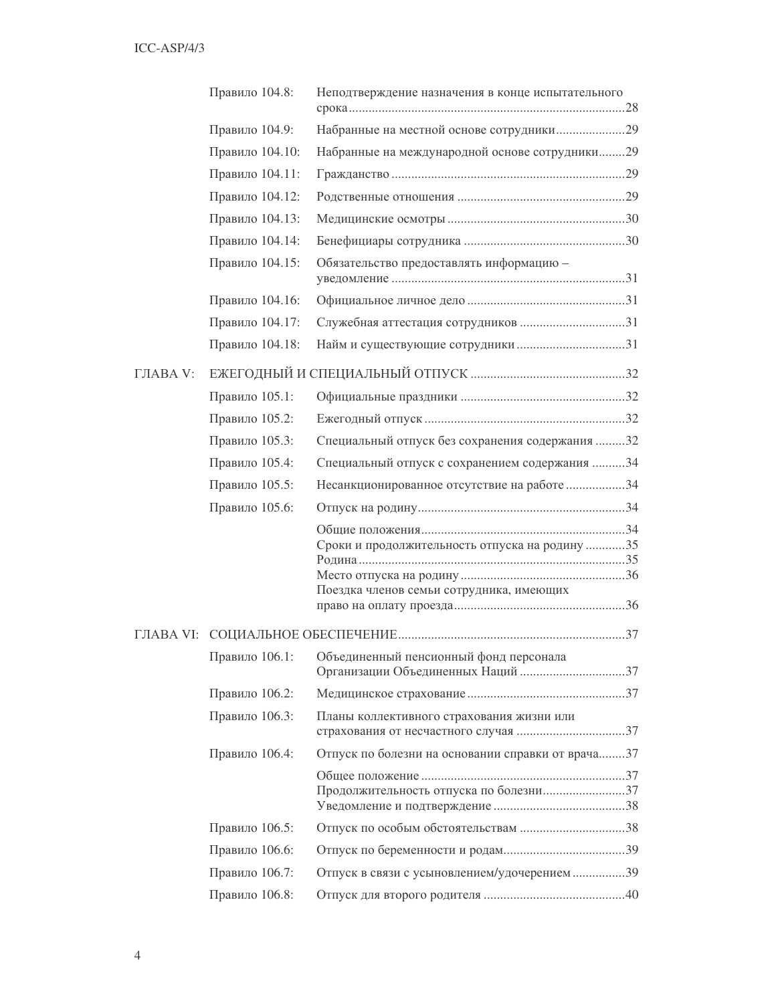|                 | Правило 104.8:  | Неподтверждение назначения в конце испытательного                                          |
|-----------------|-----------------|--------------------------------------------------------------------------------------------|
|                 | Правило 104.9:  | Набранные на местной основе сотрудники29                                                   |
|                 | Правило 104.10: | Набранные на международной основе сотрудники29                                             |
|                 | Правило 104.11: |                                                                                            |
|                 | Правило 104.12: |                                                                                            |
|                 | Правило 104.13: |                                                                                            |
|                 | Правило 104.14: |                                                                                            |
|                 | Правило 104.15: | Обязательство предоставлять информацию -                                                   |
|                 | Правило 104.16: |                                                                                            |
|                 | Правило 104.17: |                                                                                            |
|                 | Правило 104.18: |                                                                                            |
| <b>ГЛАВА V:</b> |                 |                                                                                            |
|                 | Правило 105.1:  |                                                                                            |
|                 | Правило 105.2:  |                                                                                            |
|                 | Правило 105.3:  | Специальный отпуск без сохранения содержания 32                                            |
|                 | Правило 105.4:  | Специальный отпуск с сохранением содержания 34                                             |
|                 | Правило 105.5:  | Несанкционированное отсутствие на работе 34                                                |
|                 | Правило 105.6:  |                                                                                            |
|                 |                 | Сроки и продолжительность отпуска на родину 35<br>Поездка членов семьи сотрудника, имеющих |
|                 |                 |                                                                                            |
|                 | Правило 106.1:  | Объединенный пенсионный фонд персонала                                                     |
|                 | Правило 106.2:  |                                                                                            |
|                 | Правило 106.3:  | Планы коллективного страхования жизни или                                                  |
|                 | Правило 106.4:  | Отпуск по болезни на основании справки от врача37                                          |
|                 |                 | Продолжительность отпуска по болезни37                                                     |
|                 | Правило 106.5:  |                                                                                            |
|                 | Правило 106.6:  |                                                                                            |
|                 | Правило 106.7:  | Отпуск в связи с усыновлением/удочерением39                                                |
|                 | Правило 106.8:  |                                                                                            |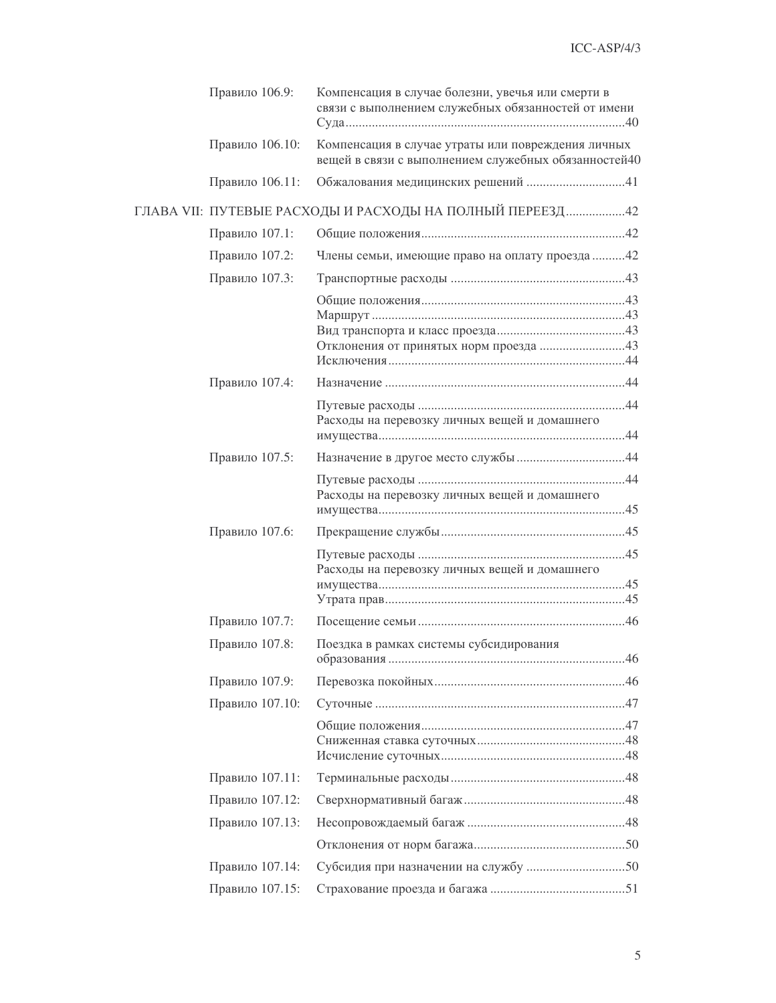| Правило 106.9:  | Компенсация в случае болезни, увечья или смерти в<br>связи с выполнением служебных обязанностей от имени   |
|-----------------|------------------------------------------------------------------------------------------------------------|
| Правило 106.10: | Компенсация в случае утраты или повреждения личных<br>вещей в связи с выполнением служебных обязанностей40 |
| Правило 106.11: |                                                                                                            |
|                 | ГЛАВА VII: ПУТЕВЫЕ РАСХОДЫ И РАСХОДЫ НА ПОЛНЫЙ ПЕРЕЕЗД42                                                   |
| Правило 107.1:  |                                                                                                            |
| Правило 107.2:  | Члены семьи, имеющие право на оплату проезда 42                                                            |
| Правило 107.3:  |                                                                                                            |
|                 |                                                                                                            |
| Правило 107.4:  |                                                                                                            |
|                 | Расходы на перевозку личных вещей и домашнего                                                              |
| Правило 107.5:  |                                                                                                            |
|                 | Расходы на перевозку личных вещей и домашнего                                                              |
| Правило 107.6:  |                                                                                                            |
|                 | Расходы на перевозку личных вещей и домашнего                                                              |
| Правило 107.7:  |                                                                                                            |
| Правило 107.8:  | Поездка в рамках системы субсидирования                                                                    |
| Правило 107.9:  |                                                                                                            |
| Правило 107.10: |                                                                                                            |
|                 |                                                                                                            |
| Правило 107.11: |                                                                                                            |
| Правило 107.12: |                                                                                                            |
| Правило 107.13: |                                                                                                            |
|                 |                                                                                                            |
| Правило 107.14: |                                                                                                            |
| Правило 107.15: |                                                                                                            |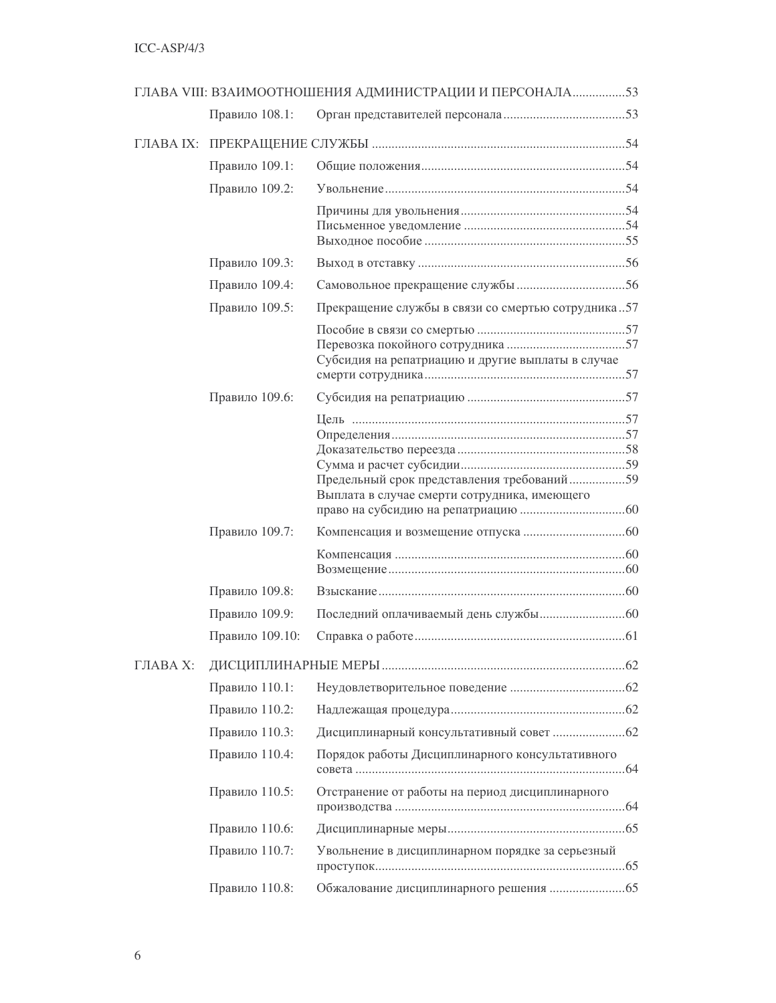|          |                 | ГЛАВА VIII: ВЗАИМООТНОШЕНИЯ АДМИНИСТРАЦИИ И ПЕРСОНАЛА53 |  |
|----------|-----------------|---------------------------------------------------------|--|
|          | Правило 108.1:  |                                                         |  |
|          |                 |                                                         |  |
|          | Правило 109.1:  |                                                         |  |
|          | Правило 109.2:  |                                                         |  |
|          |                 |                                                         |  |
|          |                 |                                                         |  |
|          | Правило 109.3:  |                                                         |  |
|          | Правило 109.4:  |                                                         |  |
|          | Правило 109.5:  | Прекращение службы в связи со смертью сотрудника57      |  |
|          |                 |                                                         |  |
|          |                 |                                                         |  |
|          |                 | Субсидия на репатриацию и другие выплаты в случае       |  |
|          | Правило 109.6:  |                                                         |  |
|          |                 |                                                         |  |
|          |                 |                                                         |  |
|          |                 |                                                         |  |
|          |                 | Предельный срок представления требований59              |  |
|          |                 | Выплата в случае смерти сотрудника, имеющего            |  |
|          |                 |                                                         |  |
|          | Правило 109.7:  |                                                         |  |
|          |                 |                                                         |  |
|          |                 |                                                         |  |
|          | Правило 109.8:  |                                                         |  |
|          | Правило 109.9:  |                                                         |  |
|          | Правило 109.10: |                                                         |  |
| ГЛАВА Х: |                 |                                                         |  |
|          | Правило 110.1:  |                                                         |  |
|          | Правило 110.2:  |                                                         |  |
|          | Правило 110.3:  |                                                         |  |
|          | Правило 110.4:  | Порядок работы Дисциплинарного консультативного         |  |
|          | Правило 110.5:  | Отстранение от работы на период дисциплинарного         |  |
|          | Правило 110.6:  |                                                         |  |
|          | Правило 110.7:  | Увольнение в дисциплинарном порядке за серьезный        |  |
|          | Правило 110.8:  |                                                         |  |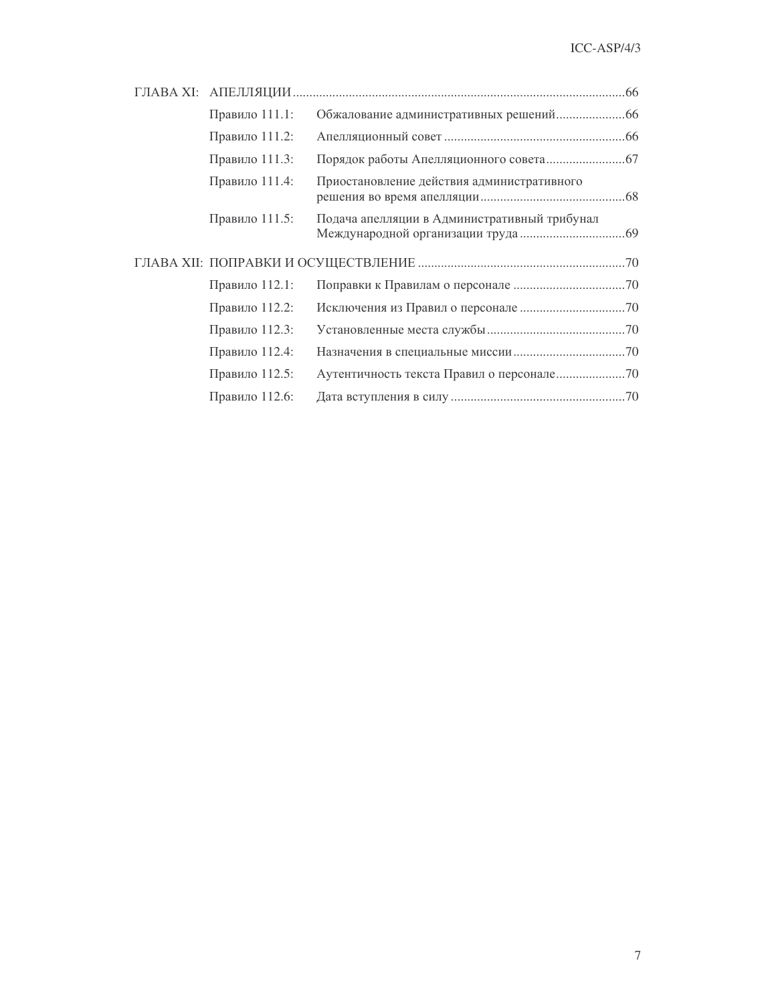| Правило 111.1: |                                              |
|----------------|----------------------------------------------|
| Правило 111.2: |                                              |
| Правило 111.3: |                                              |
| Правило 111.4: | Приостановление действия административного   |
| Правило 111.5: | Подача апелляции в Административный трибунал |
|                |                                              |
|                |                                              |
| Правило 112.1: |                                              |
| Правило 112.2: |                                              |
| Правило 112.3: |                                              |
| Правило 112.4: |                                              |
| Правило 112.5: |                                              |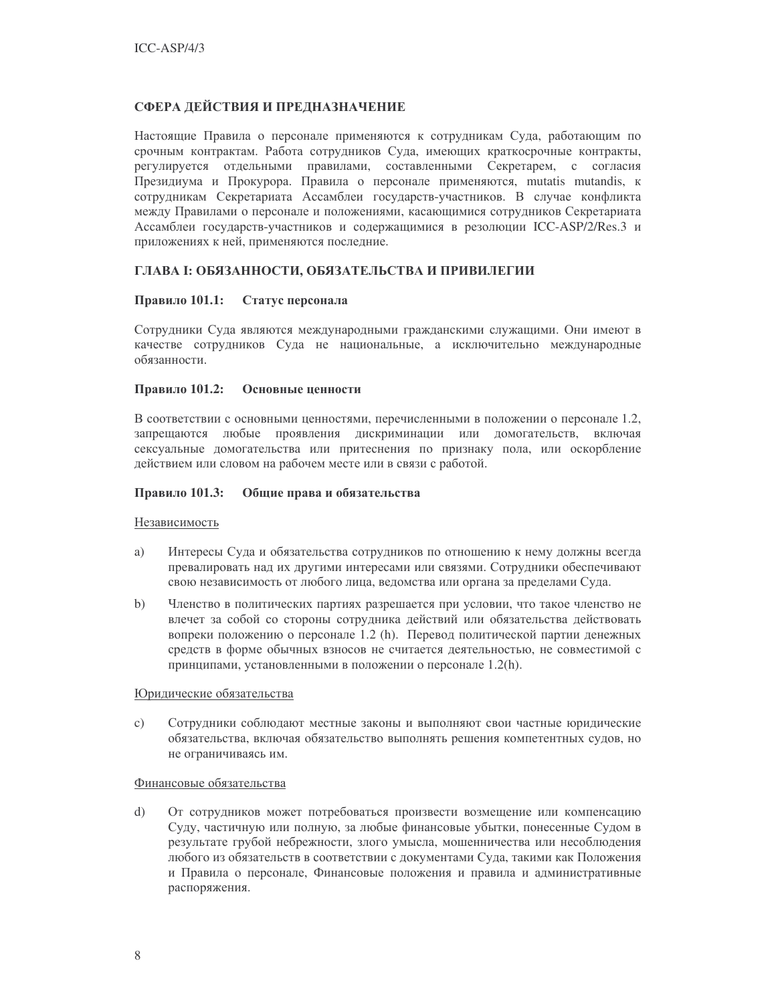## СФЕРА ДЕЙСТВИЯ И ПРЕДНАЗНАЧЕНИЕ

Настоящие Правила о персонале применяются к сотрудникам Суда, работающим по срочным контрактам. Работа сотрудников Суда, имеющих краткосрочные контракты, регулируется отдельными правилами, составленными Секретарем, с согласия Президиума и Прокурора. Правила о персонале применяются, mutatis mutandis, к сотрудникам Секретариата Ассамблеи государств-участников. В случае конфликта между Правилами о персонале и положениями, касающимися сотрудников Секретариата Ассамблеи государств-участников и содержащимися в резолюции ICC-ASP/2/Res.3 и приложениях к ней, применяются последние.

## ГЛАВА І: ОБЯЗАННОСТИ, ОБЯЗАТЕЛЬСТВА И ПРИВИЛЕГИИ

### Правило 101.1: Статус персонала

Сотрудники Суда являются международными гражданскими служащими. Они имеют в качестве сотрудников Суда не национальные, а исключительно международные обязанности.

#### Правило 101.2: Основные ценности

В соответствии с основными ценностями, перечисленными в положении о персонале 1.2, запрещаются любые проявления дискриминации или домогательств, включая сексуальные домогательства или притеснения по признаку пола, или оскорбление действием или словом на рабочем месте или в связи с работой.

### Правило 101.3: Общие права и обязательства

#### Независимость

- Интересы Суда и обязательства сотрудников по отношению к нему должны всегда a) превалировать над их другими интересами или связями. Сотрудники обеспечивают свою независимость от любого лица, ведомства или органа за пределами Суда.
- Членство в политических партиях разрешается при условии, что такое членство не  $b)$ влечет за собой со стороны сотрудника действий или обязательства действовать вопреки положению о персонале 1.2 (h). Перевод политической партии денежных средств в форме обычных взносов не считается деятельностью, не совместимой с принципами, установленными в положении о персонале 1.2(h).

#### Юридические обязательства

Сотрудники соблюдают местные законы и выполняют свои частные юридические  $\mathcal{C}$ ) обязательства, включая обязательство выполнять решения компетентных судов, но не ограничиваясь им.

#### Финансовые обязательства

 $\mathbf{d}$ От сотрудников может потребоваться произвести возмещение или компенсацию Суду, частичную или полную, за любые финансовые убытки, понесенные Судом в результате грубой небрежности, злого умысла, мошенничества или несоблюдения любого из обязательств в соответствии с документами Суда, такими как Положения и Правила о персонале, Финансовые положения и правила и административные распоряжения.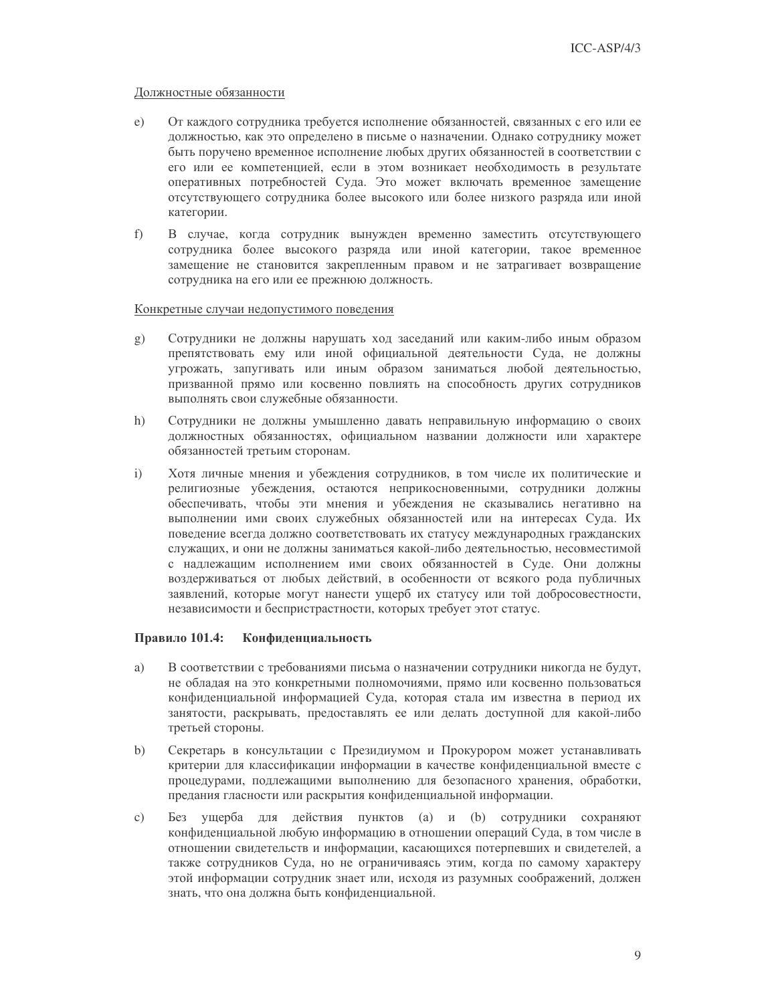### Должностные обязанности

- От каждого сотрудника требуется исполнение обязанностей, связанных с его или ее  $e)$ должностью, как это определено в письме о назначении. Однако сотруднику может быть поручено временное исполнение любых других обязанностей в соответствии с его или ее компетенцией, если в этом возникает необходимость в результате оперативных потребностей Суда. Это может включать временное замещение отсутствующего сотрудника более высокого или более низкого разряда или иной категории.
- $f$ В случае, когда сотрудник вынужден временно заместить отсутствующего сотрудника более высокого разряда или иной категории, такое временное замещение не становится закрепленным правом и не затрагивает возвращение сотрудника на его или ее прежнюю должность.

### Конкретные случаи недопустимого поведения

- Сотрудники не должны нарушать ход заседаний или каким-либо иным образом g) препятствовать ему или иной официальной деятельности Суда, не должны угрожать, запугивать или иным образом заниматься любой деятельностью, призванной прямо или косвенно повлиять на способность других сотрудников выполнять свои служебные обязанности.
- Сотрудники не должны умышленно давать неправильную информацию о своих  $h)$ должностных обязанностях, официальном названии должности или характере обязанностей третьим сторонам.
- $i)$ Хотя личные мнения и убеждения сотрудников, в том числе их политические и религиозные убеждения, остаются неприкосновенными, сотрудники должны обеспечивать, чтобы эти мнения и убеждения не сказывались негативно на выполнении ими своих служебных обязанностей или на интересах Суда. Их поведение всегда должно соответствовать их статусу международных гражданских служащих, и они не должны заниматься какой-либо деятельностью, несовместимой с надлежащим исполнением ими своих обязанностей в Суде. Они должны воздерживаться от любых действий, в особенности от всякого рода публичных заявлений, которые могут нанести ущерб их статусу или той добросовестности, независимости и беспристрастности, которых требует этот статус.

#### Правило 101.4: Конфиденциальность

- В соответствии с требованиями письма о назначении сотрудники никогда не будут, a) не обладая на это конкретными полномочиями, прямо или косвенно пользоваться конфиденциальной информацией Суда, которая стала им известна в период их занятости, раскрывать, предоставлять ее или делать доступной для какой-либо третьей стороны.
- $b)$ Секретарь в консультации с Президиумом и Прокурором может устанавливать критерии для классификации информации в качестве конфиденциальной вместе с процедурами, подлежащими выполнению для безопасного хранения, обработки, предания гласности или раскрытия конфиденциальной информации.
- Без ущерба для действия пунктов (а) и (b) сотрудники сохраняют  $\mathcal{C}$ ) конфиденциальной любую информацию в отношении операций Суда, в том числе в отношении свидетельств и информации, касающихся потерпевших и свидетелей, а также сотрудников Суда, но не ограничиваясь этим, когда по самому характеру этой информации сотрудник знает или, исходя из разумных соображений, должен знать, что она должна быть конфиденциальной.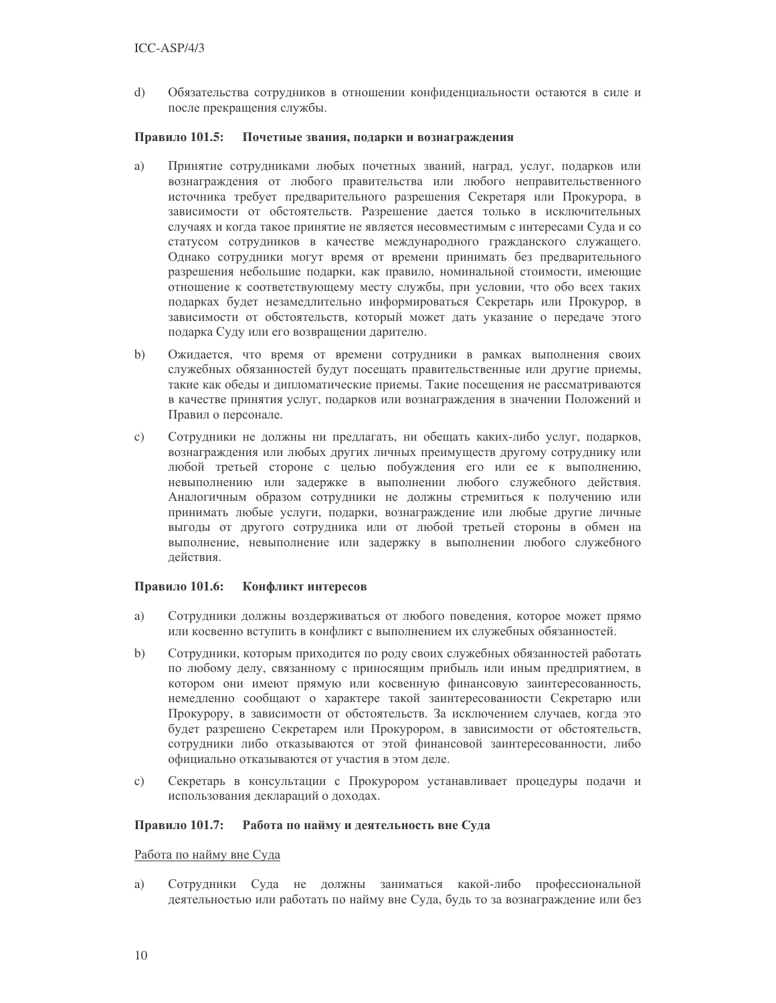$\overline{d}$ Обязательства сотрудников в отношении конфиденциальности остаются в силе и после прекращения службы.

#### Правило 101.5: Почетные звания, подарки и вознаграждения

- a) Принятие сотрудниками любых почетных званий, наград, услуг, подарков или вознаграждения от любого правительства или любого неправительственного источника требует предварительного разрешения Секретаря или Прокурора, в зависимости от обстоятельств. Разрешение дается только в исключительных случаях и когда такое принятие не является несовместимым с интересами Суда и со статусом сотрудников в качестве международного гражданского служащего. Однако сотрудники могут время от времени принимать без предварительного разрешения небольшие подарки, как правило, номинальной стоимости, имеющие отношение к соответствующему месту службы, при условии, что обо всех таких подарках будет незамедлительно информироваться Секретарь или Прокурор, в зависимости от обстоятельств, который может дать указание о передаче этого подарка Суду или его возвращении дарителю.
- $\mathbf{b}$ Ожидается, что время от времени сотрудники в рамках выполнения своих служебных обязанностей будут посещать правительственные или другие приемы, такие как обеды и дипломатические приемы. Такие посещения не рассматриваются в качестве принятия услуг, подарков или вознаграждения в значении Положений и Правил о персонале.
- $\mathbf{c})$ Сотрудники не должны ни предлагать, ни обещать каких-либо услуг, подарков, вознаграждения или любых других личных преимуществ другому сотруднику или любой третьей стороне с целью побуждения его или ее к выполнению, невыполнению или задержке в выполнении любого служебного действия. Аналогичным образом сотрудники не должны стремиться к получению или принимать любые услуги, подарки, вознаграждение или любые другие личные выгоды от другого сотрудника или от любой третьей стороны в обмен на выполнение, невыполнение или задержку в выполнении любого служебного действия.

### Правило 101.6: Конфликт интересов

- a) Сотрудники должны воздерживаться от любого поведения, которое может прямо или косвенно вступить в конфликт с выполнением их служебных обязанностей.
- $\mathbf{b}$ Сотрудники, которым приходится по роду своих служебных обязанностей работать по любому делу, связанному с приносящим прибыль или иным предприятием, в котором они имеют прямую или косвенную финансовую заинтересованность, немелленно сообшают о характере такой заинтересованности Секретарю или Прокурору, в зависимости от обстоятельств. За исключением случаев, когда это будет разрешено Секретарем или Прокурором, в зависимости от обстоятельств, сотрудники либо отказываются от этой финансовой заинтересованности, либо официально отказываются от участия в этом деле.
- Секретарь в консультации с Прокурором устанавливает процедуры подачи и  $c)$ использования деклараций о доходах.

#### Правило 101.7: Работа по найму и деятельность вне Суда

#### Работа по найму вне Суда

Сотрудники Суда не должны заниматься какой-либо профессиональной a) деятельностью или работать по найму вне Суда, будь то за вознаграждение или без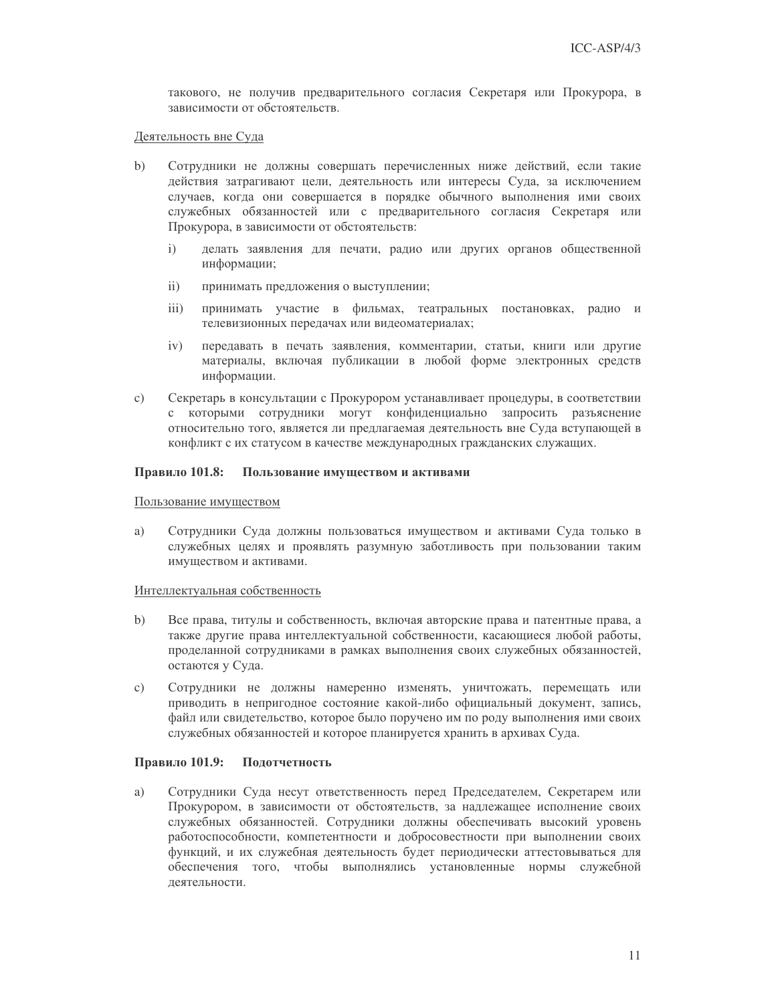такового, не получив предварительного согласия Секретаря или Прокурора, в зависимости от обстоятельств.

#### Деятельность вне Суда

- $\mathbf{b}$ Сотрудники не должны совершать перечисленных ниже действий, если такие действия затрагивают цели, деятельность или интересы Суда, за исключением случаев, когда они совершается в порядке обычного выполнения ими своих служебных обязанностей или с предварительного согласия Секретаря или Прокурора, в зависимости от обстоятельств:
	- $\mathbf{i}$ делать заявления для печати, радио или других органов общественной информации;
	- $\mathbf{ii}$ принимать предложения о выступлении;
	- $iii)$ принимать участие в фильмах, театральных постановках, радио и телевизионных передачах или видеоматериалах;
	- $iv)$ передавать в печать заявления, комментарии, статьи, книги или другие материалы, включая публикации в любой форме электронных средств информации.
- $\mathbf{c})$ Секретарь в консультации с Прокурором устанавливает процедуры, в соответствии с которыми сотрудники могут конфиденциально запросить разъяснение относительно того, является ли предлагаемая деятельность вне Суда вступающей в конфликт с их статусом в качестве международных гражданских служащих.

#### Правило 101.8: Пользование имуществом и активами

#### Пользование имуществом

Сотрудники Суда должны пользоваться имуществом и активами Суда только в a) служебных целях и проявлять разумную заботливость при пользовании таким имуществом и активами.

#### Интеллектуальная собственность

- $\mathbf{b}$ Все права, титулы и собственность, включая авторские права и патентные права, а также другие права интеллектуальной собственности, касающиеся любой работы, проделанной сотрудниками в рамках выполнения своих служебных обязанностей, остаются у Суда.
- Сотрудники не должны намеренно изменять, уничтожать, перемещать или  $c)$ приводить в непригодное состояние какой-либо официальный документ, запись, файл или свидетельство, которое было поручено им по роду выполнения ими своих служебных обязанностей и которое планируется хранить в архивах Суда.

#### Правило 101.9: Подотчетность

a) Сотрудники Суда несут ответственность перед Председателем, Секретарем или Прокурором, в зависимости от обстоятельств, за надлежащее исполнение своих служебных обязанностей. Сотрудники должны обеспечивать высокий уровень работоспособности, компетентности и добросовестности при выполнении своих функций, и их служебная деятельность будет периодически аттестовываться для обеспечения того, чтобы выполнялись установленные нормы служебной леятельности.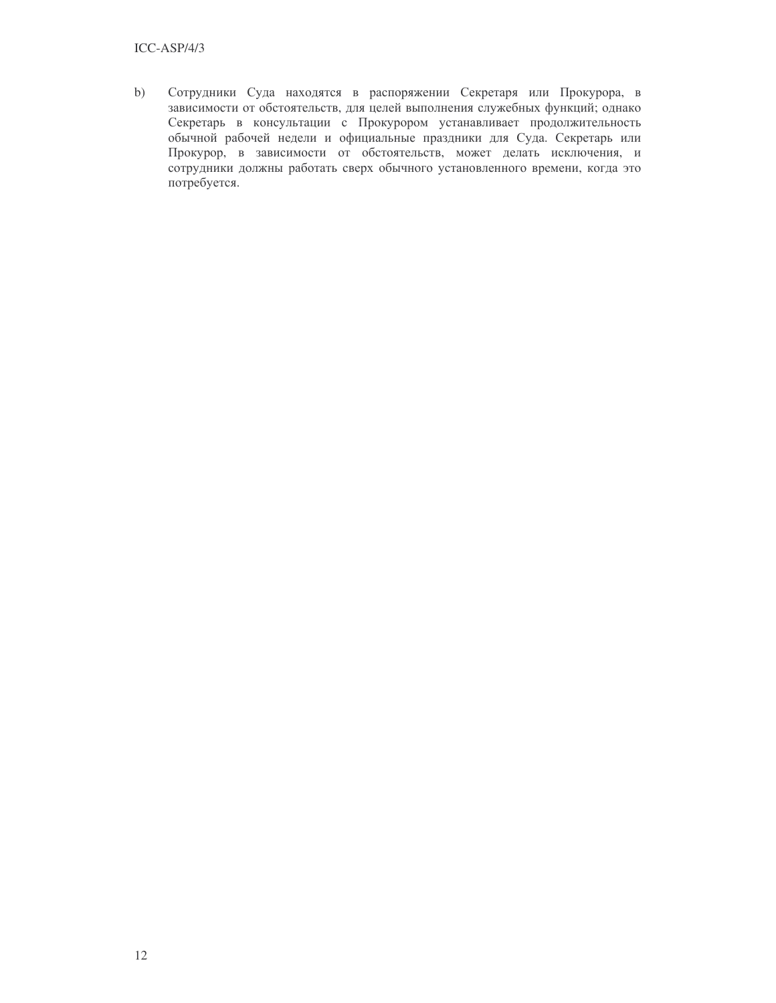### $ICC-ASP/4/3$

 $b)$ Сотрудники Суда находятся в распоряжении Секретаря или Прокурора, в зависимости от обстоятельств, для целей выполнения служебных функций; однако Секретарь в консультации с Прокурором устанавливает продолжительность обычной рабочей недели и официальные праздники для Суда. Секретарь или Прокурор, в зависимости от обстоятельств, может делать исключения, и сотрудники должны работать сверх обычного установленного времени, когда это потребуется.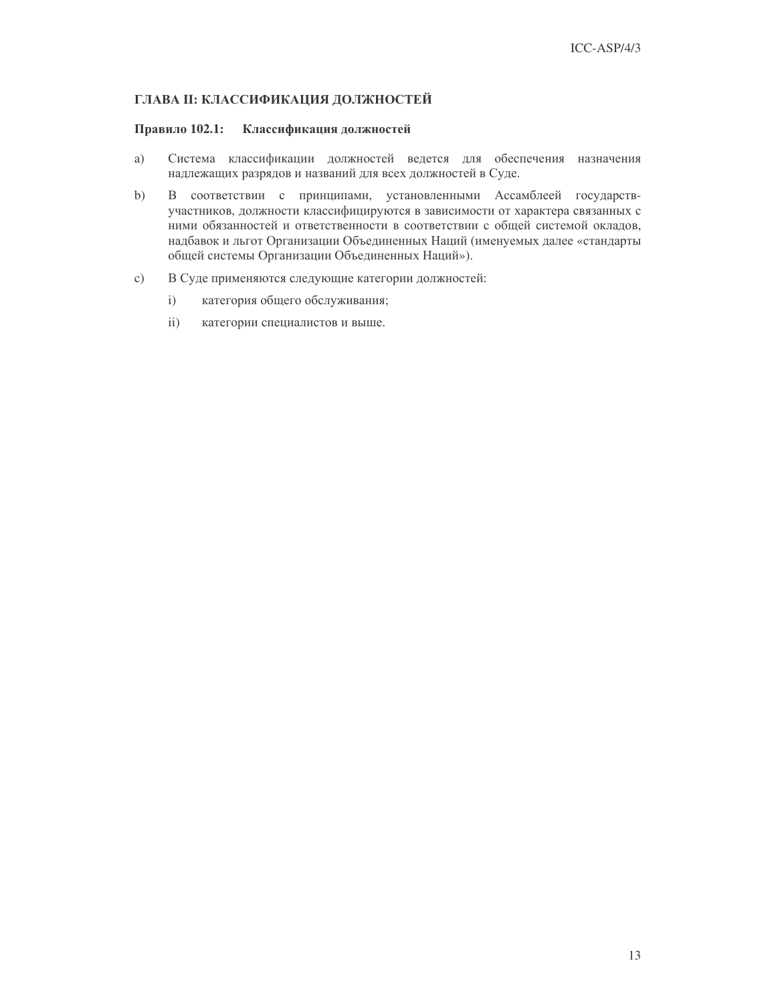### ГЛАВА II: КЛАССИФИКАЦИЯ ДОЛЖНОСТЕЙ

#### Правило 102.1: Классификация должностей

- Система классификации должностей ведется для обеспечения назначения a) надлежащих разрядов и названий для всех должностей в Суде.
- $(b)$ В соответствии с принципами, установленными Ассамблеей государствучастников, должности классифицируются в зависимости от характера связанных с ними обязанностей и ответственности в соответствии с общей системой окладов, надбавок и льгот Организации Объединенных Наций (именуемых далее «стандарты общей системы Организации Объединенных Наций»).
- $c)$ В Суде применяются следующие категории должностей:
	- $i)$ категория общего обслуживания;
	- $\mathbf{ii}$ категории специалистов и выше.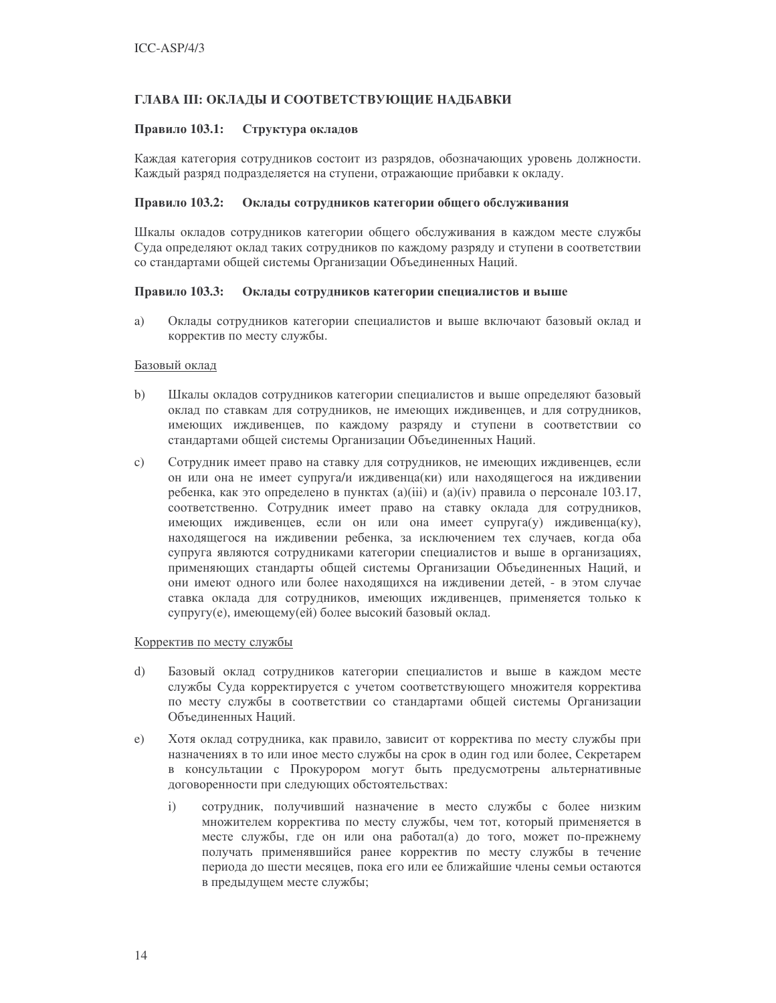### ГЛАВА III: ОКЛАДЫ И СООТВЕТСТВУЮЩИЕ НАДБАВКИ

#### Правило 103.1: Структура окладов

Каждая категория сотрудников состоит из разрядов, обозначающих уровень должности. Каждый разряд подразделяется на ступени, отражающие прибавки к окладу.

#### Правило 103.2: Оклады сотрудников категории общего обслуживания

Шкалы окладов сотрудников категории общего обслуживания в каждом месте службы Суда определяют оклад таких сотрудников по каждому разряду и ступени в соответствии со стандартами общей системы Организации Объединенных Наций.

#### Правило 103.3: Оклады сотрудников категории специалистов и выше

a) Оклады сотрудников категории специалистов и выше включают базовый оклад и корректив по месту службы.

### Базовый оклад

- $b)$ Шкалы окладов сотрудников категории специалистов и выше определяют базовый оклад по ставкам для сотрудников, не имеющих иждивенцев, и для сотрудников, имеющих иждивенцев, по каждому разряду и ступени в соответствии со стандартами общей системы Организации Объединенных Наций.
- $\mathcal{C}$ ) Сотрудник имеет право на ставку для сотрудников, не имеющих иждивенцев, если он или она не имеет супруга/и иждивенца(ки) или находящегося на иждивении ребенка, как это определено в пунктах (a)(iii) и (a)(iv) правила о персонале 103.17, соответственно. Сотрудник имеет право на ставку оклада для сотрудников, имеющих иждивенцев, если он или она имеет супруга(у) иждивенца(ку), находящегося на иждивении ребенка, за исключением тех случаев, когда оба супруга являются сотрудниками категории специалистов и выше в организациях, применяющих стандарты общей системы Организации Объединенных Наций, и они имеют одного или более находящихся на иждивении детей, - в этом случае ставка оклада для сотрудников, имеющих иждивенцев, применяется только к супругу(е), имеющему(ей) более высокий базовый оклад.

#### Корректив по месту службы

- d) Базовый оклад сотрудников категории специалистов и выше в каждом месте службы Суда корректируется с учетом соответствующего множителя корректива по месту службы в соответствии со стандартами общей системы Организации Объелиненных Наций.
- Хотя оклад сотрудника, как правило, зависит от корректива по месту службы при  $e)$ назначениях в то или иное место службы на срок в один год или более. Секретарем в консультации с Прокурором могут быть предусмотрены альтернативные договоренности при следующих обстоятельствах:
	- $\mathbf{i}$ сотрудник, получивший назначение в место службы с более низким множителем корректива по месту службы, чем тот, который применяется в месте службы, где он или она работал(а) до того, может по-прежнему получать применявшийся ранее корректив по месту службы в течение периода до шести месяцев, пока его или ее ближайшие члены семьи остаются в предыдущем месте службы;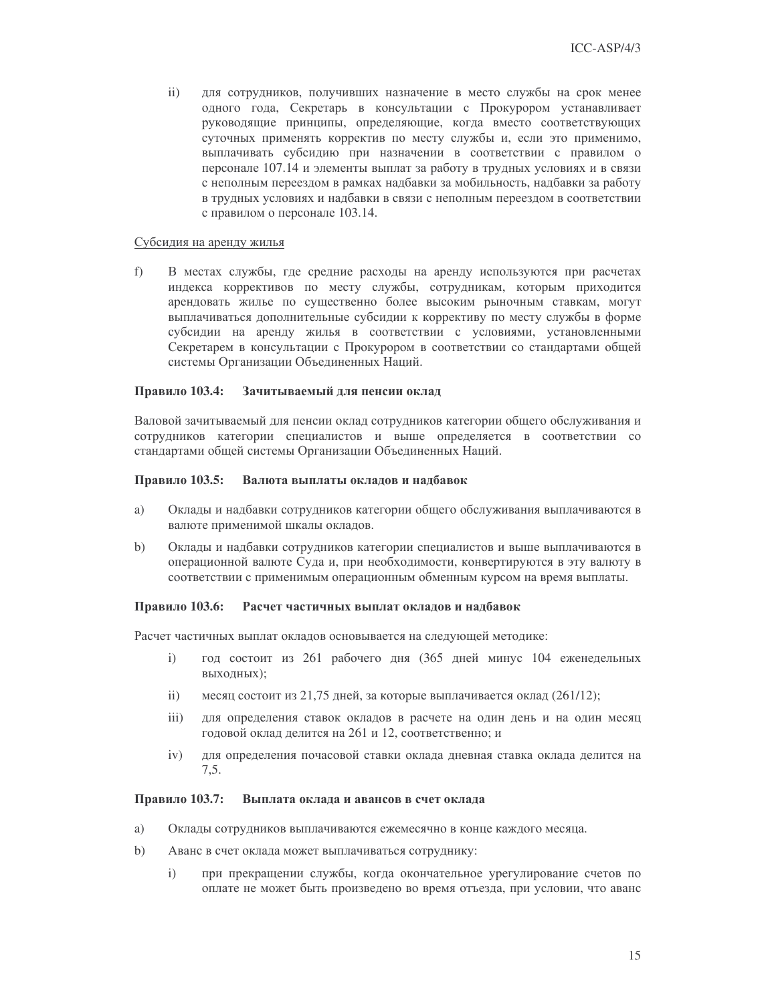$\mathbf{ii}$ для сотрудников, получивших назначение в место службы на срок менее одного года, Секретарь в консультации с Прокурором устанавливает руководящие принципы, определяющие, когда вместо соответствующих суточных применять корректив по месту службы и, если это применимо, выплачивать субсидию при назначении в соответствии с правилом о персонале 107.14 и элементы выплат за работу в трудных условиях и в связи с неполным переездом в рамках надбавки за мобильность, надбавки за работу в трудных условиях и надбавки в связи с неполным переездом в соответствии с правилом о персонале 103.14.

#### Субсидия на аренду жилья

 $f$ ) В местах службы, где средние расходы на аренду используются при расчетах индекса коррективов по месту службы, сотрудникам, которым приходится арендовать жилье по существенно более высоким рыночным ставкам, могут выплачиваться дополнительные субсидии к коррективу по месту службы в форме субсидии на аренду жилья в соответствии с условиями, установленными Секретарем в консультации с Прокурором в соответствии со стандартами общей системы Организации Объединенных Наций.

#### Зачитываемый для пенсии оклад Правило 103.4:

Валовой зачитываемый для пенсии оклад сотрудников категории общего обслуживания и сотрудников категории специалистов и выше определяется в соответствии со стандартами общей системы Организации Объединенных Наций.

#### Валюта выплаты окладов и надбавок Правило 103.5:

- Оклады и надбавки сотрудников категории общего обслуживания выплачиваются в a) валюте применимой шкалы окладов.
- $b)$ Оклады и надбавки сотрудников категории специалистов и выше выплачиваются в операционной валюте Суда и, при необходимости, конвертируются в эту валюту в соответствии с применимым операционным обменным курсом на время выплаты.

#### Расчет частичных выплат окладов и надбавок Правило 103.6:

Расчет частичных выплат окладов основывается на следующей методике:

- $\mathbf{i}$ год состоит из 261 рабочего дня (365 дней минус 104 еженедельных выходных);
- $\mathbf{ii}$ месяц состоит из 21,75 дней, за которые выплачивается оклад (261/12);
- $iii)$ для определения ставок окладов в расчете на один день и на один месяц годовой оклад делится на 261 и 12, соответственно; и
- $iv)$ для определения почасовой ставки оклада дневная ставка оклада делится на  $7.5.$

#### Правило 103.7: Выплата оклада и авансов в счет оклада

- a) Оклады сотрудников выплачиваются ежемесячно в конце каждого месяца.
- $b)$ Аванс в счет оклада может выплачиваться сотруднику:
	- $i)$ при прекращении службы, когда окончательное урегулирование счетов по оплате не может быть произведено во время отъезда, при условии, что аванс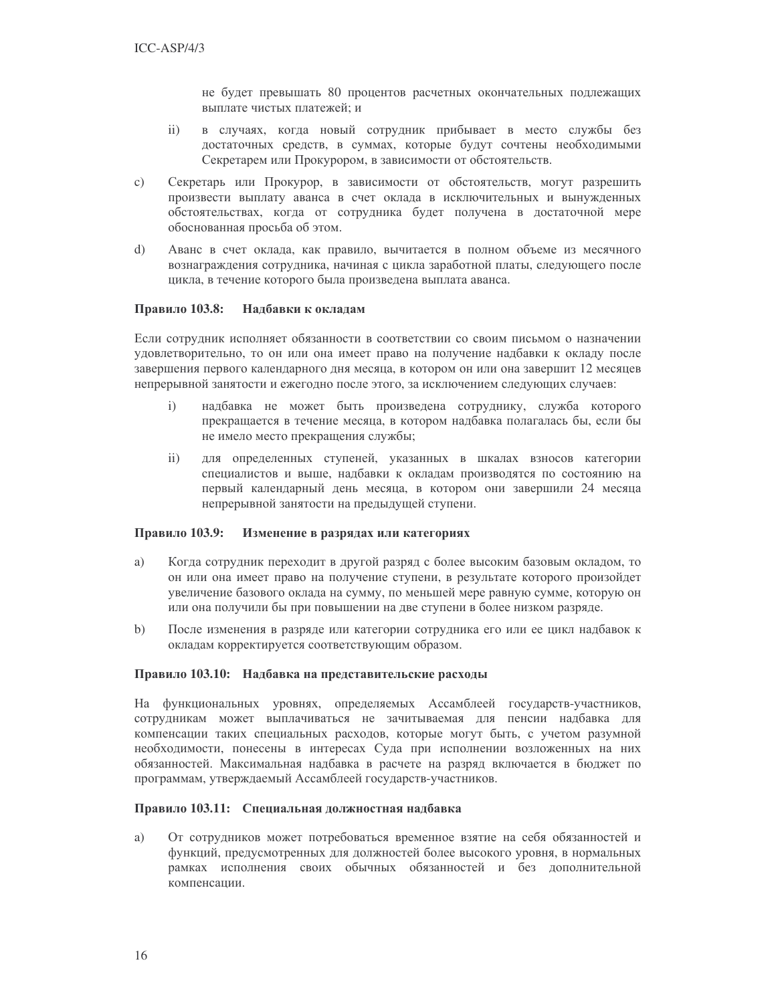не будет превышать 80 процентов расчетных окончательных подлежащих выплате чистых платежей; и

- в случаях, когда новый сотрудник прибывает в место службы без  $\overline{ii}$ достаточных средств, в суммах, которые будут сочтены необходимыми Секретарем или Прокурором, в зависимости от обстоятельств.
- Секретарь или Прокурор, в зависимости от обстоятельств, могут разрешить  $\mathbf{c})$ произвести выплату аванса в счет оклада в исключительных и вынужденных обстоятельствах, когда от сотрудника будет получена в достаточной мере обоснованная просьба об этом.
- Аванс в счет оклада, как правило, вычитается в полном объеме из месячного  $\mathbf{d}$ вознаграждения сотрудника, начиная с цикла заработной платы, следующего после цикла, в течение которого была произведена выплата аванса.

#### Правило 103.8: Надбавки к окладам

Если сотрудник исполняет обязанности в соответствии со своим письмом о назначении удовлетворительно, то он или она имеет право на получение надбавки к окладу после завершения первого календарного дня месяца, в котором он или она завершит 12 месяцев непрерывной занятости и ежегодно после этого, за исключением следующих случаев:

- надбавка не может быть произведена сотруднику, служба которого  $i)$ прекращается в течение месяца, в котором надбавка полагалась бы, если бы не имело место прекращения службы;
- для определенных ступеней, указанных в шкалах взносов категории  $\mathbf{ii}$ специалистов и выше, надбавки к окладам производятся по состоянию на первый календарный день месяца, в котором они завершили 24 месяца непрерывной занятости на предыдущей ступени.

#### Правило 103.9: Изменение в разрядах или категориях

- a) Когда сотрудник переходит в другой разряд с более высоким базовым окладом, то он или она имеет право на получение ступени, в результате которого произойдет увеличение базового оклада на сумму, по меньшей мере равную сумме, которую он или она получили бы при повышении на две ступени в более низком разряде.
- $\mathbf{b}$ После изменения в разряде или категории сотрудника его или ее цикл надбавок к окладам корректируется соответствующим образом.

#### Правило 103.10: Надбавка на представительские расходы

На функциональных уровнях, определяемых Ассамблеей государств-участников, сотрудникам может выплачиваться не зачитываемая для пенсии надбавка для компенсации таких специальных расходов, которые могут быть, с учетом разумной необходимости, понесены в интересах Суда при исполнении возложенных на них обязанностей. Максимальная надбавка в расчете на разряд включается в бюджет по программам, утверждаемый Ассамблеей государств-участников.

#### Правило 103.11: Специальная должностная надбавка

От сотрудников может потребоваться временное взятие на себя обязанностей и a) функций, предусмотренных для должностей более высокого уровня, в нормальных рамках исполнения своих обычных обязанностей и без дополнительной компенсации.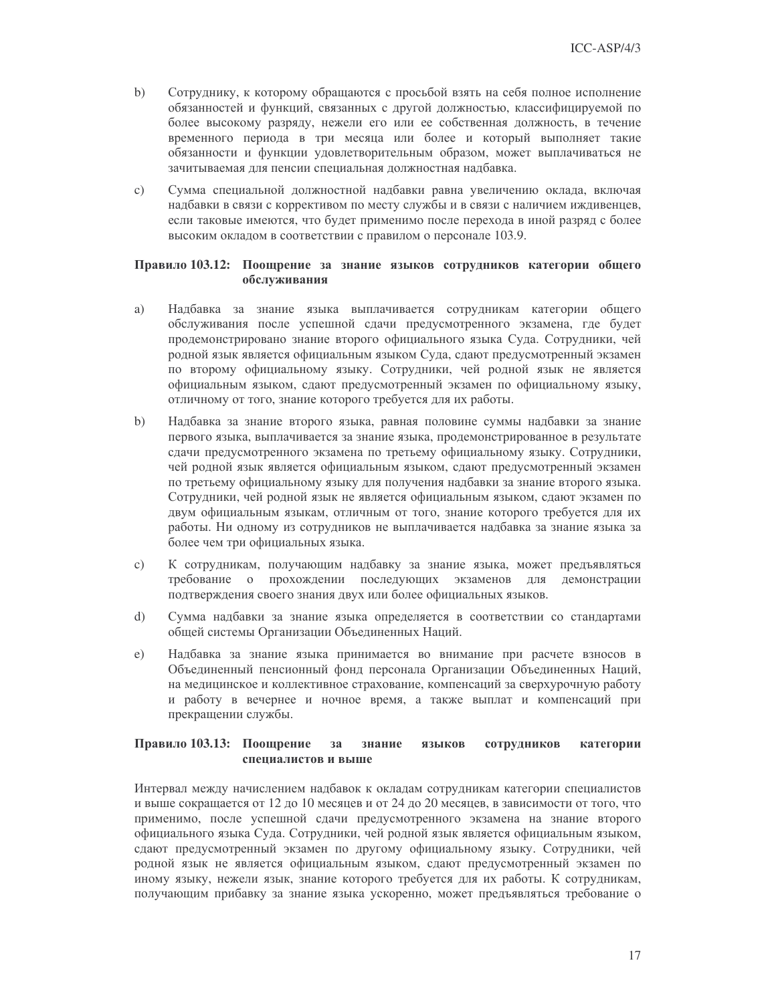- Сотруднику, к которому обращаются с просьбой взять на себя полное исполнение  $b)$ обязанностей и функций, связанных с другой должностью, классифицируемой по более высокому разряду, нежели его или ее собственная должность, в течение временного периода в три месяца или более и который выполняет такие обязанности и функции удовлетворительным образом, может выплачиваться не зачитываемая для пенсии специальная должностная надбавка.
- $c)$ Сумма специальной должностной надбавки равна увеличению оклада, включая надбавки в связи с коррективом по месту службы и в связи с наличием иждивенцев, если таковые имеются, что будет применимо после перехода в иной разряд с более высоким окладом в соответствии с правилом о персонале 103.9.

### Правило 103.12: Поощрение за знание языков сотрудников категории общего обслуживания

- Надбавка за знание языка выплачивается сотрудникам категории общего a) обслуживания после успешной сдачи предусмотренного экзамена, где будет продемонстрировано знание второго официального языка Суда. Сотрудники, чей родной язык является официальным языком Суда, сдают предусмотренный экзамен по второму официальному языку. Сотрудники, чей родной язык не является официальным языком, сдают предусмотренный экзамен по официальному языку, отличному от того, знание которого требуется для их работы.
- $\mathbf{b}$ Надбавка за знание второго языка, равная половине суммы надбавки за знание первого языка, выплачивается за знание языка, продемонстрированное в результате сдачи предусмотренного экзамена по третьему официальному языку. Сотрудники, чей родной язык является официальным языком, сдают предусмотренный экзамен по третьему официальному языку для получения надбавки за знание второго языка. Сотрудники, чей родной язык не является официальным языком, сдают экзамен по двум официальным языкам, отличным от того, знание которого требуется для их работы. Ни одному из сотрудников не выплачивается надбавка за знание языка за более чем три официальных языка.
- $\circ$ ) К сотрудникам, получающим надбавку за знание языка, может предъявляться требование о прохождении последующих экзаменов для демонстрации подтверждения своего знания двух или более официальных языков.
- $\mathbf{d}$ Сумма надбавки за знание языка определяется в соответствии со стандартами общей системы Организации Объединенных Наций.
- Надбавка за знание языка принимается во внимание при расчете взносов в  $e)$ Объединенный пенсионный фонд персонала Организации Объединенных Наций, на медицинское и коллективное страхование, компенсаций за сверхурочную работу и работу в вечернее и ночное время, а также выплат и компенсаций при прекращении службы.

#### Правило 103.13: Поощрение  $3a$ знание языков сотрудников категории специалистов и выше

Интервал между начислением надбавок к окладам сотрудникам категории специалистов и выше сокращается от 12 до 10 месяцев и от 24 до 20 месяцев, в зависимости от того, что применимо, после успешной сдачи предусмотренного экзамена на знание второго официального языка Суда. Сотрудники, чей родной язык является официальным языком, сдают предусмотренный экзамен по другому официальному языку. Сотрудники, чей родной язык не является официальным языком, сдают предусмотренный экзамен по иному языку, нежели язык, знание которого требуется для их работы. К сотрудникам, получающим прибавку за знание языка ускоренно, может предъявляться требование о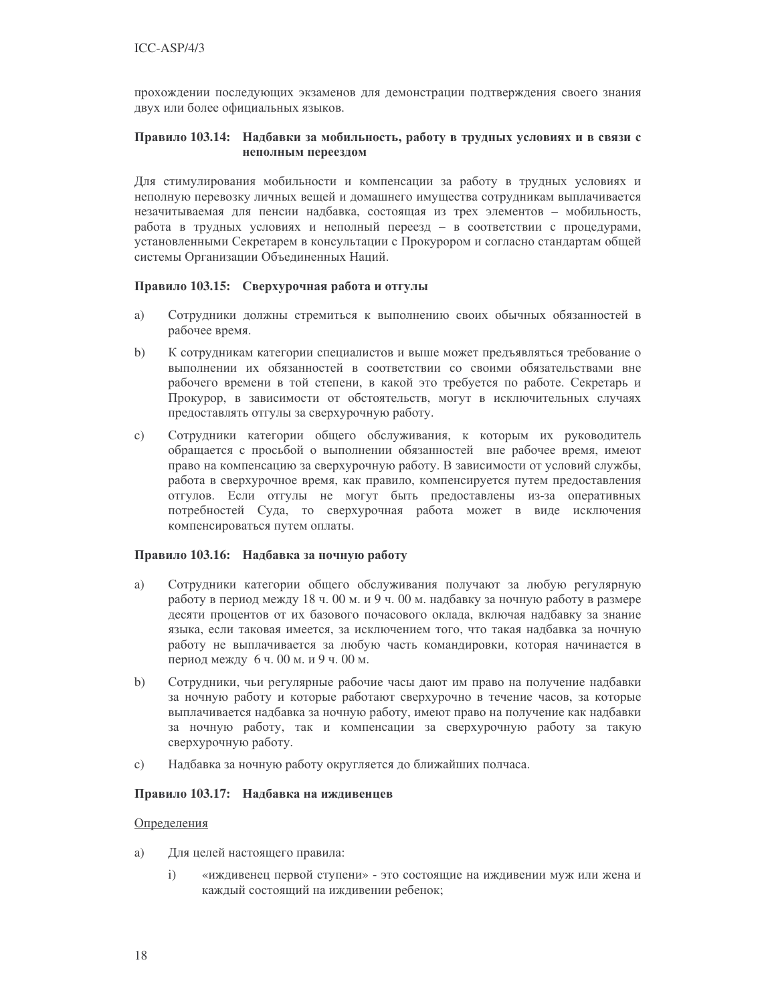прохождении последующих экзаменов для демонстрации подтверждения своего знания двух или более официальных языков.

#### Правило 103.14: Надбавки за мобильность, работу в трудных условиях и в связи с неполным переездом

Для стимулирования мобильности и компенсации за работу в трудных условиях и неполную перевозку личных вещей и домашнего имущества сотрудникам выплачивается незачитываемая для пенсии надбавка, состоящая из трех элементов - мобильность, работа в трудных условиях и неполный переезд - в соответствии с процедурами, установленными Секретарем в консультации с Прокурором и согласно стандартам общей системы Организации Объединенных Наций.

### Правило 103.15: Сверхурочная работа и отгулы

- Сотрудники должны стремиться к выполнению своих обычных обязанностей в a) рабочее время.
- $b)$ К сотрудникам категории специалистов и выше может предъявляться требование о выполнении их обязанностей в соответствии со своими обязательствами вне рабочего времени в той степени, в какой это требуется по работе. Секретарь и Прокурор, в зависимости от обстоятельств, могут в исключительных случаях предоставлять отгулы за сверхурочную работу.
- Сотрудники категории общего обслуживания, к которым их руководитель  $\mathbf{c})$ обращается с просьбой о выполнении обязанностей вне рабочее время, имеют право на компенсацию за сверхурочную работу. В зависимости от условий службы, работа в сверхурочное время, как правило, компенсируется путем предоставления отгулов. Если отгулы не могут быть предоставлены из-за оперативных потребностей Суда, то сверхурочная работа может в виде исключения компенсироваться путем оплаты.

#### Правило 103.16: Надбавка за ночную работу

- Сотрудники категории общего обслуживания получают за любую регулярную a) работу в период между 18 ч. 00 м. и 9 ч. 00 м. надбавку за ночную работу в размере десяти процентов от их базового почасового оклада, включая надбавку за знание языка, если таковая имеется, за исключением того, что такая надбавка за ночную работу не выплачивается за любую часть командировки, которая начинается в период между 6 ч. 00 м. и 9 ч. 00 м.
- Сотрудники, чьи регулярные рабочие часы дают им право на получение надбавки  $\mathbf{b}$ за ночную работу и которые работают сверхурочно в течение часов, за которые выплачивается надбавка за ночную работу, имеют право на получение как надбавки за ночную работу, так и компенсации за сверхурочную работу за такую сверхурочную работу.
- $\mathbf{c})$ Надбавка за ночную работу округляется до ближайших полчаса.

### Правило 103.17: Надбавка на иждивенцев

#### Определения

- Для целей настоящего правила: a)
	- $\mathbf{i}$ «иждивенец первой ступени» - это состоящие на иждивении муж или жена и каждый состоящий на иждивении ребенок;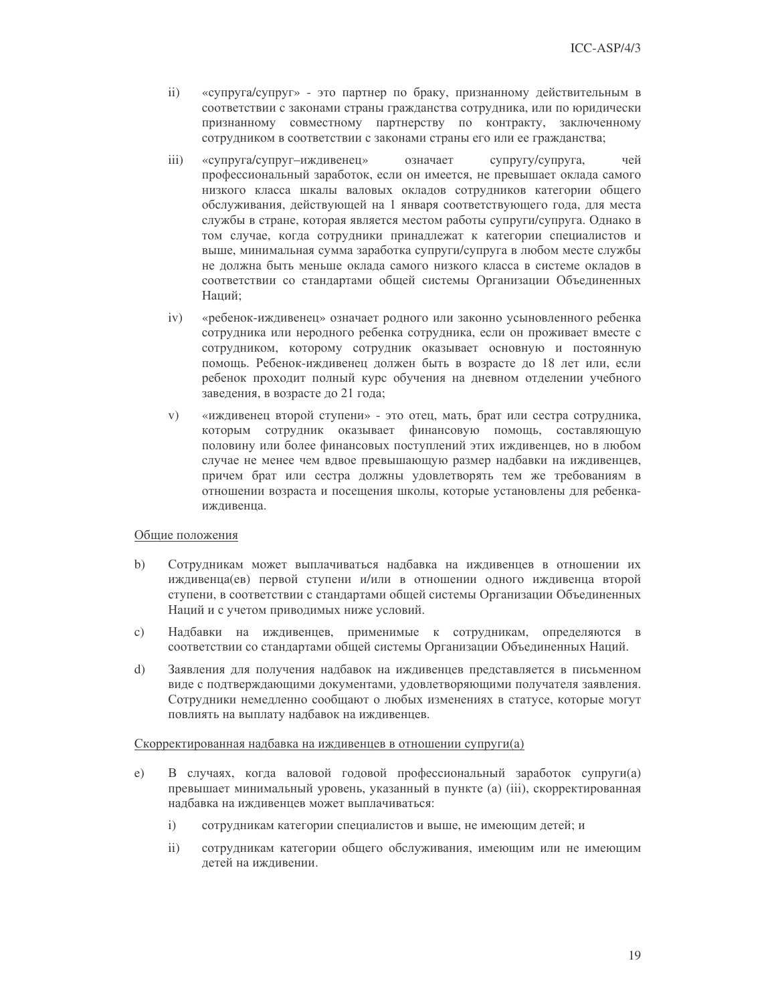- $ii)$ «супруга/супруг» - это партнер по браку, признанному действительным в соответствии с законами страны гражданства сотрудника, или по юридически признанному совместному партнерству по контракту, заключенному сотрудником в соответствии с законами страны его или ее гражданства;
- $iii)$ «супруга/супруг-иждивенец» означает супругу/супруга, чей профессиональный заработок, если он имеется, не превышает оклада самого низкого класса шкалы валовых окладов сотрудников категории общего обслуживания, действующей на 1 января соответствующего года, для места службы в стране, которая является местом работы супруги/супруга. Однако в том случае, когда сотрудники принадлежат к категории специалистов и выше, минимальная сумма заработка супруги/супруга в любом месте службы не должна быть меньше оклада самого низкого класса в системе окладов в соответствии со стандартами общей системы Организации Объединенных Наций;
- $iv)$ «ребенок-иждивенец» означает родного или законно усыновленного ребенка сотрудника или неродного ребенка сотрудника, если он проживает вместе с сотрудником, которому сотрудник оказывает основную и постоянную помощь. Ребенок-иждивенец должен быть в возрасте до 18 лет или, если ребенок проходит полный курс обучения на дневном отделении учебного заведения, в возрасте до 21 года;
- $V)$ «иждивенец второй ступени» - это отец, мать, брат или сестра сотрудника, которым сотрудник оказывает финансовую помощь, составляющую половину или более финансовых поступлений этих иждивенцев, но в любом случае не менее чем вдвое превышающую размер надбавки на иждивенцев, причем брат или сестра должны удовлетворять тем же требованиям в отношении возраста и посещения школы, которые установлены для ребенкаижливенца.

### Общие положения

- $b)$ Сотрудникам может выплачиваться надбавка на иждивенцев в отношении их иждивенца(ев) первой ступени и/или в отношении одного иждивенца второй ступени, в соответствии с стандартами общей системы Организации Объединенных Наций и с учетом приводимых ниже условий.
- $\mathbf{c}$ ) Надбавки на иждивенцев, применимые к сотрудникам, определяются в соответствии со стандартами общей системы Организации Объединенных Наций.
- $\mathbf{d}$ Заявления для получения надбавок на иждивенцев представляется в письменном виде с подтверждающими документами, удовлетворяющими получателя заявления. Сотрудники немедленно сообщают о любых изменениях в статусе, которые могут повлиять на выплату надбавок на иждивенцев.

#### Скорректированная надбавка на иждивенцев в отношении супруги(а)

- В случаях, когда валовой годовой профессиональный заработок супруги(а)  $e)$ превышает минимальный уровень, указанный в пункте (а) (iii), скорректированная налбавка на ижливениев может выплачиваться:
	- $i)$ сотрудникам категории специалистов и выше, не имеющим детей; и
	- $\mathbf{ii}$ сотрудникам категории общего обслуживания, имеющим или не имеющим летей на ижливении.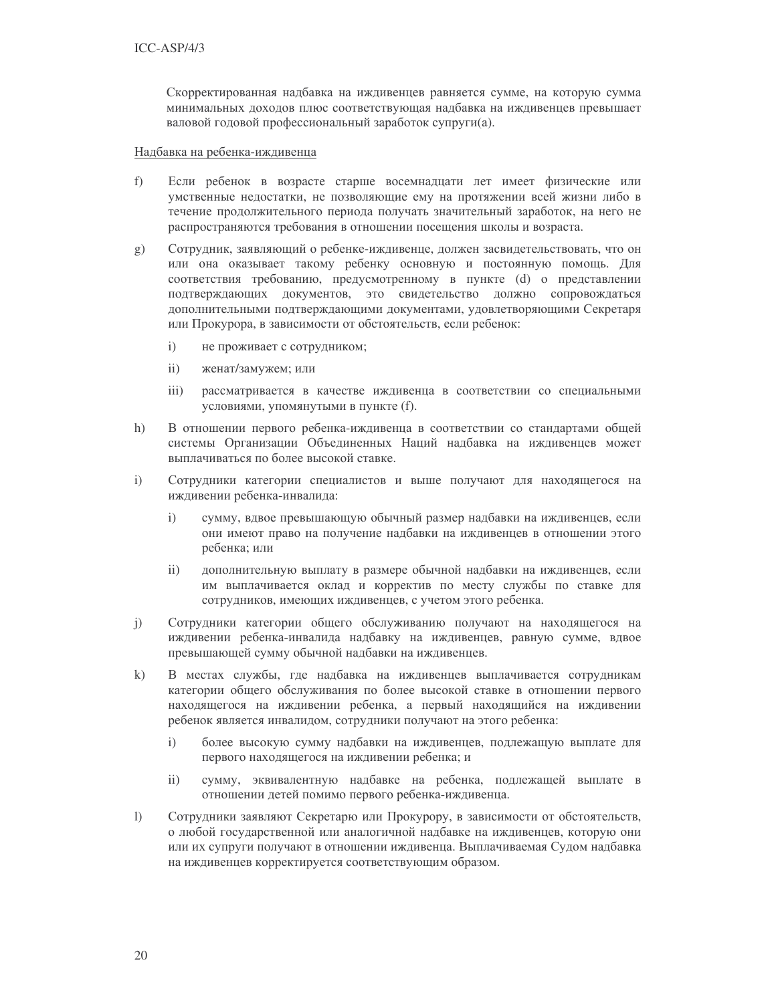Скорректированная надбавка на иждивенцев равняется сумме, на которую сумма минимальных доходов плюс соответствующая надбавка на иждивенцев превышает валовой годовой профессиональный заработок супруги(а).

### Надбавка на ребенка-иждивенца

- $f$ Если ребенок в возрасте старше восемнадцати лет имеет физические или умственные недостатки, не позволяющие ему на протяжении всей жизни либо в течение продолжительного периода получать значительный заработок, на него не распространяются требования в отношении посещения школы и возраста.
- $(g)$ Сотрудник, заявляющий о ребенке-иждивенце, должен засвидетельствовать, что он или она оказывает такому ребенку основную и постоянную помощь. Для соответствия требованию, предусмотренному в пункте (d) о представлении подтверждающих документов, это свидетельство должно сопровождаться дополнительными подтверждающими документами, удовлетворяющими Секретаря или Прокурора, в зависимости от обстоятельств, если ребенок:
	- $i)$ не проживает с сотрудником;
	- $\overline{11}$ женат/замужем; или
	- $\overline{iii}$ ) рассматривается в качестве иждивенца в соответствии со специальными условиями, упомянутыми в пункте (f).
- $h)$ В отношении первого ребенка-иждивенца в соответствии со стандартами общей системы Организации Объединенных Наций надбавка на иждивенцев может выплачиваться по более высокой ставке.
- Сотрудники категории специалистов и выше получают для находящегося на  $i)$ иждивении ребенка-инвалида:
	- $\mathbf{i}$ сумму, вдвое превышающую обычный размер надбавки на иждивенцев, если они имеют право на получение надбавки на иждивенцев в отношении этого ребенка; или
	- дополнительную выплату в размере обычной надбавки на иждивенцев, если  $\mathbf{ii}$ им выплачивается оклад и корректив по месту службы по ставке для сотрудников, имеющих иждивенцев, с учетом этого ребенка.
- Сотрудники категории общего обслуживанию получают на находящегося на  $j)$ иждивении ребенка-инвалида надбавку на иждивенцев, равную сумме, вдвое превышающей сумму обычной надбавки на иждивенцев.
- В местах службы, где надбавка на иждивенцев выплачивается сотрудникам  $k)$ категории общего обслуживания по более высокой ставке в отношении первого находящегося на иждивении ребенка, а первый находящийся на иждивении ребенок является инвалидом, сотрудники получают на этого ребенка:
	- $\mathbf{i}$ более высокую сумму надбавки на иждивенцев, подлежащую выплате для первого находящегося на иждивении ребенка; и
	- сумму, эквивалентную надбавке на ребенка, подлежащей выплате в  $\mathbf{ii}$ отношении детей помимо первого ребенка-иждивенца.
- $\overline{1}$ Сотрудники заявляют Секретарю или Прокурору, в зависимости от обстоятельств, о любой государственной или аналогичной надбавке на иждивенцев, которую они или их супруги получают в отношении иждивенца. Выплачиваемая Судом надбавка на иждивенцев корректируется соответствующим образом.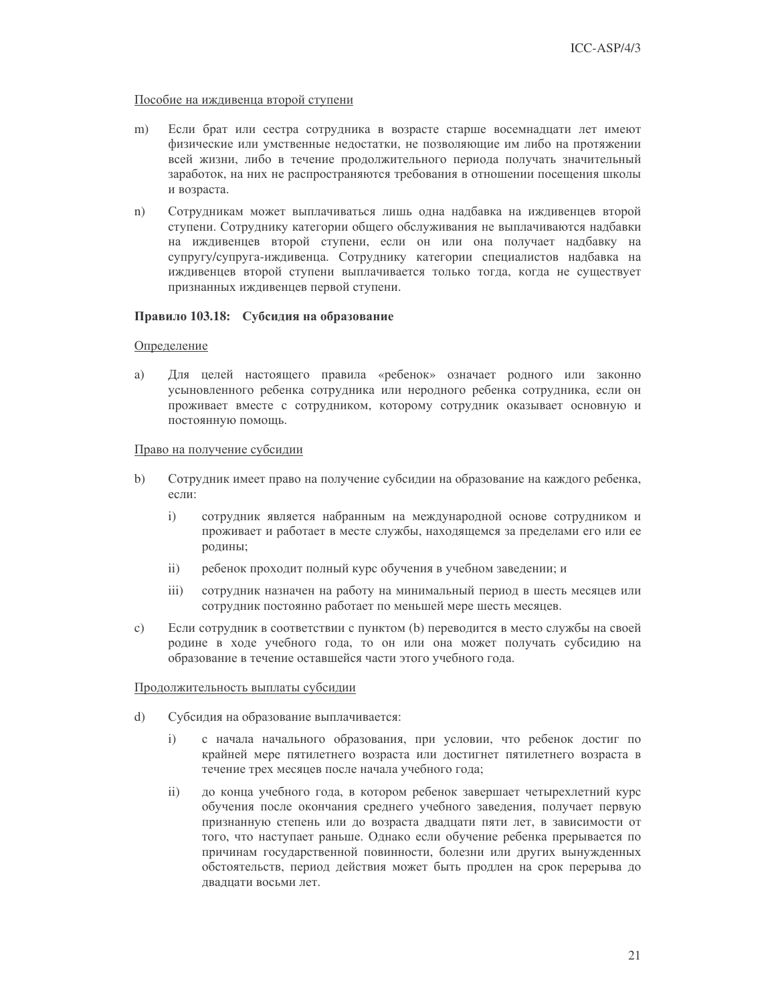#### Пособие на иждивенца второй ступени

- Если брат или сестра сотрудника в возрасте старше восемнадцати лет имеют  $m)$ физические или умственные недостатки, не позволяющие им либо на протяжении всей жизни, либо в течение продолжительного периода получать значительный заработок, на них не распространяются требования в отношении посещения школы и возраста.
- Сотрудникам может выплачиваться лишь одна надбавка на иждивенцев второй  $n)$ ступени. Сотруднику категории общего обслуживания не выплачиваются надбавки на иждивенцев второй ступени, если он или она получает надбавку на супругу/супруга-иждивенца. Сотруднику категории специалистов надбавка на иждивенцев второй ступени выплачивается только тогда, когда не существует признанных иждивенцев первой ступени.

## Правило 103.18: Субсидия на образование

#### Определение

a) Для целей настоящего правила «ребенок» означает родного или законно усыновленного ребенка сотрудника или неродного ребенка сотрудника, если он проживает вместе с сотрудником, которому сотрудник оказывает основную и постоянную помощь.

#### Право на получение субсидии

- $b)$ Сотрудник имеет право на получение субсидии на образование на каждого ребенка, еспи:
	- $\mathbf{i}$ сотрудник является набранным на международной основе сотрудником и проживает и работает в месте службы, находящемся за пределами его или ее родины;
	- $\mathbf{ii}$ ребенок проходит полный курс обучения в учебном заведении; и
	- $\overline{111}$ сотрудник назначен на работу на минимальный период в шесть месяцев или сотрудник постоянно работает по меньшей мере шесть месяцев.
- $\circ$ ) Если сотрудник в соответствии с пунктом (b) переводится в место службы на своей родине в ходе учебного года, то он или она может получать субсидию на образование в течение оставшейся части этого учебного года.

#### Продолжительность выплаты субсидии

- $\mathbf{d}$ Субсидия на образование выплачивается:
	- с начала начального образования, при условии, что ребенок достиг по  $i)$ крайней мере пятилетнего возраста или достигнет пятилетнего возраста в течение трех месяцев после начала учебного года;
	- $ii)$ до конца учебного года, в котором ребенок завершает четырехлетний курс обучения после окончания среднего учебного заведения, получает первую признанную степень или до возраста двадцати пяти лет, в зависимости от того, что наступает раньше. Однако если обучение ребенка прерывается по причинам государственной повинности, болезни или других вынужденных обстоятельств, период действия может быть продлен на срок перерыва до лвалцати восьми лет.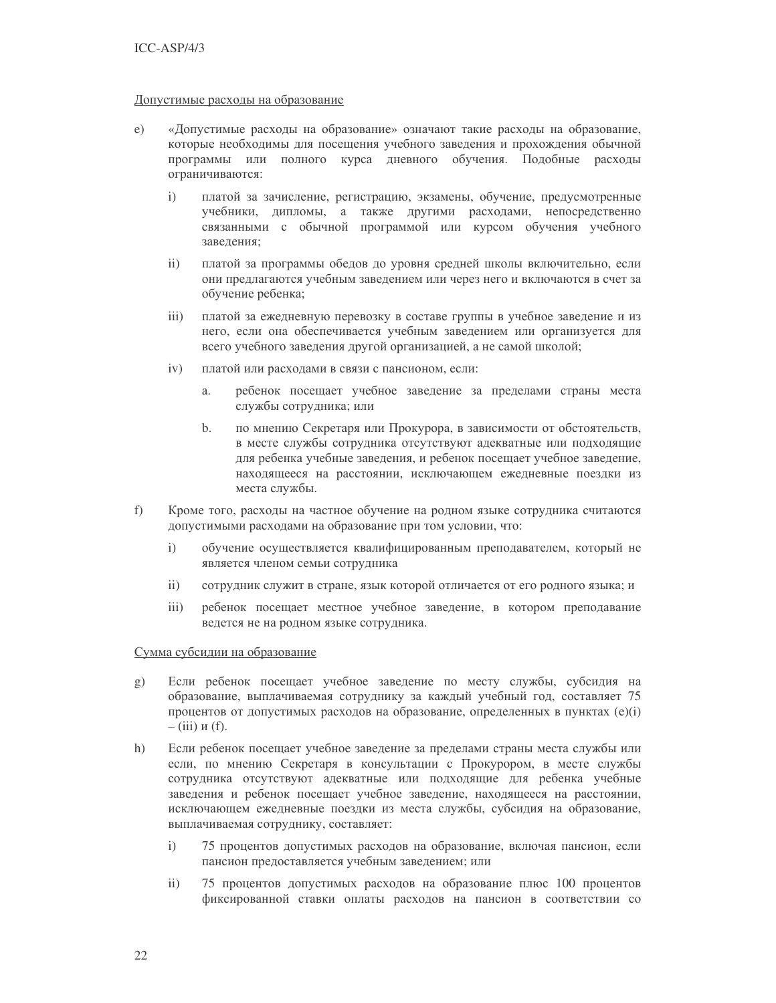#### Допустимые расходы на образование

- «Допустимые расходы на образование» означают такие расходы на образование,  $e)$ которые необходимы для посещения учебного заведения и прохождения обычной программы или полного курса дневного обучения. Подобные расходы ограничиваются:
	- $\mathbf{i}$ платой за зачисление, регистрацию, экзамены, обучение, предусмотренные учебники, дипломы, а также другими расходами, непосредственно связанными с обычной программой или курсом обучения учебного завеления:
	- $\mathbf{ii}$ платой за программы обедов до уровня средней школы включительно, если они предлагаются учебным заведением или через него и включаются в счет за обучение ребенка;
	- $iii)$ платой за ежедневную перевозку в составе группы в учебное заведение и из него, если она обеспечивается учебным заведением или организуется для всего учебного заведения другой организацией, а не самой школой;
	- $iv)$ платой или расходами в связи с пансионом, если:
		- ребенок посещает учебное заведение за пределами страны места  $\overline{a}$ . службы сотрудника; или
		- $h_{-}$ по мнению Секретаря или Прокурора, в зависимости от обстоятельств, в месте службы сотрудника отсутствуют адекватные или подходящие для ребенка учебные заведения, и ребенок посещает учебное заведение, находящееся на расстоянии, исключающем ежедневные поездки из места службы.
- $f$ ) Кроме того, расходы на частное обучение на родном языке сотрудника считаются допустимыми расходами на образование при том условии, что:
	- обучение осуществляется квалифицированным преподавателем, который не  $\mathbf{i}$ является членом семьи сотрудника
	- $ii)$ сотрудник служит в стране, язык которой отличается от его родного языка; и
	- $\overline{iii}$ ребенок посещает местное учебное заведение, в котором преподавание ведется не на родном языке сотрудника.

#### Сумма субсидии на образование

- Если ребенок посещает учебное заведение по месту службы, субсидия на  $(g)$ образование, выплачиваемая сотруднику за каждый учебный год, составляет 75 процентов от допустимых расходов на образование, определенных в пунктах (e)(i)  $-$  (iii)  $\pi$  (f).
- $h)$ Если ребенок посещает учебное заведение за пределами страны места службы или если, по мнению Секретаря в консультации с Прокурором, в месте службы сотрудника отсутствуют адекватные или подходящие для ребенка учебные заведения и ребенок посещает учебное заведение, находящееся на расстоянии, исключающем ежедневные поездки из места службы, субсидия на образование, выплачиваемая сотруднику, составляет:
	- 75 процентов допустимых расходов на образование, включая пансион, если  $\mathbf{i}$ пансион предоставляется учебным заведением; или
	- $\mathbf{ii}$ 75 процентов допустимых расходов на образование плюс 100 процентов фиксированной ставки оплаты расходов на пансион в соответствии со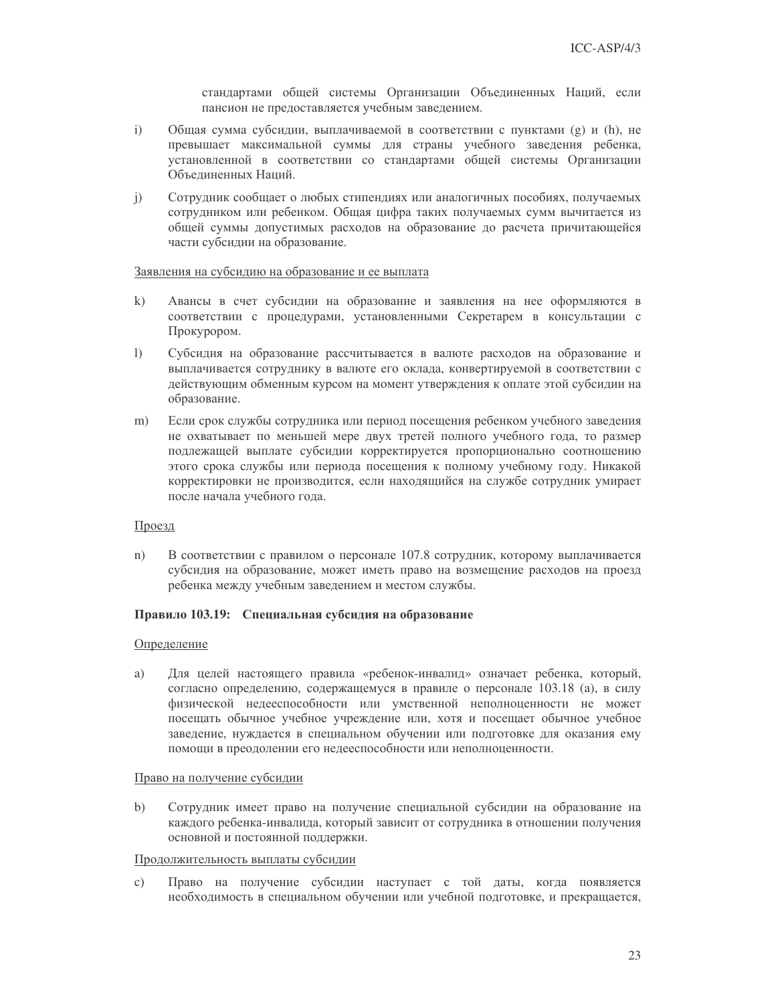стандартами общей системы Организации Объединенных Наций, если пансион не предоставляется учебным заведением.

- $i)$ Общая сумма субсидии, выплачиваемой в соответствии с пунктами (g) и (h), не превышает максимальной суммы для страны учебного заведения ребенка, установленной в соответствии со стандартами общей системы Организации Объединенных Наций.
- $\mathbf{i}$ Сотрудник сообщает о любых стипендиях или аналогичных пособиях, получаемых сотрудником или ребенком. Общая цифра таких получаемых сумм вычитается из общей суммы допустимых расходов на образование до расчета причитающейся части субсидии на образование.

#### Заявления на субсидию на образование и ее выплата

- $k)$ Авансы в счет субсидии на образование и заявления на нее оформляются в соответствии с процедурами, установленными Секретарем в консультации с Прокурором.
- $\left| \right|$ Субсидия на образование рассчитывается в валюте расходов на образование и выплачивается сотруднику в валюте его оклада, конвертируемой в соответствии с действующим обменным курсом на момент утверждения к оплате этой субсидии на образование.
- $m)$ Если срок службы сотрудника или период посещения ребенком учебного заведения не охватывает по меньшей мере двух третей полного учебного года, то размер подлежащей выплате субсидии корректируется пропорционально соотношению этого срока службы или периода посещения к полному учебному году. Никакой корректировки не производится, если находящийся на службе сотрудник умирает после начала учебного года.

#### Проезд

 $n)$ В соответствии с правилом о персонале 107.8 сотрудник, которому выплачивается субсидия на образование, может иметь право на возмещение расходов на проезд ребенка между учебным заведением и местом службы.

#### Правило 103.19: Специальная субсидия на образование

#### Определение

a) Для целей настоящего правила «ребенок-инвалид» означает ребенка, который, согласно определению, содержащемуся в правиле о персонале 103.18 (а), в силу физической недееспособности или умственной неполноценности не может посещать обычное учебное учреждение или, хотя и посещает обычное учебное заведение, нуждается в специальном обучении или подготовке для оказания ему помощи в преодолении его недееспособности или неполноценности.

#### Право на получение субсидии

 $\mathbf{b}$ Сотрудник имеет право на получение специальной субсидии на образование на каждого ребенка-инвалида, который зависит от сотрудника в отношении получения основной и постоянной поддержки.

#### Продолжительность выплаты субсидии

 $\mathbf{c}$ ) Право на получение субсидии наступает с той даты, когда появляется необходимость в специальном обучении или учебной подготовке, и прекращается,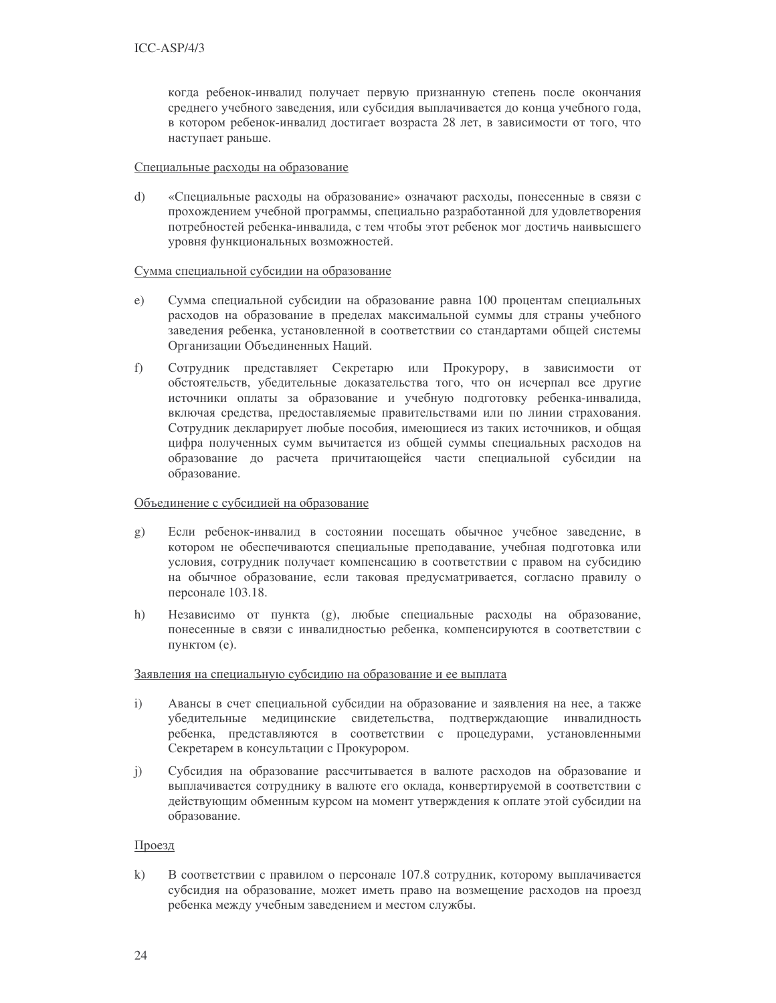когда ребенок-инвалид получает первую признанную степень после окончания среднего учебного заведения, или субсидия выплачивается до конца учебного года, в котором ребенок-инвалид достигает возраста 28 лет, в зависимости от того, что наступает раньше.

#### Специальные расходы на образование

 $\mathrm{d}$ «Специальные расходы на образование» означают расходы, понесенные в связи с прохождением учебной программы, специально разработанной для удовлетворения потребностей ребенка-инвалида, с тем чтобы этот ребенок мог достичь наивысшего уровня функциональных возможностей.

### Сумма специальной субсидии на образование

- Сумма специальной субсидии на образование равна 100 процентам специальных  $e)$ расходов на образование в пределах максимальной суммы для страны учебного заведения ребенка, установленной в соответствии со стандартами общей системы Организации Объединенных Наций.
- $f$ ) Сотрудник представляет Секретарю или Прокурору, в зависимости от обстоятельств, убедительные доказательства того, что он исчерпал все другие источники оплаты за образование и учебную подготовку ребенка-инвалида, включая средства, предоставляемые правительствами или по линии страхования. Сотрудник декларирует любые пособия, имеющиеся из таких источников, и общая цифра полученных сумм вычитается из общей суммы специальных расходов на образование до расчета причитающейся части специальной субсидии на образование.

#### Объединение с субсидией на образование

- Если ребенок-инвалид в состоянии посещать обычное учебное заведение, в  $\mathbf{g}$ ) котором не обеспечиваются специальные преподавание, учебная подготовка или условия, сотрудник получает компенсацию в соответствии с правом на субсидию на обычное образование, если таковая предусматривается, согласно правилу о персонале 103.18.
- Независимо от пункта (g), любые специальные расходы на образование,  $h)$ понесенные в связи с инвалидностью ребенка, компенсируются в соответствии с пунктом (е).

#### Заявления на специальную субсидию на образование и ее выплата

- Авансы в счет специальной субсидии на образование и заявления на нее, а также  $i)$ убедительные медицинские свидетельства, подтверждающие инвалидность ребенка, представляются в соответствии с процедурами, установленными Секретарем в консультации с Прокурором.
- $\mathbf{i}$ Субсидия на образование рассчитывается в валюте расходов на образование и выплачивается сотруднику в валюте его оклада, конвертируемой в соответствии с действующим обменным курсом на момент утверждения к оплате этой субсидии на образование.

#### Проезд

 $k)$ В соответствии с правилом о персонале 107.8 сотрудник, которому выплачивается субсидия на образование, может иметь право на возмещение расходов на проезд ребенка между учебным заведением и местом службы.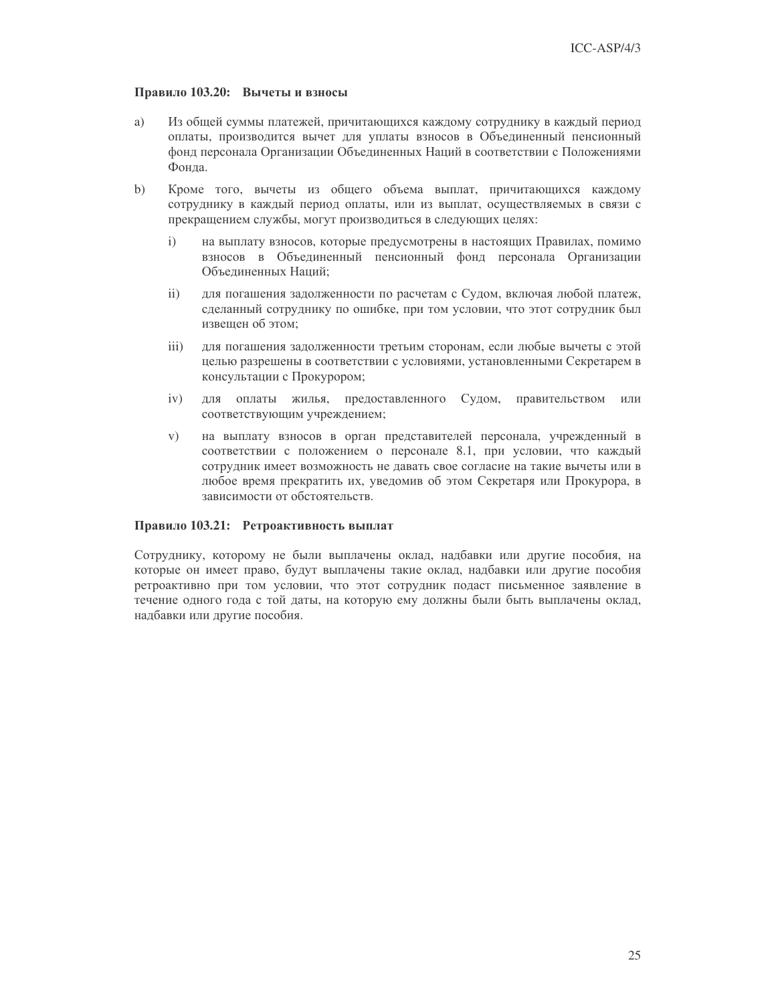### Правило 103.20: Вычеты и взносы

- a) Из общей суммы платежей, причитающихся каждому сотруднику в каждый период оплаты, производится вычет для уплаты взносов в Объединенный пенсионный фонд персонала Организации Объединенных Наций в соответствии с Положениями Фонда.
- $b)$ Кроме того, вычеты из общего объема выплат, причитающихся каждому сотруднику в каждый период оплаты, или из выплат, осуществляемых в связи с прекращением службы, могут производиться в следующих целях:
	- $\mathbf{i}$ на выплату взносов, которые предусмотрены в настоящих Правилах, помимо взносов в Объединенный пенсионный фонд персонала Организации Объединенных Наций:
	- $ii)$ для погашения задолженности по расчетам с Судом, включая любой платеж, сделанный сотруднику по ошибке, при том условии, что этот сотрудник был извещен об этом:
	- $\overline{iii}$ ) для погашения задолженности третьим сторонам, если любые вычеты с этой целью разрешены в соответствии с условиями, установленными Секретарем в консультации с Прокурором;
	- $iv)$ для оплаты жилья, предоставленного Судом, правительством или соответствующим учреждением;
	- $V)$ на выплату взносов в орган представителей персонала, учрежденный в соответствии с положением о персонале 8.1, при условии, что каждый сотрудник имеет возможность не давать свое согласие на такие вычеты или в любое время прекратить их, уведомив об этом Секретаря или Прокурора, в зависимости от обстоятельств.

### Правило 103.21: Ретроактивность выплат

Сотруднику, которому не были выплачены оклад, надбавки или другие пособия, на которые он имеет право, будут выплачены такие оклад, надбавки или другие пособия ретроактивно при том условии, что этот сотрудник подаст письменное заявление в течение одного года с той даты, на которую ему должны были быть выплачены оклад, надбавки или другие пособия.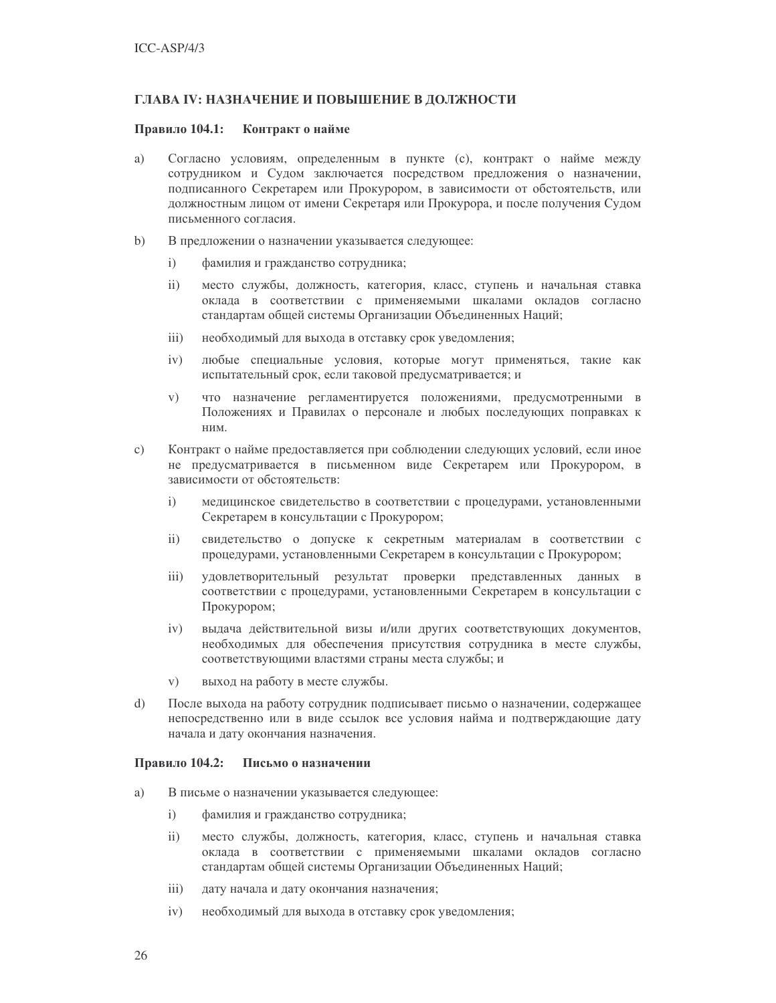### ГЛАВА IV: НАЗНАЧЕНИЕ И ПОВЫШЕНИЕ В ДОЛЖНОСТИ

#### Правило 104.1: Контракт о найме

- a) Согласно условиям, определенным в пункте (с), контракт о найме между сотрудником и Судом заключается посредством предложения о назначении, подписанного Секретарем или Прокурором, в зависимости от обстоятельств, или должностным лицом от имени Секретаря или Прокурора, и после получения Судом письменного согласия.
- $b)$ В предложении о назначении указывается следующее:
	- $i)$ фамилия и гражданство сотрудника;
	- $ii)$ место службы, должность, категория, класс, ступень и начальная ставка оклада в соответствии с применяемыми шкалами окладов согласно стандартам общей системы Организации Объединенных Наций;
	- $\overline{iii}$ ) необходимый для выхода в отставку срок уведомления;
	- любые специальные условия, которые могут применяться, такие как  $iv)$ испытательный срок, если таковой предусматривается; и
	- $V)$ что назначение регламентируется положениями, предусмотренными в Положениях и Правилах о персонале и любых последующих поправках к ним.
- c) Контракт о найме предоставляется при соблюдении следующих условий, если иное не предусматривается в письменном виде Секретарем или Прокурором, в зависимости от обстоятельств:
	- медицинское свидетельство в соответствии с процедурами, установленными  $\mathbf{i}$ Секретарем в консультации с Прокурором;
	- $ii)$ свидетельство о допуске к секретным материалам в соответствии с процедурами, установленными Секретарем в консультации с Прокурором;
	- $iii)$ удовлетворительный результат проверки представленных данных в соответствии с процедурами, установленными Секретарем в консультации с Прокурором;
	- $iv)$ выдача действительной визы и/или других соответствующих документов, необходимых для обеспечения присутствия сотрудника в месте службы, соответствующими властями страны места службы; и
	- выход на работу в месте службы.  $V)$
- $\mathrm{d}$ После выхода на работу сотрудник подписывает письмо о назначении, содержащее непосредственно или в виде ссылок все условия найма и подтверждающие дату начала и дату окончания назначения.

#### Правило 104.2: Письмо о назначении

- a) В письме о назначении указывается следующее:
	- $i)$ фамилия и гражданство сотрудника;
	- $\mathbf{ii}$ место службы, должность, категория, класс, ступень и начальная ставка оклада в соответствии с применяемыми шкалами окладов согласно стандартам общей системы Организации Объединенных Наций;
	- $\overline{111}$ дату начала и дату окончания назначения;
	- $iv)$ необходимый для выхода в отставку срок уведомления;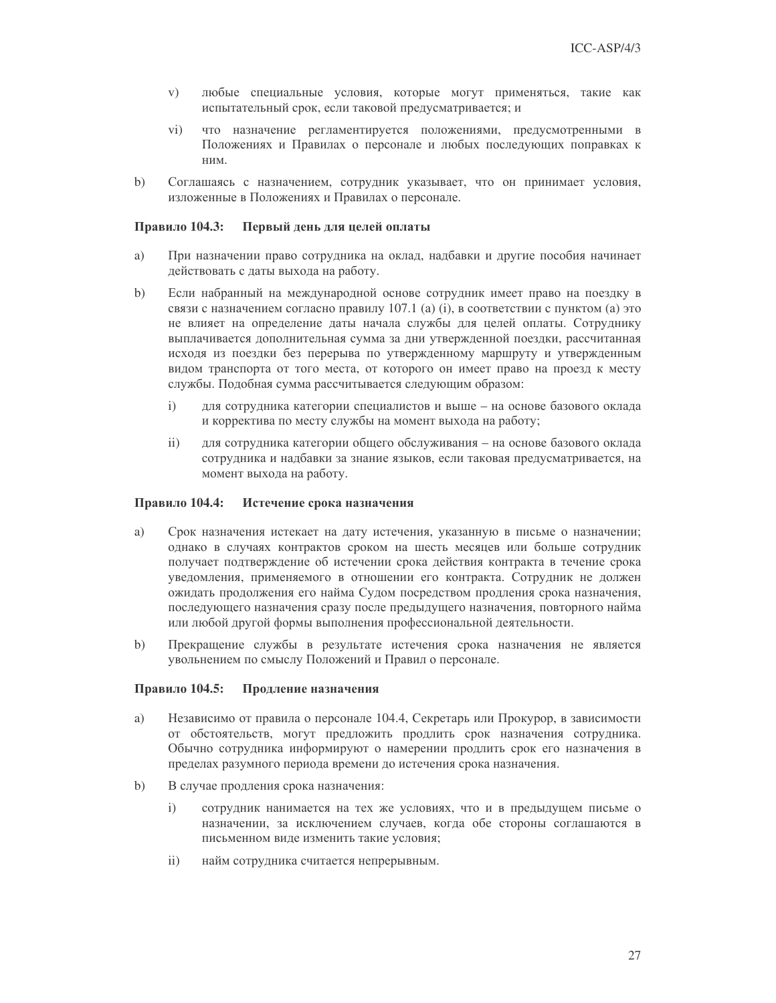- любые специальные условия, которые могут применяться, такие как  $V)$ испытательный срок, если таковой предусматривается; и
- что назначение регламентируется положениями, предусмотренными в  $\rm vi)$ Положениях и Правилах о персонале и любых последующих поправках к ним.
- $b)$ Соглашаясь с назначением, сотрудник указывает, что он принимает условия, изложенные в Положениях и Правилах о персонале.

#### Правило 104.3: Первый день для целей оплаты

- a) При назначении право сотрудника на оклад, надбавки и другие пособия начинает действовать с даты выхода на работу.
- $b)$ Если набранный на международной основе сотрудник имеет право на поездку в связи с назначением согласно правилу 107.1 (а) (i), в соответствии с пунктом (а) это не влияет на определение даты начала службы для целей оплаты. Сотруднику выплачивается дополнительная сумма за дни утвержденной поездки, рассчитанная исходя из поездки без перерыва по утвержденному маршруту и утвержденным видом транспорта от того места, от которого он имеет право на проезд к месту службы. Подобная сумма рассчитывается следующим образом:
	- $i)$ для сотрудника категории специалистов и выше - на основе базового оклада и корректива по месту службы на момент выхода на работу;
	- $ii)$ для сотрудника категории общего обслуживания - на основе базового оклада сотрудника и надбавки за знание языков, если таковая предусматривается, на момент выхода на работу.

#### Правило 104.4: Истечение срока назначения

- a) Срок назначения истекает на дату истечения, указанную в письме о назначении; однако в случаях контрактов сроком на шесть месяцев или больше сотрудник получает подтверждение об истечении срока действия контракта в течение срока уведомления, применяемого в отношении его контракта. Сотрудник не должен ожидать продолжения его найма Судом посредством продления срока назначения, последующего назначения сразу после предыдущего назначения, повторного найма или любой другой формы выполнения профессиональной деятельности.
- $b)$ Прекращение службы в результате истечения срока назначения не является увольнением по смыслу Положений и Правил о персонале.

#### Правило 104.5: Продление назначения

- a) Независимо от правила о персонале 104.4, Секретарь или Прокурор, в зависимости от обстоятельств, могут предложить продлить срок назначения сотрудника. Обычно сотрудника информируют о намерении продлить срок его назначения в пределах разумного периода времени до истечения срока назначения.
- В случае продления срока назначения:  $b)$ 
	- $\mathbf{i}$ сотрудник нанимается на тех же условиях, что и в предыдущем письме о назначении, за исключением случаев, когда обе стороны соглашаются в письменном виде изменить такие условия;
	- $\overline{11}$ найм сотрудника считается непрерывным.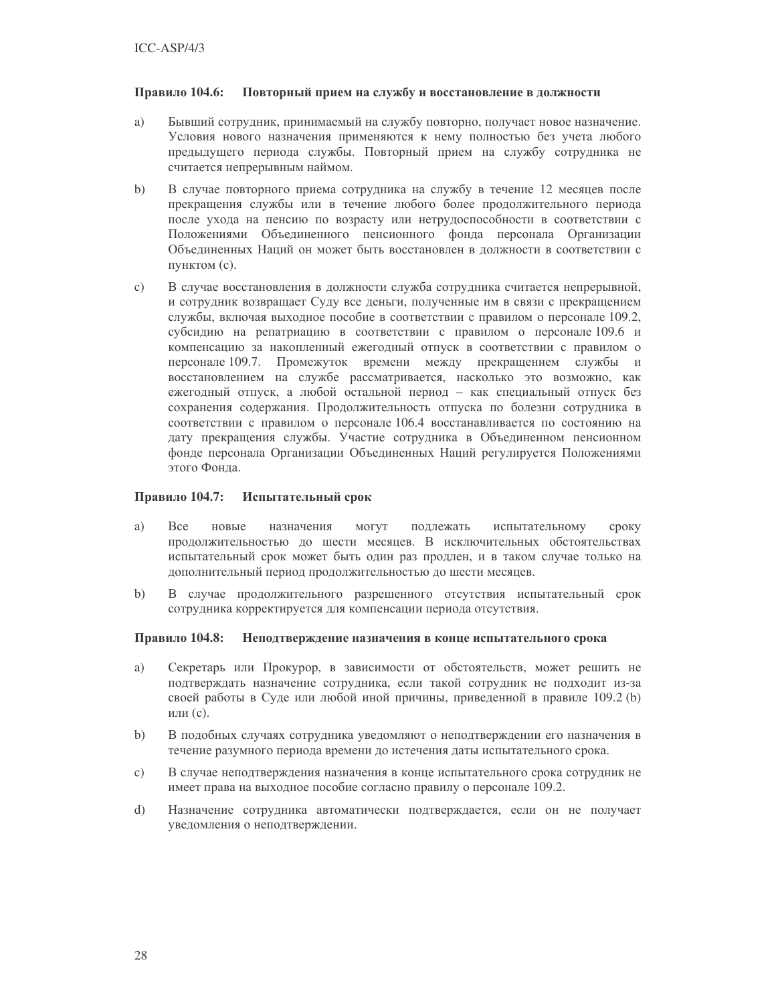#### Правило 104.6: Повторный прием на службу и восстановление в должности

- Бывший сотрудник, принимаемый на службу повторно, получает новое назначение. a) Условия нового назначения применяются к нему полностью без учета любого предыдущего периода службы. Повторный прием на службу сотрудника не считается непрерывным наймом.
- $b)$ В случае повторного приема сотрудника на службу в течение 12 месяцев после прекращения службы или в течение любого более продолжительного периода после ухода на пенсию по возрасту или нетрудоспособности в соответствии с Положениями Объединенного пенсионного фонда персонала Организации Объединенных Наций он может быть восстановлен в должности в соответствии с пунктом (с).
- $\mathbf{c})$ В случае восстановления в должности служба сотрудника считается непрерывной, и сотрудник возвращает Суду все деньги, полученные им в связи с прекращением службы, включая выходное пособие в соответствии с правилом о персонале 109.2, субсидию на репатриацию в соответствии с правилом о персонале 109.6 и компенсацию за накопленный ежегодный отпуск в соответствии с правилом о персонале 109.7. Промежуток времени между прекращением службы и восстановлением на службе рассматривается, насколько это возможно, как ежегодный отпуск, а любой остальной период - как специальный отпуск без сохранения содержания. Продолжительность отпуска по болезни сотрудника в соответствии с правилом о персонале 106.4 восстанавливается по состоянию на дату прекращения службы. Участие сотрудника в Объединенном пенсионном фонде персонала Организации Объединенных Наций регулируется Положениями этого Фонда.

#### Правило 104.7: Испытательный срок

- a) Bce новые назначения МОГУТ подлежать испытательному сроку продолжительностью до шести месяцев. В исключительных обстоятельствах испытательный срок может быть один раз продлен, и в таком случае только на дополнительный период продолжительностью до шести месяцев.
- $b)$ В случае продолжительного разрешенного отсутствия испытательный срок сотрудника корректируется для компенсации периода отсутствия.

#### Правило 104.8: Неподтверждение назначения в конце испытательного срока

- Секретарь или Прокурор, в зависимости от обстоятельств, может решить не a) подтверждать назначение сотрудника, если такой сотрудник не подходит из-за своей работы в Суде или любой иной причины, приведенной в правиле 109.2 (b) или (с).
- $\mathbf{b}$ В подобных случаях сотрудника уведомляют о неподтверждении его назначения в течение разумного периода времени до истечения даты испытательного срока.
- В случае неподтверждения назначения в конце испытательного срока сотрудник не  $\circ$ ) имеет права на выходное пособие согласно правилу о персонале 109.2.
- $\mathrm{d}$ Назначение сотрудника автоматически подтверждается, если он не получает уведомления о неподтверждении.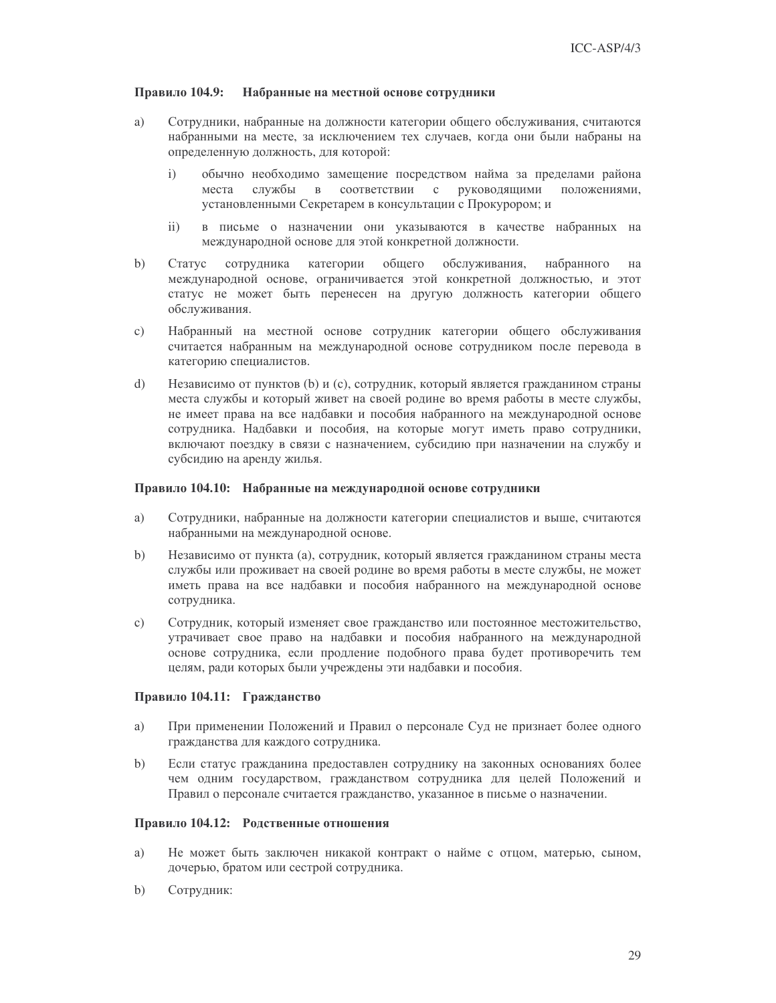#### Правило 104.9: Набранные на местной основе сотрудники

- a) Сотрудники, набранные на должности категории общего обслуживания, считаются набранными на месте, за исключением тех случаев, когда они были набраны на определенную должность, для которой:
	- $\mathbf{i}$ обычно необходимо замещение посредством найма за пределами района службы  $\, {\bf B} \,$ соответствии с руководящими места положениями, установленными Секретарем в консультации с Прокурором; и
	- $\mathbf{ii}$ в письме о назначении они указываются в качестве набранных на международной основе для этой конкретной должности.
- $b)$ Статус сотрудника категории общего обслуживания, набранного на международной основе, ограничивается этой конкретной должностью, и этот статус не может быть перенесен на другую должность категории общего обслуживания.
- $\mathbf{c}$ ) Набранный на местной основе сотрудник категории общего обслуживания считается набранным на международной основе сотрудником после перевода в категорию специалистов.
- $\mathbf{d}$ Независимо от пунктов (b) и (c), сотрудник, который является гражданином страны места службы и который живет на своей родине во время работы в месте службы, не имеет права на все надбавки и пособия набранного на международной основе сотрудника. Надбавки и пособия, на которые могут иметь право сотрудники, включают поездку в связи с назначением, субсидию при назначении на службу и субсидию на аренду жилья.

#### Правило 104.10: Набранные на международной основе сотрудники

- Сотрудники, набранные на должности категории специалистов и выше, считаются a) набранными на международной основе.
- $b)$ Независимо от пункта (а), сотрудник, который является гражданином страны места службы или проживает на своей родине во время работы в месте службы, не может иметь права на все надбавки и пособия набранного на международной основе сотрудника.
- $\mathbf{c})$ Сотрудник, который изменяет свое гражданство или постоянное местожительство, утрачивает свое право на надбавки и пособия набранного на международной основе сотрудника, если продление подобного права будет противоречить тем целям, ради которых были учреждены эти надбавки и пособия.

### Правило 104.11: Гражданство

- a) При применении Положений и Правил о персонале Суд не признает более одного гражданства для каждого сотрудника.
- $h)$ Если статус гражданина предоставлен сотруднику на законных основаниях более чем одним государством, гражданством сотрудника для целей Положений и Правил о персонале считается гражданство, указанное в письме о назначении.

### Правило 104.12: Родственные отношения

- Не может быть заключен никакой контракт о найме с отцом, матерью, сыном, a) дочерью, братом или сестрой сотрудника.
- $b)$ Сотрудник: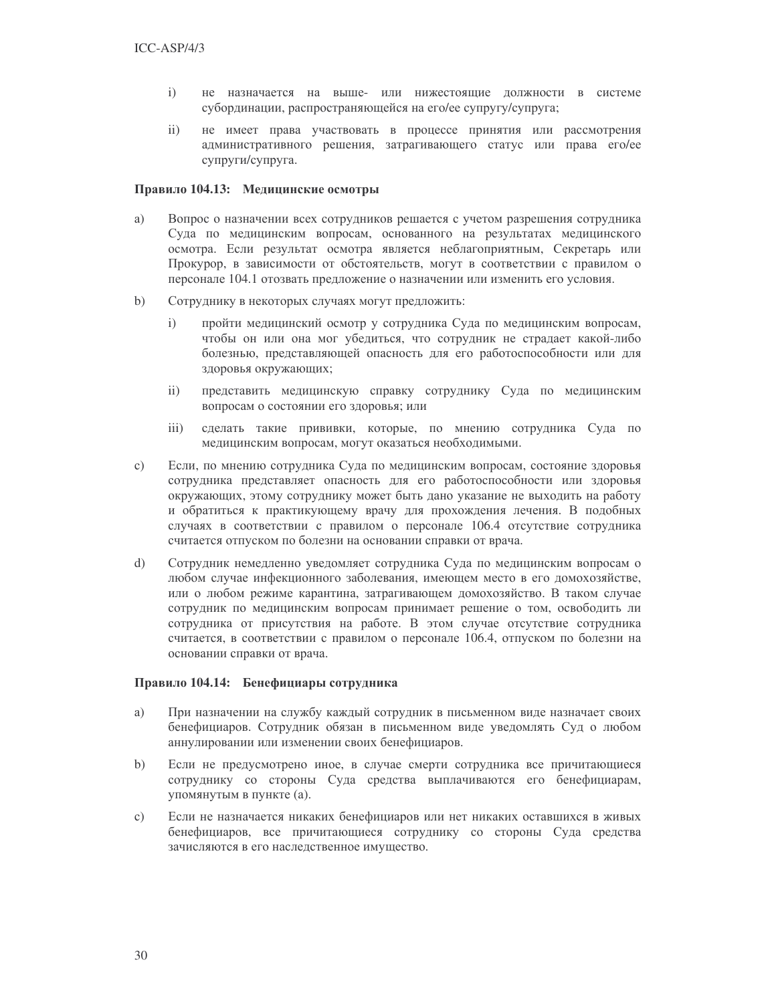- не назначается на выше- или нижестоящие должности в системе  $i)$ субординации, распространяющейся на его/ее супругу/супруга;
- не имеет права участвовать в процессе принятия или рассмотрения  $\overline{ii}$ административного решения, затрагивающего статус или права его/ее супруги/супруга.

#### Правило 104.13: Медицинские осмотры

- Вопрос о назначении всех сотрудников решается с учетом разрешения сотрудника a) Суда по медицинским вопросам, основанного на результатах медицинского осмотра. Если результат осмотра является неблагоприятным, Секретарь или Прокурор, в зависимости от обстоятельств, могут в соответствии с правилом о персонале 104.1 отозвать предложение о назначении или изменить его условия.
- $b)$ Сотруднику в некоторых случаях могут предложить:
	- $i)$ пройти медицинский осмотр у сотрудника Суда по медицинским вопросам, чтобы он или она мог убедиться, что сотрудник не страдает какой-либо болезнью, представляющей опасность для его работоспособности или для здоровья окружающих;
	- представить медицинскую справку сотруднику Суда по медицинским  $\mathbf{ii}$ вопросам о состоянии его здоровья; или
	- $\overline{iii}$ сделать такие прививки, которые, по мнению сотрудника Суда по медицинским вопросам, могут оказаться необходимыми.
- $\mathbf{c})$ Если, по мнению сотрудника Суда по медицинским вопросам, состояние здоровья сотрудника представляет опасность для его работоспособности или здоровья окружающих, этому сотруднику может быть дано указание не выходить на работу и обратиться к практикующему врачу для прохождения лечения. В подобных случаях в соответствии с правилом о персонале 106.4 отсутствие сотрудника считается отпуском по болезни на основании справки от врача.
- $\mathbf{d}$ Сотрудник немедленно уведомляет сотрудника Суда по медицинским вопросам о любом случае инфекционного заболевания, имеющем место в его домохозяйстве, или о любом режиме карантина, затрагивающем домохозяйство. В таком случае сотрудник по медицинским вопросам принимает решение о том, освободить ли сотрудника от присутствия на работе. В этом случае отсутствие сотрудника считается, в соответствии с правилом о персонале 106.4, отпуском по болезни на основании справки от врача.

### Правило 104.14: Бенефициары сотрудника

- a) При назначении на службу каждый сотрудник в письменном виде назначает своих бенефициаров. Сотрудник обязан в письменном виде уведомлять Суд о любом аннулировании или изменении своих бенефициаров.
- $b)$ Если не предусмотрено иное, в случае смерти сотрудника все причитающиеся сотруднику со стороны Суда средства выплачиваются его бенефициарам, упомянутым в пункте (а).
- $\mathbf{c})$ Если не назначается никаких бенефициаров или нет никаких оставшихся в живых бенефициаров, все причитающиеся сотруднику со стороны Суда средства зачисляются в его наследственное имущество.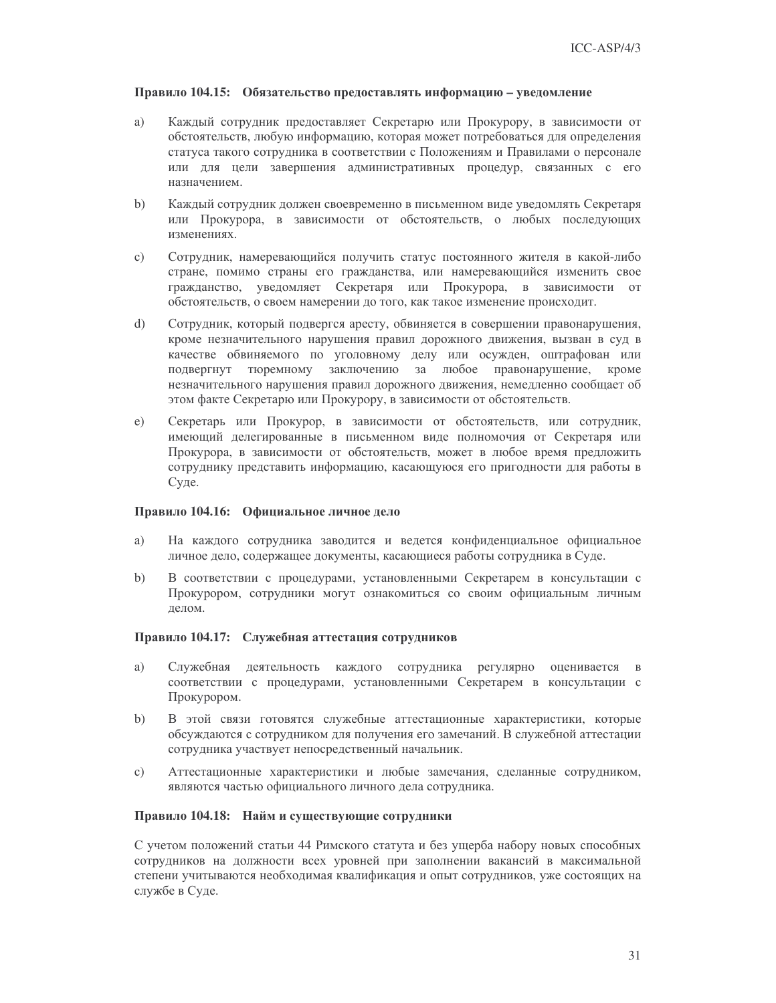#### Правило 104.15: Обязательство предоставлять информацию – уведомление

- Каждый сотрудник предоставляет Секретарю или Прокурору, в зависимости от a) обстоятельств, любую информацию, которая может потребоваться для определения статуса такого сотрудника в соответствии с Положениям и Правилами о персонале или для цели завершения административных процедур, связанных с его назначением.
- Каждый сотрудник должен своевременно в письменном виде уведомлять Секретаря  $b)$ или Прокурора, в зависимости от обстоятельств, о любых последующих изменениях.
- $\mathbf{c})$ Сотрудник, намеревающийся получить статус постоянного жителя в какой-либо стране, помимо страны его гражданства, или намеревающийся изменить свое гражданство, уведомляет Секретаря или Прокурора, в зависимости от обстоятельств, о своем намерении до того, как такое изменение происходит.
- $\mathrm{d}$ Сотрудник, который подвергся аресту, обвиняется в совершении правонарушения, кроме незначительного нарушения правил дорожного движения, вызван в суд в качестве обвиняемого по уголовному делу или осужден, оштрафован или подвергнут тюремному заключению за любое правонарушение, кроме незначительного нарушения правил дорожного движения, немедленно сообщает об этом факте Секретарю или Прокурору, в зависимости от обстоятельств.
- $e)$ Секретарь или Прокурор, в зависимости от обстоятельств, или сотрудник, имеющий делегированные в письменном виде полномочия от Секретаря или Прокурора, в зависимости от обстоятельств, может в любое время предложить сотруднику представить информацию, касающуюся его пригодности для работы в Суде.

#### Правило 104.16: Официальное личное дело

- a) На каждого сотрудника заводится и ведется конфиденциальное официальное личное дело, содержащее документы, касающиеся работы сотрудника в Суде.
- $b)$ В соответствии с процедурами, установленными Секретарем в консультации с Прокурором, сотрудники могут ознакомиться со своим официальным личным делом.

#### Правило 104.17: Служебная аттестация сотрудников

- Служебная деятельность каждого сотрудника регулярно оценивается в a) соответствии с процедурами, установленными Секретарем в консультации с Прокурором.
- В этой связи готовятся служебные аттестационные характеристики, которые  $b)$ обсуждаются с сотрудником для получения его замечаний. В служебной аттестации сотрудника участвует непосредственный начальник.
- Аттестационные характеристики и любые замечания, сделанные сотрудником,  $\mathbf{c})$ являются частью официального личного дела сотрудника.

### Правило 104.18: Найм и существующие сотрудники

С учетом положений статьи 44 Римского статута и без ущерба набору новых способных сотрудников на должности всех уровней при заполнении вакансий в максимальной степени учитываются необходимая квалификация и опыт сотрудников, уже состоящих на службе в Суде.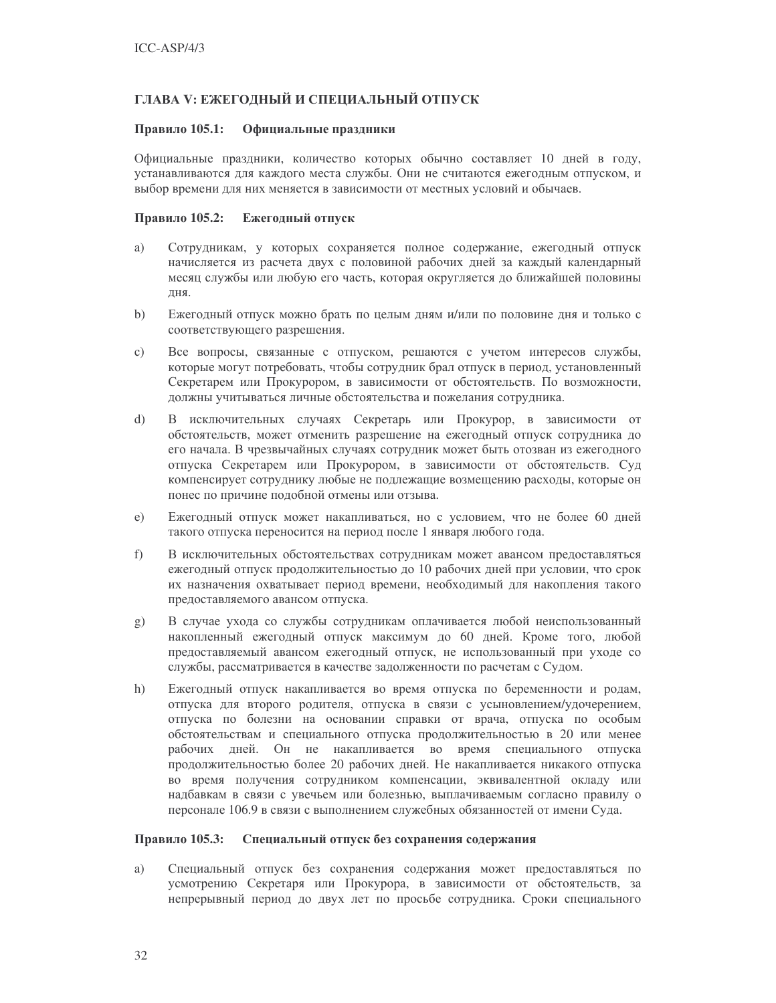## ГЛАВА V: ЕЖЕГОДНЫЙ И СПЕЦИАЛЬНЫЙ ОТПУСК

#### Правило 105.1: Официальные праздники

Официальные праздники, количество которых обычно составляет 10 дней в году, устанавливаются для каждого места службы. Они не считаются ежегодным отпуском, и выбор времени для них меняется в зависимости от местных условий и обычаев.

#### Правило 105.2: Ежегодный отпуск

- a) Сотрудникам, у которых сохраняется полное содержание, ежегодный отпуск начисляется из расчета двух с половиной рабочих дней за каждый календарный месяц службы или любую его часть, которая округляется до ближайшей половины дня.
- Ежегодный отпуск можно брать по целым дням и/или по половине дня и только с  $b)$ соответствующего разрешения.
- $\mathbf{c}$ ) Все вопросы, связанные с отпуском, решаются с учетом интересов службы, которые могут потребовать, чтобы сотрудник брал отпуск в период, установленный Секретарем или Прокурором, в зависимости от обстоятельств. По возможности, должны учитываться личные обстоятельства и пожелания сотрудника.
- $\mathbf{d}$ В исключительных случаях Секретарь или Прокурор, в зависимости от обстоятельств, может отменить разрешение на ежегодный отпуск сотрудника до его начала. В чрезвычайных случаях сотрудник может быть отозван из ежегодного отпуска Секретарем или Прокурором, в зависимости от обстоятельств. Суд компенсирует сотруднику любые не подлежащие возмещению расходы, которые он понес по причине подобной отмены или отзыва.
- Ежегодный отпуск может накапливаться, но с условием, что не более 60 дней e) такого отпуска переносится на период после 1 января любого года.
- f) В исключительных обстоятельствах сотрудникам может авансом предоставляться ежегодный отпуск продолжительностью до 10 рабочих дней при условии, что срок их назначения охватывает период времени, необходимый для накопления такого предоставляемого авансом отпуска.
- В случае ухода со службы сотрудникам оплачивается любой неиспользованный  $g$ ) накопленный ежегодный отпуск максимум до 60 дней. Кроме того, любой предоставляемый авансом ежегодный отпуск, не использованный при уходе со службы, рассматривается в качестве задолженности по расчетам с Судом.
- Ежегодный отпуск накапливается во время отпуска по беременности и родам,  $h)$ отпуска для второго родителя, отпуска в связи с усыновлением/удочерением, отпуска по болезни на основании справки от врача, отпуска по особым обстоятельствам и специального отпуска продолжительностью в 20 или менее рабочих дней. Он не накапливается во время специального отпуска продолжительностью более 20 рабочих дней. Не накапливается никакого отпуска во время получения сотрудником компенсации, эквивалентной окладу или надбавкам в связи с увечьем или болезнью, выплачиваемым согласно правилу о персонале 106.9 в связи с выполнением служебных обязанностей от имени Суда.

#### Правило 105.3: Специальный отпуск без сохранения содержания

a) Специальный отпуск без сохранения содержания может предоставляться по усмотрению Секретаря или Прокурора, в зависимости от обстоятельств, за непрерывный период до двух лет по просьбе сотрудника. Сроки специального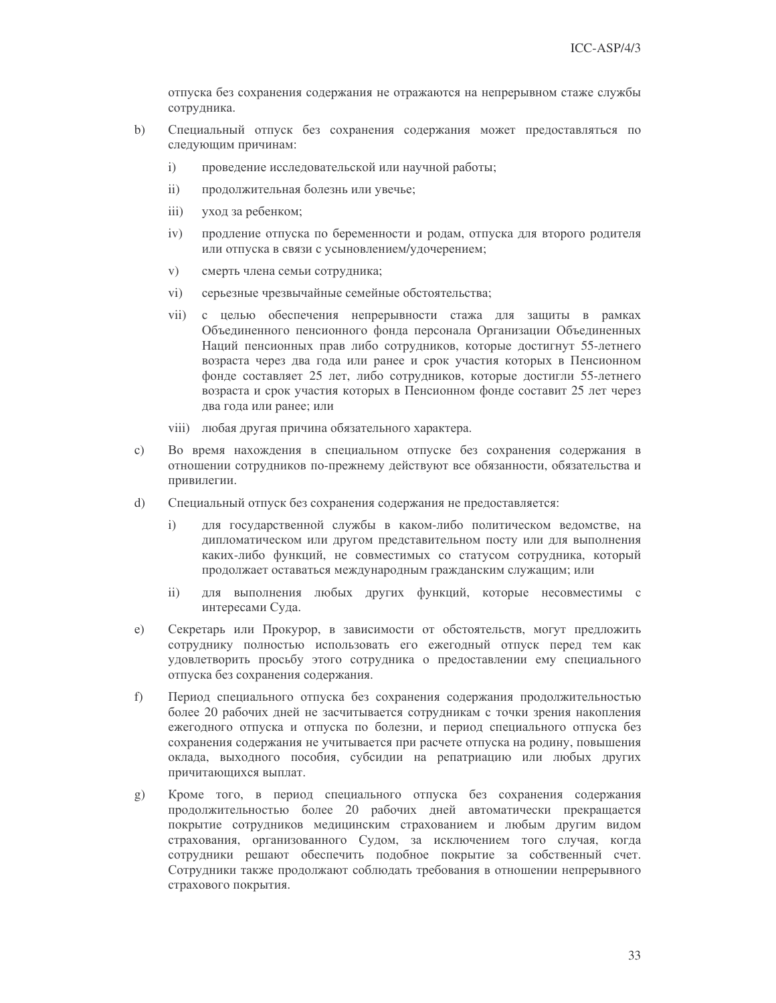отпуска без сохранения содержания не отражаются на непрерывном стаже службы сотрудника.

- $b)$ Специальный отпуск без сохранения содержания может предоставляться по следующим причинам:
	- $i)$ проведение исследовательской или научной работы;
	- $\mathbf{ii}$ ) продолжительная болезнь или увечье;
	- $iii)$ уход за ребенком;
	- продление отпуска по беременности и родам, отпуска для второго родителя  $iv)$ или отпуска в связи с усыновлением/удочерением;
	- $V)$ смерть члена семьи сотрудника;
	- $\rm vi)$ серьезные чрезвычайные семейные обстоятельства;
	- $vii)$ с целью обеспечения непрерывности стажа для защиты в рамках Объединенного пенсионного фонда персонала Организации Объединенных Наций пенсионных прав либо сотрудников, которые достигнут 55-летнего возраста через два года или ранее и срок участия которых в Пенсионном фонде составляет 25 лет, либо сотрудников, которые достигли 55-летнего возраста и срок участия которых в Пенсионном фонде составит 25 лет через два года или ранее; или
	- viii) любая другая причина обязательного характера.
- $\mathbf{c})$ Во время нахождения в специальном отпуске без сохранения содержания в отношении сотрудников по-прежнему действуют все обязанности, обязательства и привилегии.
- $\mathrm{d}$ Специальный отпуск без сохранения содержания не предоставляется:
	- для государственной службы в каком-либо политическом ведомстве, на  $\mathbf{i}$ дипломатическом или другом представительном посту или для выполнения каких-либо функций, не совместимых со статусом сотрудника, который продолжает оставаться международным гражданским служащим; или
	- $\mathbf{ii}$ для выполнения любых других функций, которые несовместимы с интересами Суда.
- $e)$ Секретарь или Прокурор, в зависимости от обстоятельств, могут предложить сотруднику полностью использовать его ежегодный отпуск перед тем как удовлетворить просьбу этого сотрудника о предоставлении ему специального отпуска без сохранения содержания.
- $f$ ) Период специального отпуска без сохранения содержания продолжительностью более 20 рабочих дней не засчитывается сотрудникам с точки зрения накопления ежегодного отпуска и отпуска по болезни, и период специального отпуска без сохранения содержания не учитывается при расчете отпуска на родину, повышения оклада, выходного пособия, субсидии на репатриацию или любых других причитающихся выплат.
- Кроме того, в период специального отпуска без сохранения содержания  $(g)$ продолжительностью более 20 рабочих дней автоматически прекращается покрытие сотрудников медицинским страхованием и любым другим видом страхования, организованного Судом, за исключением того случая, когда сотрудники решают обеспечить подобное покрытие за собственный счет. Сотрудники также продолжают соблюдать требования в отношении непрерывного страхового покрытия.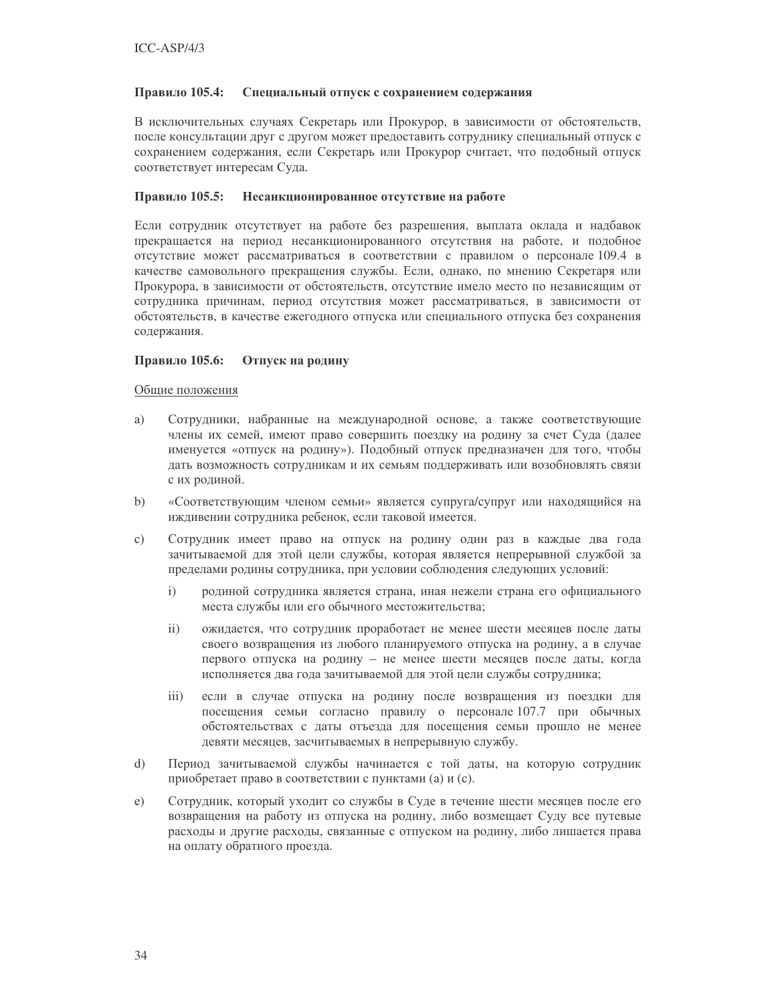#### Правило 105.4: Специальный отпуск с сохранением содержания

В исключительных случаях Секретарь или Прокурор, в зависимости от обстоятельств, после консультации друг с другом может предоставить сотруднику специальный отпуск с сохранением содержания, если Секретарь или Прокурор считает, что подобный отпуск соответствует интересам Суда.

#### Правило 105.5: Несанкционированное отсутствие на работе

Если сотрудник отсутствует на работе без разрешения, выплата оклада и надбавок прекращается на период несанкционированного отсутствия на работе, и подобное отсутствие может рассматриваться в соответствии с правилом о персонале 109.4 в качестве самовольного прекращения службы. Если, однако, по мнению Секретаря или Прокурора, в зависимости от обстоятельств, отсутствие имело место по независящим от сотрудника причинам, период отсутствия может рассматриваться, в зависимости от обстоятельств, в качестве ежегодного отпуска или специального отпуска без сохранения содержания.

### Правило 105.6: Отпуск на родину

### Общие положения

- a) Сотрудники, набранные на международной основе, а также соответствующие члены их семей, имеют право совершить поездку на родину за счет Суда (далее именуется «отпуск на родину»). Подобный отпуск предназначен для того, чтобы дать возможность сотрудникам и их семьям поддерживать или возобновлять связи с их родиной.
- $b)$ «Соответствующим членом семьи» является супруга/супруг или находящийся на иждивении сотрудника ребенок, если таковой имеется.
- $\mathbf{c})$ Сотрудник имеет право на отпуск на родину один раз в каждые два года зачитываемой для этой цели службы, которая является непрерывной службой за пределами родины сотрудника, при условии соблюдения следующих условий:
	- $i)$ родиной сотрудника является страна, иная нежели страна его официального места службы или его обычного местожительства;
	- $ii)$ ожидается, что сотрудник проработает не менее шести месяцев после даты своего возвращения из любого планируемого отпуска на родину, а в случае первого отпуска на родину - не менее шести месяцев после даты, когда исполняется два года зачитываемой для этой цели службы сотрудника;
	- $\overline{iii}$ если в случае отпуска на родину после возвращения из поездки для посещения семьи согласно правилу о персонале 107.7 при обычных обстоятельствах с даты отъезда для посещения семьи прошло не менее девяти месяцев, засчитываемых в непрерывную службу.
- $\overline{d}$ Период зачитываемой службы начинается с той даты, на которую сотрудник приобретает право в соответствии с пунктами (а) и (с).
- Сотрудник, который уходит со службы в Суде в течение шести месяцев после его  $e)$ возвращения на работу из отпуска на родину, либо возмещает Суду все путевые расходы и другие расходы, связанные с отпуском на родину, либо лишается права на оплату обратного проезда.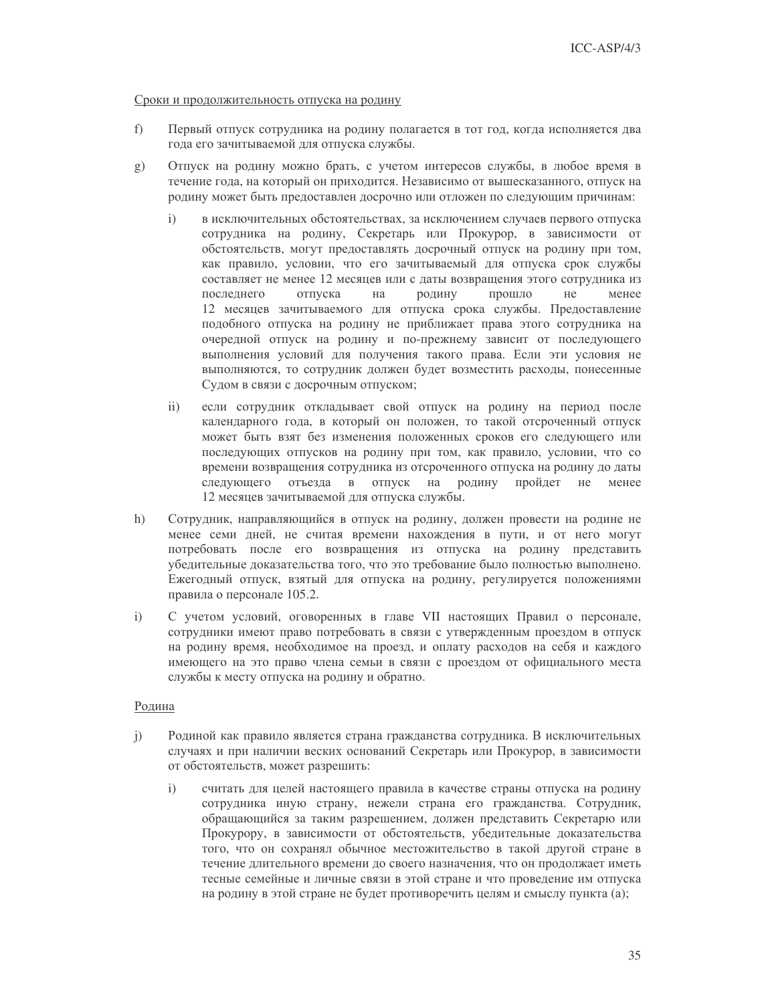#### Сроки и продолжительность отпуска на родину

- $f$ ) Первый отпуск сотрудника на родину полагается в тот год, когда исполняется два года его зачитываемой для отпуска службы.
- Отпуск на родину можно брать, с учетом интересов службы, в любое время в  $g)$ течение года, на который он приходится. Независимо от вышесказанного, отпуск на родину может быть предоставлен досрочно или отложен по следующим причинам:
	- в исключительных обстоятельствах, за исключением случаев первого отпуска  $\mathbf{i}$ сотрудника на родину, Секретарь или Прокурор, в зависимости от обстоятельств, могут предоставлять досрочный отпуск на родину при том, как правило, условии, что его зачитываемый для отпуска срок службы составляет не менее 12 месяцев или с даты возвращения этого сотрудника из послелнего отпуска на родину прошло He менее 12 месяцев зачитываемого для отпуска срока службы. Предоставление подобного отпуска на родину не приближает права этого сотрудника на очередной отпуск на родину и по-прежнему зависит от последующего выполнения условий для получения такого права. Если эти условия не выполняются, то сотрудник должен будет возместить расходы, понесенные Судом в связи с досрочным отпуском;
	- $\overline{11}$ если сотрудник откладывает свой отпуск на родину на период после календарного года, в который он положен, то такой отсроченный отпуск может быть взят без изменения положенных сроков его следующего или последующих отпусков на родину при том, как правило, условии, что со времени возвращения сотрудника из отсроченного отпуска на родину до даты следующего отъезда в отпуск на родину пройдет  $He$ менее 12 месяцев зачитываемой для отпуска службы.
- $h)$ Сотрудник, направляющийся в отпуск на родину, должен провести на родине не менее семи дней, не считая времени нахождения в пути, и от него могут потребовать после его возвращения из отпуска на родину представить убедительные доказательства того, что это требование было полностью выполнено. Ежегодный отпуск, взятый для отпуска на родину, регулируется положениями правила о персонале 105.2.
- С учетом условий, оговоренных в главе VII настоящих Правил о персонале,  $i)$ сотрудники имеют право потребовать в связи с утвержденным проездом в отпуск на родину время, необходимое на проезд, и оплату расходов на себя и каждого имеющего на это право члена семьи в связи с проездом от официального места службы к месту отпуска на родину и обратно.

### Родина

- Родиной как правило является страна гражданства сотрудника. В исключительных  $\mathbf{i}$ случаях и при наличии веских оснований Секретарь или Прокурор, в зависимости от обстоятельств, может разрешить:
	- $i)$ считать для целей настоящего правила в качестве страны отпуска на родину сотрудника иную страну, нежели страна его гражданства. Сотрудник, обращающийся за таким разрешением, должен представить Секретарю или Прокурору, в зависимости от обстоятельств, убедительные доказательства того, что он сохранял обычное местожительство в такой другой стране в течение длительного времени до своего назначения, что он продолжает иметь тесные семейные и личные связи в этой стране и что проведение им отпуска на родину в этой стране не будет противоречить целям и смыслу пункта (а);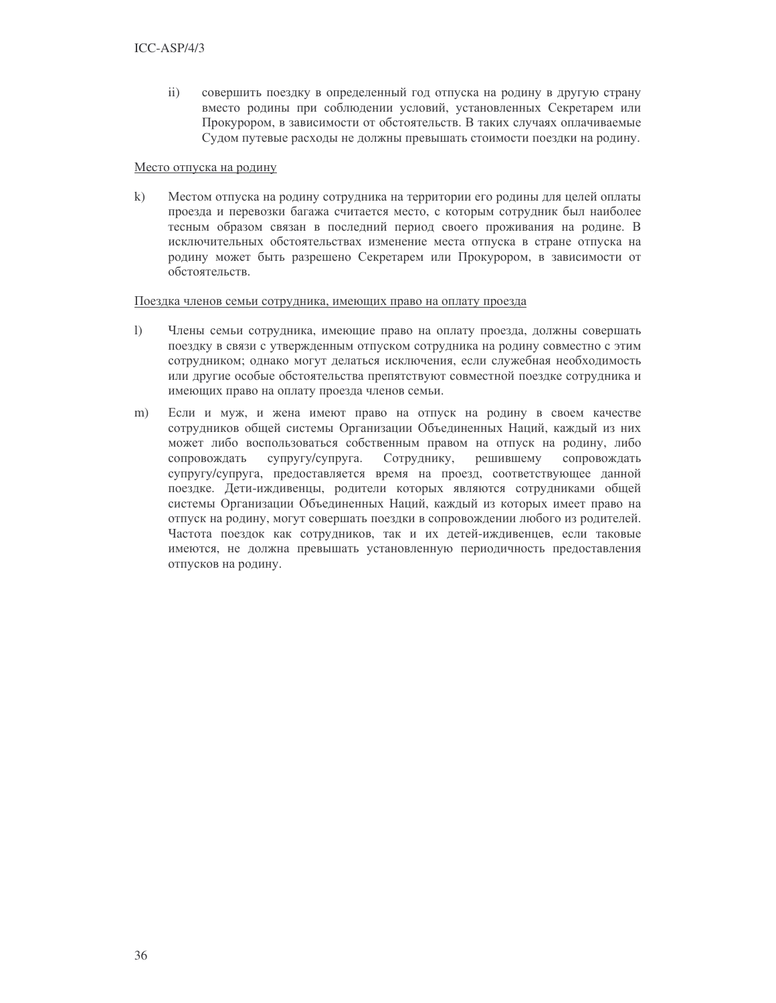$ii)$ совершить поездку в определенный год отпуска на родину в другую страну вместо родины при соблюдении условий, установленных Секретарем или Прокурором, в зависимости от обстоятельств. В таких случаях оплачиваемые Судом путевые расходы не должны превышать стоимости поездки на родину.

### Место отпуска на родину

 $k)$ Местом отпуска на родину сотрудника на территории его родины для целей оплаты проезда и перевозки багажа считается место, с которым сотрудник был наиболее тесным образом связан в последний период своего проживания на родине. В исключительных обстоятельствах изменение места отпуска в стране отпуска на родину может быть разрешено Секретарем или Прокурором, в зависимости от обстоятельств.

#### Поездка членов семьи сотрудника, имеющих право на оплату проезда

- $\overline{1}$ Члены семьи сотрудника, имеющие право на оплату проезда, должны совершать поездку в связи с утвержденным отпуском сотрудника на родину совместно с этим сотрудником; однако могут делаться исключения, если служебная необходимость или другие особые обстоятельства препятствуют совместной поездке сотрудника и имеющих право на оплату проезда членов семьи.
- $m)$ Если и муж, и жена имеют право на отпуск на родину в своем качестве сотрудников общей системы Организации Объединенных Наций, каждый из них может либо воспользоваться собственным правом на отпуск на родину, либо сопровождать супругу/супруга. Сотруднику, решившему сопровождать супругу/супруга, предоставляется время на проезд, соответствующее данной поездке. Дети-иждивенцы, родители которых являются сотрудниками общей системы Организации Объединенных Наций, каждый из которых имеет право на отпуск на родину, могут совершать поездки в сопровождении любого из родителей. Частота поездок как сотрудников, так и их детей-иждивенцев, если таковые имеются, не должна превышать установленную периодичность предоставления отпусков на родину.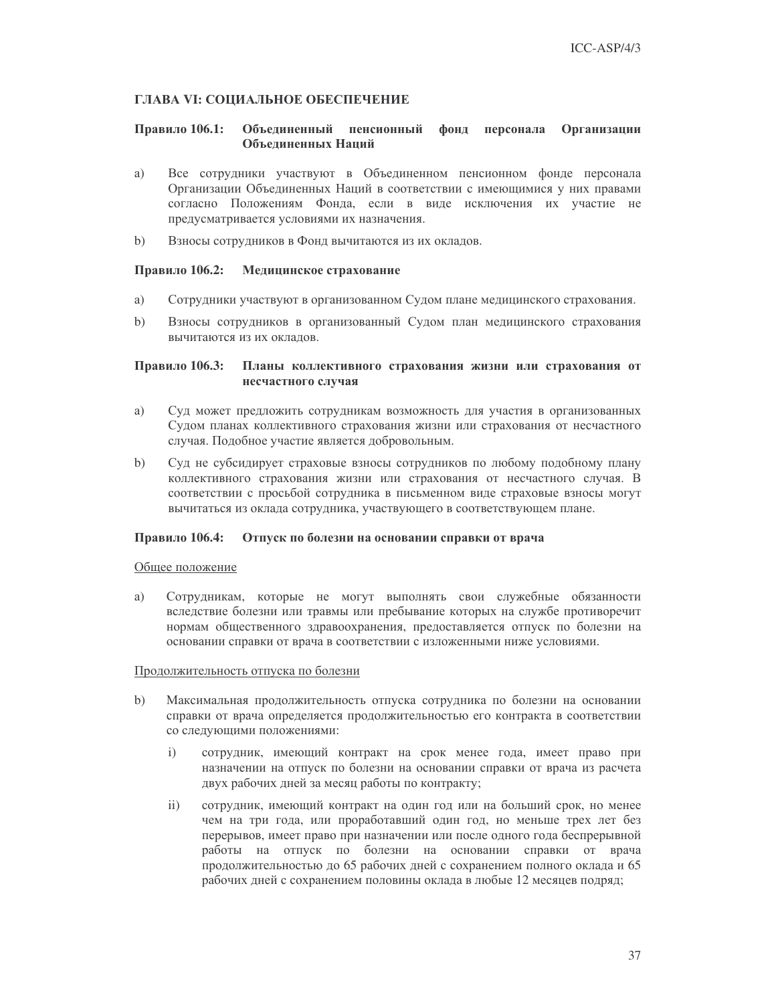### ГЛАВА VI: СОЦИАЛЬНОЕ ОБЕСПЕЧЕНИЕ

#### Правило 106.1: Объединенный пенсионный фонд персонала Организации Объелиненных Наций

- Все сотрудники участвуют в Объединенном пенсионном фонде персонала a) Организации Объединенных Наций в соответствии с имеющимися у них правами согласно Положениям Фонда, если в виде исключения их участие не предусматривается условиями их назначения.
- $b)$ Взносы сотрудников в Фонд вычитаются из их окладов.

#### Правило 106.2: Медицинское страхование

- a) Сотрудники участвуют в организованном Судом плане медицинского страхования.
- Взносы сотрудников в организованный Судом план медицинского страхования  $b)$ вычитаются из их окладов.

#### Правило 106.3: Планы коллективного страхования жизни или страхования от несчастного случая

- a) Суд может предложить сотрудникам возможность для участия в организованных Судом планах коллективного страхования жизни или страхования от несчастного случая. Подобное участие является добровольным.
- $b)$ Суд не субсидирует страховые взносы сотрудников по любому подобному плану коллективного страхования жизни или страхования от несчастного случая. В соответствии с просьбой сотрудника в письменном виде страховые взносы могут вычитаться из оклада сотрудника, участвующего в соответствующем плане.

### Правило 106.4: Отпуск по болезни на основании справки от врача

#### Общее положение

Сотрудникам, которые не могут выполнять свои служебные обязанности a) вследствие болезни или травмы или пребывание которых на службе противоречит нормам общественного здравоохранения, предоставляется отпуск по болезни на основании справки от врача в соответствии с изложенными ниже условиями.

#### Продолжительность отпуска по болезни

- $b)$ Максимальная продолжительность отпуска сотрудника по болезни на основании справки от врача определяется продолжительностью его контракта в соответствии со следующими положениями:
	- сотрудник, имеющий контракт на срок менее года, имеет право при  $\mathbf{i}$ назначении на отпуск по болезни на основании справки от врача из расчета двух рабочих дней за месяц работы по контракту;
	- сотрудник, имеющий контракт на один год или на больший срок, но менее  $\overline{ii}$ чем на три года, или проработавший один год, но меньше трех лет без перерывов, имеет право при назначении или после одного года беспрерывной работы на отпуск по болезни на основании справки от врача продолжительностью до 65 рабочих дней с сохранением полного оклада и 65 рабочих дней с сохранением половины оклада в любые 12 месяцев подряд;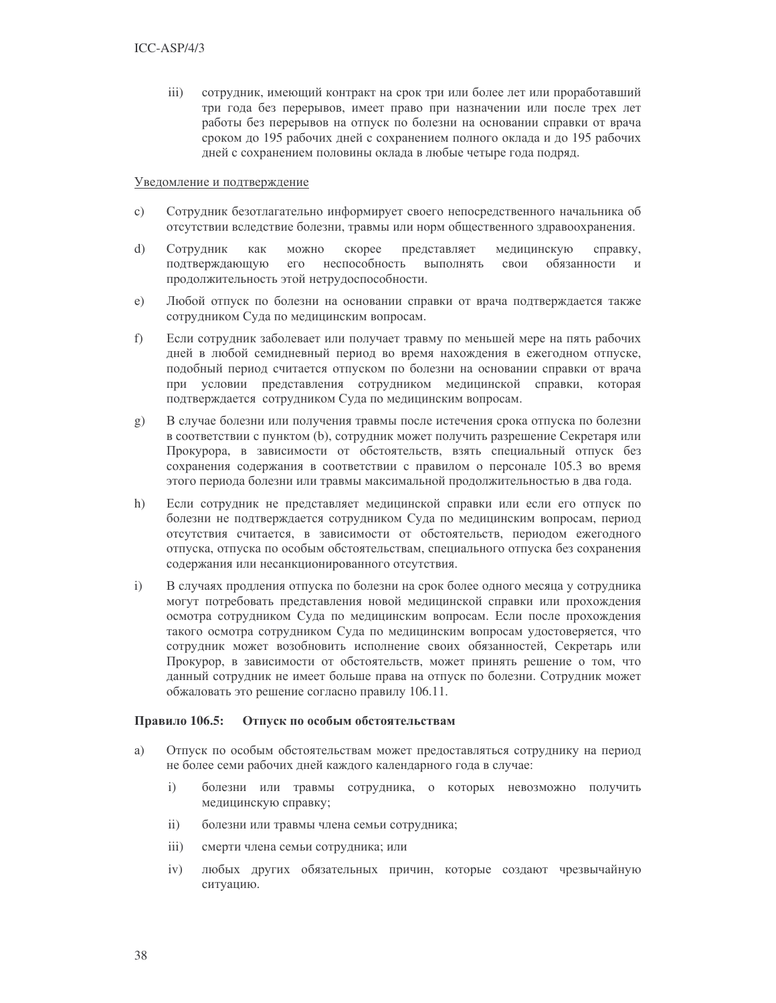$\overline{iii}$ ) сотрудник, имеющий контракт на срок три или более лет или проработавший три года без перерывов, имеет право при назначении или после трех лет работы без перерывов на отпуск по болезни на основании справки от врача сроком до 195 рабочих дней с сохранением полного оклада и до 195 рабочих дней с сохранением половины оклада в любые четыре года подряд.

#### Уведомление и подтверждение

- Сотрудник безотлагательно информирует своего непосредственного начальника об  $\mathbf{c})$ отсутствии вследствие болезни, травмы или норм общественного здравоохранения.
- $\overline{d}$ Сотрудник как можно скорее представляет медицинскую справку, подтверждающую его неспособность выполнять свои обязанности  $\overline{M}$ продолжительность этой нетрудоспособности.
- $e)$ Любой отпуск по болезни на основании справки от врача подтверждается также сотрудником Суда по медицинским вопросам.
- f) Если сотрудник заболевает или получает травму по меньшей мере на пять рабочих дней в любой семидневный период во время нахождения в ежегодном отпуске, подобный период считается отпуском по болезни на основании справки от врача при условии представления сотрудником медицинской справки, которая подтверждается сотрудником Суда по медицинским вопросам.
- g) В случае болезни или получения травмы после истечения срока отпуска по болезни в соответствии с пунктом (b), сотрудник может получить разрешение Секретаря или Прокурора, в зависимости от обстоятельств, взять специальный отпуск без сохранения содержания в соответствии с правилом о персонале 105.3 во время этого периода болезни или травмы максимальной продолжительностью в два года.
- $h)$ Если сотрудник не представляет медицинской справки или если его отпуск по болезни не подтверждается сотрудником Суда по медицинским вопросам, период отсутствия считается, в зависимости от обстоятельств, периодом ежегодного отпуска, отпуска по особым обстоятельствам, специального отпуска без сохранения содержания или несанкционированного отсутствия.
- В случаях продления отпуска по болезни на срок более одного месяца у сотрудника  $i)$ могут потребовать представления новой медицинской справки или прохождения осмотра сотрудником Суда по медицинским вопросам. Если после прохождения такого осмотра сотрудником Суда по медицинским вопросам удостоверяется, что сотрудник может возобновить исполнение своих обязанностей, Секретарь или Прокурор, в зависимости от обстоятельств, может принять решение о том, что данный сотрудник не имеет больше права на отпуск по болезни. Сотрудник может обжаловать это решение согласно правилу 106.11.

#### Правило 106.5: Отпуск по особым обстоятельствам

- a) Отпуск по особым обстоятельствам может предоставляться сотруднику на период не более семи рабочих дней каждого календарного года в случае:
	- болезни или травмы сотрудника, о которых невозможно получить  $i)$ медицинскую справку;
	- $\rm ii)$ болезни или травмы члена семьи сотрудника;
	- $\overline{iii}$ ) смерти члена семьи сотрудника; или
	- $iv)$ любых других обязательных причин, которые создают чрезвычайную ситуацию.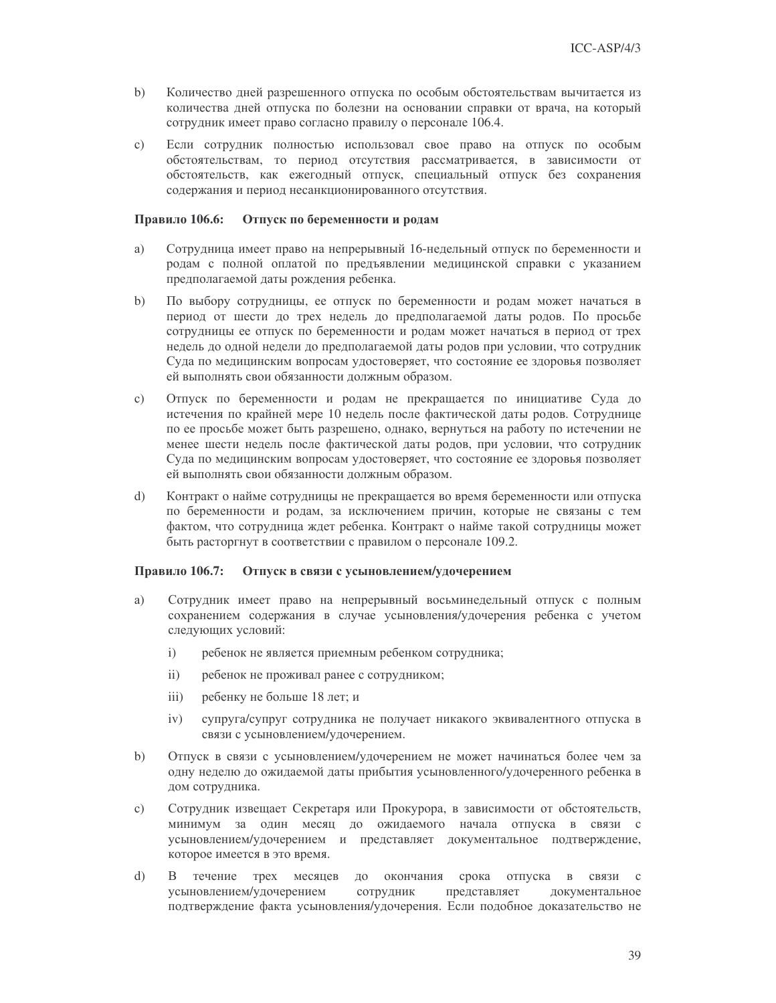- $b)$ Количество дней разрешенного отпуска по особым обстоятельствам вычитается из количества дней отпуска по болезни на основании справки от врача, на который сотрудник имеет право согласно правилу о персонале 106.4.
- Если сотрудник полностью использовал свое право на отпуск по особым  $\mathbf{c})$ обстоятельствам, то период отсутствия рассматривается, в зависимости от обстоятельств, как ежегодный отпуск, специальный отпуск без сохранения содержания и период несанкционированного отсутствия.

#### Правило 106.6: Отпуск по беременности и родам

- a) Сотрудница имеет право на непрерывный 16-недельный отпуск по беременности и родам с полной оплатой по предъявлении медицинской справки с указанием предполагаемой даты рождения ребенка.
- По выбору сотрудницы, ее отпуск по беременности и родам может начаться в  $b)$ период от шести до трех недель до предполагаемой даты родов. По просьбе сотрудницы ее отпуск по беременности и родам может начаться в период от трех недель до одной недели до предполагаемой даты родов при условии, что сотрудник Суда по медицинским вопросам удостоверяет, что состояние ее здоровья позволяет ей выполнять свои обязанности должным образом.
- $\mathbf{c})$ Отпуск по беременности и родам не прекращается по инициативе Суда до истечения по крайней мере 10 недель после фактической даты родов. Сотруднице по ее просьбе может быть разрешено, однако, вернуться на работу по истечении не менее шести недель после фактической даты родов, при условии, что сотрудник Суда по медицинским вопросам удостоверяет, что состояние ее здоровья позволяет ей выполнять свои обязанности должным образом.
- Контракт о найме сотрудницы не прекращается во время беременности или отпуска  $\mathrm{d}$ по беременности и родам, за исключением причин, которые не связаны с тем фактом, что сотрудница ждет ребенка. Контракт о найме такой сотрудницы может быть расторгнут в соответствии с правилом о персонале 109.2.

#### Правило 106.7: Отпуск в связи с усыновлением/удочерением

- Сотрудник имеет право на непрерывный восьминедельный отпуск с полным a) сохранением содержания в случае усыновления/удочерения ребенка с учетом следующих условий:
	- $\mathbf{i}$ ребенок не является приемным ребенком сотрудника;
	- $\mathbf{ii}$ ребенок не проживал ранее с сотрудником;
	- ребенку не больше 18 лет; и  $\overline{111}$
	- супруга/супруг сотрудника не получает никакого эквивалентного отпуска в  $iv)$ связи с усыновлением/удочерением.
- $b)$ Отпуск в связи с усыновлением/удочерением не может начинаться более чем за одну неделю до ожидаемой даты прибытия усыновленного/удочеренного ребенка в дом сотрудника.
- Сотрудник извещает Секретаря или Прокурора, в зависимости от обстоятельств,  $\mathbf{c})$ минимум за один месяц до ожидаемого начала отпуска в связи с усыновлением/удочерением и представляет документальное подтверждение, которое имеется в это время.
- $\mathbf{d}$ течение трех месяцев до окончания срока отпуска в связи с  $\mathbf{B}$ усыновлением/удочерением сотрудник представляет документальное подтверждение факта усыновления/удочерения. Если подобное доказательство не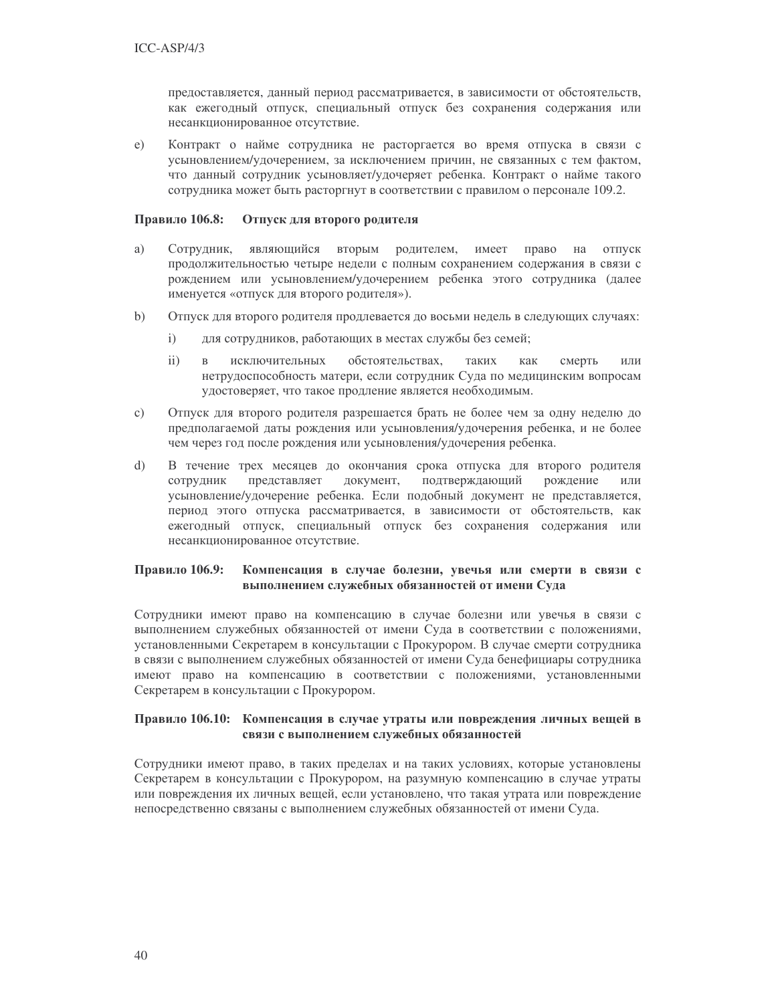предоставляется, данный период рассматривается, в зависимости от обстоятельств, как ежегодный отпуск, специальный отпуск без сохранения содержания или несанкционированное отсутствие.

Контракт о найме сотрудника не расторгается во время отпуска в связи с  $e)$ усыновлением/удочерением, за исключением причин, не связанных с тем фактом, что данный сотрудник усыновляет/удочеряет ребенка. Контракт о найме такого сотрудника может быть расторгнут в соответствии с правилом о персонале 109.2.

#### Правило 106.8: Отпуск для второго родителя

- a) Сотрудник, являющийся вторым родителем, имеет право  $H\alpha$ отпуск продолжительностью четыре недели с полным сохранением содержания в связи с рождением или усыновлением/удочерением ребенка этого сотрудника (далее именуется «отпуск для второго родителя»).
- $\mathbf{b}$ Отпуск для второго родителя продлевается до восьми недель в следующих случаях:
	- для сотрудников, работающих в местах службы без семей;  $i)$
	- $\mathbf{ii}$  $\mathbf{B}$ исключительных обстоятельствах, таких как смерть или нетрудоспособность матери, если сотрудник Суда по медицинским вопросам удостоверяет, что такое продление является необходимым.
- $c)$ Отпуск для второго родителя разрешается брать не более чем за одну неделю до предполагаемой даты рождения или усыновления/удочерения ребенка, и не более чем через год после рождения или усыновления/удочерения ребенка.
- $\overline{d}$ В течение трех месяцев до окончания срока отпуска для второго родителя подтверждающий сотрудник представляет документ, рождение или усыновление/удочерение ребенка. Если подобный документ не представляется, период этого отпуска рассматривается, в зависимости от обстоятельств, как ежегодный отпуск, специальный отпуск без сохранения содержания или несанкционированное отсутствие.

#### Компенсация в случае болезни, увечья или смерти в связи с Правило 106.9: выполнением служебных обязанностей от имени Суда

Сотрудники имеют право на компенсацию в случае болезни или увечья в связи с выполнением служебных обязанностей от имени Суда в соответствии с положениями, установленными Секретарем в консультации с Прокурором. В случае смерти сотрудника в связи с выполнением служебных обязанностей от имени Суда бенефициары сотрудника имеют право на компенсацию в соответствии с положениями, установленными Секретарем в консультации с Прокурором.

### Правило 106.10: Компенсация в случае утраты или повреждения личных вещей в связи с выполнением служебных обязанностей

Сотрудники имеют право, в таких пределах и на таких условиях, которые установлены Секретарем в консультации с Прокурором, на разумную компенсацию в случае утраты или повреждения их личных вещей, если установлено, что такая утрата или повреждение непосредственно связаны с выполнением служебных обязанностей от имени Суда.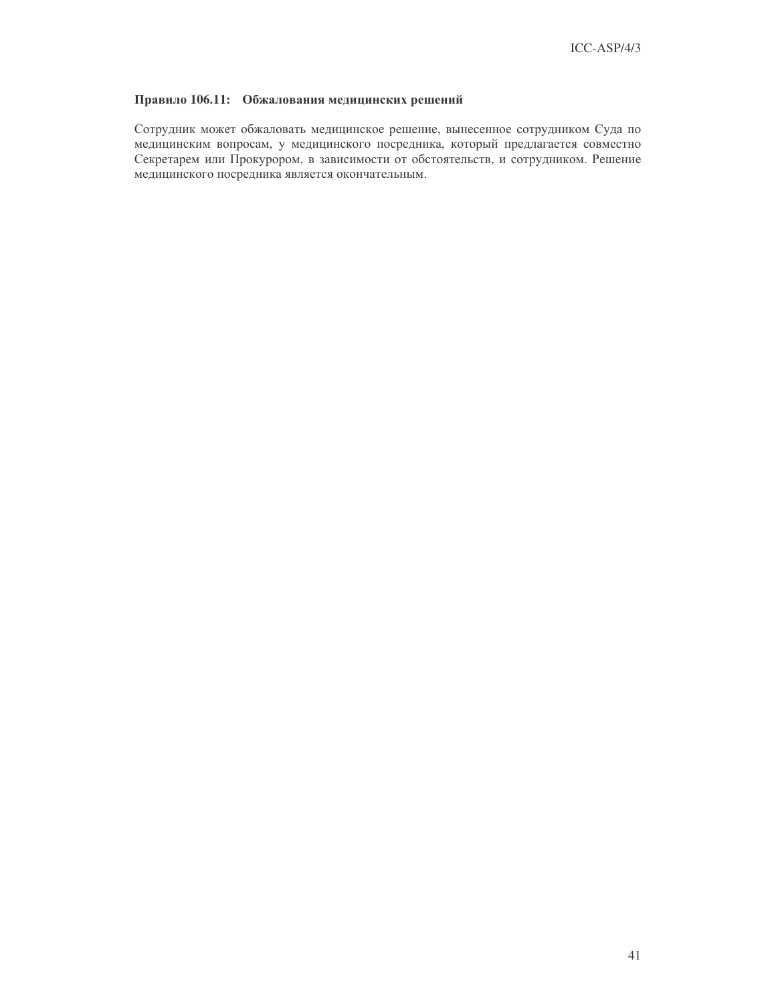### Правило 106.11: Обжалования медицинских решений

Сотрудник может обжаловать медицинское решение, вынесенное сотрудником Суда по медицинским вопросам, у медицинского посредника, который предлагается совместно Секретарем или Прокурором, в зависимости от обстоятельств, и сотрудником. Решение медицинского посредника является окончательным.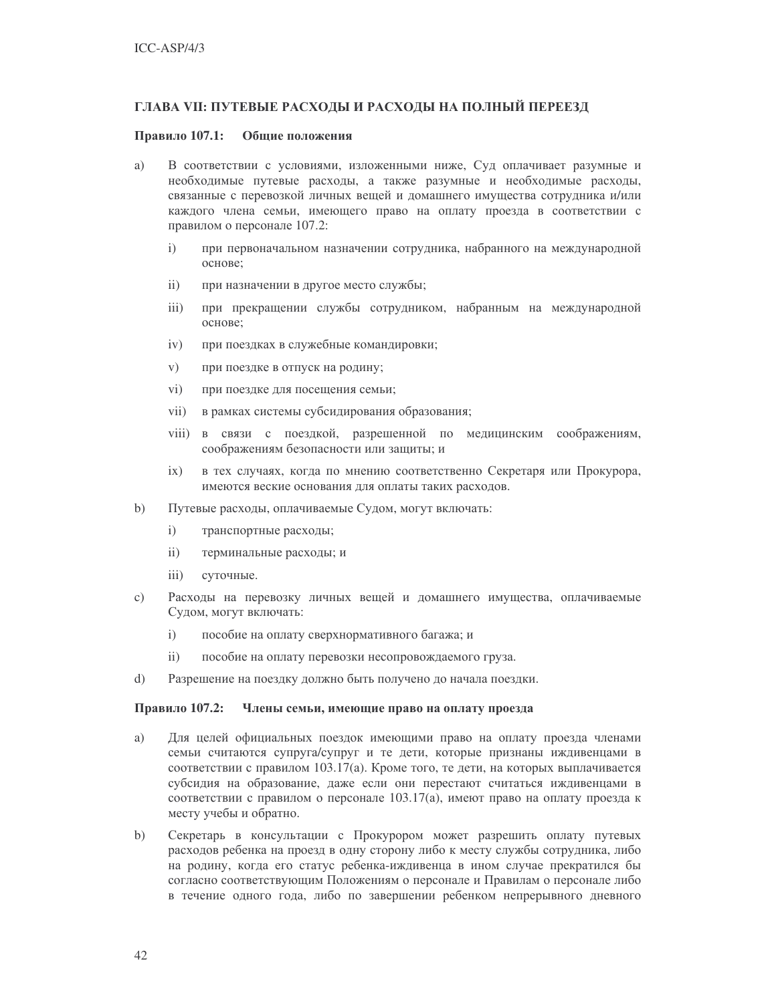### ГЛАВА VII: ПУТЕВЫЕ РАСХОДЫ И РАСХОДЫ НА ПОЛНЫЙ ПЕРЕЕЗД

#### Правило 107.1: Общие положения

- a) В соответствии с условиями, изложенными ниже, Суд оплачивает разумные и необходимые путевые расходы, а также разумные и необходимые расходы, связанные с перевозкой личных вещей и домашнего имущества сотрудника и/или каждого члена семьи, имеющего право на оплату проезда в соответствии с правилом о персонале 107.2:
	- $\mathbf{i}$ при первоначальном назначении сотрудника, набранного на международной основе;
	- $\mathbf{ii}$ при назначении в другое место службы;
	- при прекращении службы сотрудником, набранным на международной  $iii)$ основе:
	- $iv)$ при поездках в служебные командировки;
	- $V)$ при поездке в отпуск на родину;
	- $\rm vi)$ при поездке для посещения семьи;
	- $vii)$ в рамках системы субсидирования образования;
	- viii) в связи с поездкой, разрешенной по медицинским соображениям, соображениям безопасности или защиты; и
	- в тех случаях, когда по мнению соответственно Секретаря или Прокурора,  $ix)$ имеются веские основания для оплаты таких расходов.
- $b)$ Путевые расходы, оплачиваемые Судом, могут включать:
	- $i)$ транспортные расходы;
	- $\overline{11}$ терминальные расходы; и
	- $iii)$ суточные.
- Расходы на перевозку личных вещей и домашнего имущества, оплачиваемые  $\circ$ ) Судом, могут включать:
	- $i)$ пособие на оплату сверхнормативного багажа; и
	- $ii)$ пособие на оплату перевозки несопровождаемого груза.
- $\mathrm{d}$ Разрешение на поездку должно быть получено до начала поездки.

#### Правило 107.2: Члены семьи, имеющие право на оплату проезда

- a) Для целей официальных поездок имеющими право на оплату проезда членами семьи считаются супруга/супруг и те дети, которые признаны иждивенцами в соответствии с правилом 103.17(а). Кроме того, те дети, на которых выплачивается субсидия на образование, даже если они перестают считаться иждивенцами в соответствии с правилом о персонале 103.17(а), имеют право на оплату проезда к месту учебы и обратно.
- $b)$ Секретарь в консультации с Прокурором может разрешить оплату путевых расходов ребенка на проезд в одну сторону либо к месту службы сотрудника, либо на родину, когда его статус ребенка-иждивенца в ином случае прекратился бы согласно соответствующим Положениям о персонале и Правилам о персонале либо в течение одного года, либо по завершении ребенком непрерывного дневного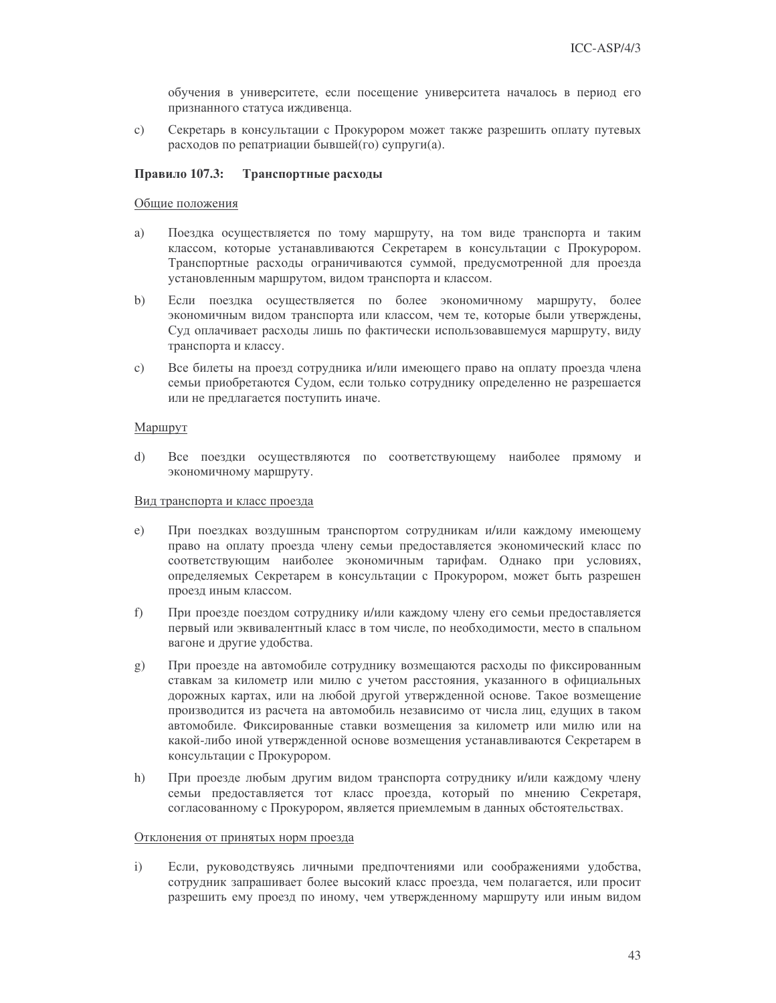обучения в университете, если посещение университета началось в период его признанного статуса иждивенца.

Секретарь в консультации с Прокурором может также разрешить оплату путевых  $\mathbf{c}$ ) расходов по репатриации бывшей(го) супруги(а).

#### Правило 107.3: Транспортные расходы

#### Общие положения

- Поездка осуществляется по тому маршруту, на том виде транспорта и таким a) классом, которые устанавливаются Секретарем в консультации с Прокурором. Транспортные расходы ограничиваются суммой, предусмотренной для проезда установленным маршрутом, видом транспорта и классом.
- Если поездка осуществляется по более экономичному маршруту, более  $b)$ экономичным видом транспорта или классом, чем те, которые были утверждены, Суд оплачивает расходы лишь по фактически использовавшемуся маршруту, виду транспорта и классу.
- Все билеты на проезд сотрудника и/или имеющего право на оплату проезда члена  $\mathbf{c})$ семьи приобретаются Судом, если только сотруднику определенно не разрешается или не предлагается поступить иначе.

#### Маршрут

 $\mathbf{d}$ Все поездки осуществляются по соответствующему наиболее прямому и экономичному маршруту.

#### Вид транспорта и класс проезда

- e) При поездках воздушным транспортом сотрудникам и/или каждому имеющему право на оплату проезда члену семьи предоставляется экономический класс по соответствующим наиболее экономичным тарифам. Однако при условиях, определяемых Секретарем в консультации с Прокурором, может быть разрешен проезд иным классом.
- $f$ ) При проезде поездом сотруднику и/или каждому члену его семьи предоставляется первый или эквивалентный класс в том числе, по необходимости, место в спальном вагоне и другие удобства.
- При проезде на автомобиле сотруднику возмещаются расходы по фиксированным  $g)$ ставкам за километр или милю с учетом расстояния, указанного в официальных дорожных картах, или на любой другой утвержденной основе. Такое возмещение производится из расчета на автомобиль независимо от числа лиц, едущих в таком автомобиле. Фиксированные ставки возмещения за километр или милю или на какой-либо иной утвержденной основе возмещения устанавливаются Секретарем в консультации с Прокурором.
- $h)$ При проезде любым другим видом транспорта сотруднику и/или каждому члену семьи предоставляется тот класс проезда, который по мнению Секретаря, согласованному с Прокурором, является приемлемым в данных обстоятельствах.

### Отклонения от принятых норм проезда

 $i)$ Если, руководствуясь личными предпочтениями или соображениями удобства, сотрудник запрашивает более высокий класс проезда, чем полагается, или просит разрешить ему проезд по иному, чем утвержденному маршруту или иным видом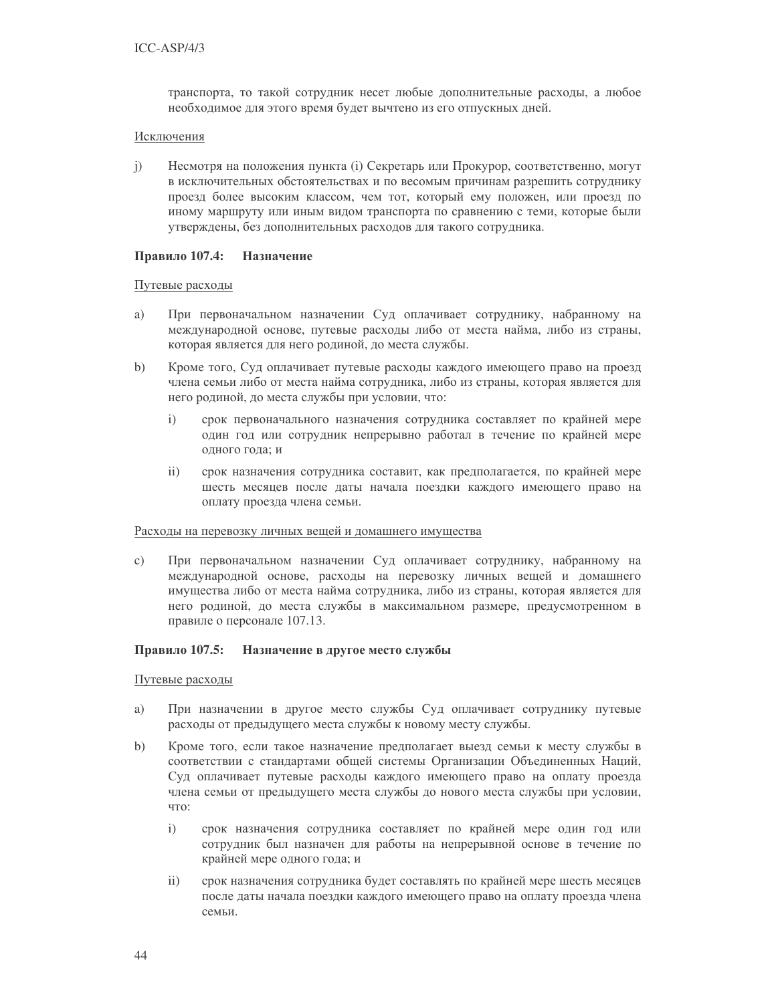транспорта, то такой сотрудник несет любые дополнительные расходы, а любое необходимое для этого время будет вычтено из его отпускных дней.

#### Исключения

 $\mathbf{i}$ Несмотря на положения пункта (i) Секретарь или Прокурор, соответственно, могут в исключительных обстоятельствах и по весомым причинам разрешить сотруднику проезд более высоким классом, чем тот, который ему положен, или проезд по иному маршруту или иным видом транспорта по сравнению с теми, которые были утверждены, без дополнительных расходов для такого сотрудника.

#### Правило 107.4: Назначение

### Путевые расходы

- При первоначальном назначении Суд оплачивает сотруднику, набранному на a) международной основе, путевые расходы либо от места найма, либо из страны, которая является для него родиной, до места службы.
- $b)$ Кроме того, Суд оплачивает путевые расходы каждого имеющего право на проезд члена семьи либо от места найма сотрудника, либо из страны, которая является для него родиной, до места службы при условии, что:
	- $i)$ срок первоначального назначения сотрудника составляет по крайней мере один год или сотрудник непрерывно работал в течение по крайней мере одного года; и
	- $ii)$ срок назначения сотрудника составит, как предполагается, по крайней мере шесть месяцев после даты начала поездки каждого имеющего право на оплату проезда члена семьи.

#### Расхолы на перевозку личных вешей и домашнего имущества

При первоначальном назначении Суд оплачивает сотруднику, набранному на  $\mathcal{C}$ ) международной основе, расходы на перевозку личных вещей и домашнего имущества либо от места найма сотрудника, либо из страны, которая является для него родиной, до места службы в максимальном размере, предусмотренном в правиле о персонале 107.13.

#### Правило 107.5: Назначение в другое место службы

#### Путевые расходы

- При назначении в другое место службы Суд оплачивает сотруднику путевые a) расходы от предыдущего места службы к новому месту службы.
- $b)$ Кроме того, если такое назначение предполагает выезд семьи к месту службы в соответствии с стандартами общей системы Организации Объединенных Наций, Суд оплачивает путевые расходы каждого имеющего право на оплату проезда члена семьи от предыдущего места службы до нового места службы при условии, что:
	- $i)$ срок назначения сотрудника составляет по крайней мере один год или сотрудник был назначен для работы на непрерывной основе в течение по крайней мере одного года; и
	- $ii)$ срок назначения сотрудника будет составлять по крайней мере шесть месяцев после даты начала поездки каждого имеющего право на оплату проезда члена семьи.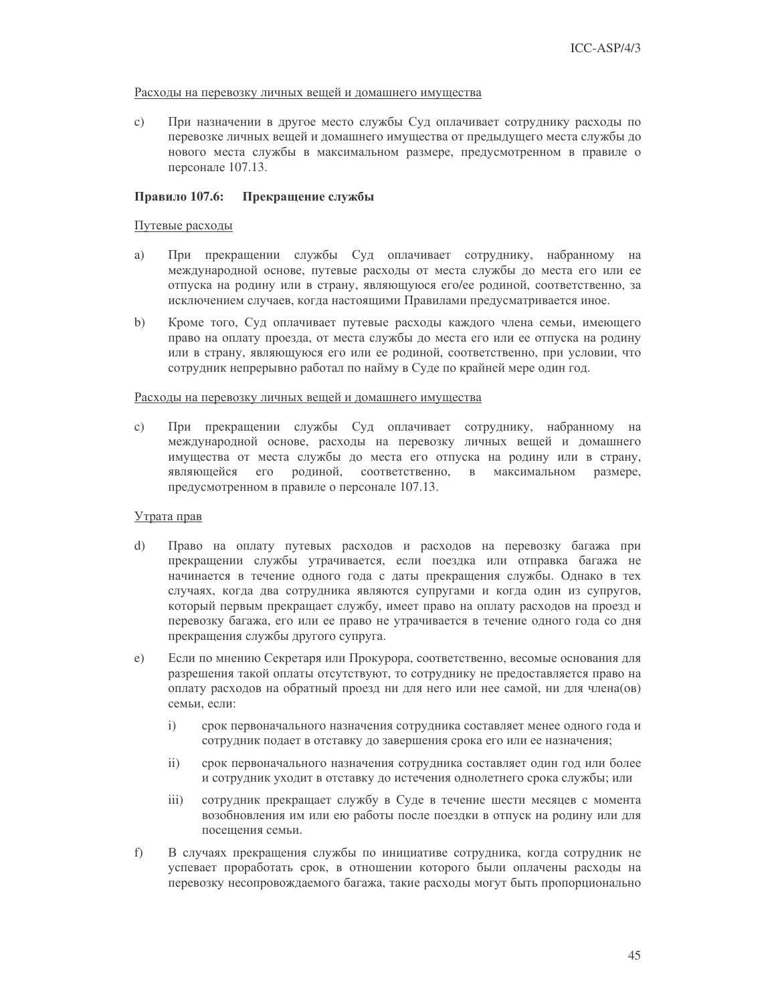#### Расходы на перевозку личных вещей и домашнего имущества

При назначении в другое место службы Суд оплачивает сотруднику расходы по  $\mathbf{c})$ перевозке личных вещей и домашнего имущества от предыдущего места службы до нового места службы в максимальном размере, предусмотренном в правиле о персонале 107.13.

#### Правило 107.6: Прекращение службы

### Путевые расходы

- a) При прекращении службы Суд оплачивает сотруднику, набранному на международной основе, путевые расходы от места службы до места его или ее отпуска на родину или в страну, являющуюся его/ее родиной, соответственно, за исключением случаев, когда настоящими Правилами предусматривается иное.
- $b)$ Кроме того, Суд оплачивает путевые расходы каждого члена семьи, имеющего право на оплату проезда, от места службы до места его или ее отпуска на родину или в страну, являющуюся его или ее родиной, соответственно, при условии, что сотрудник непрерывно работал по найму в Суде по крайней мере один год.

### Расходы на перевозку личных вещей и домашнего имущества

При прекращении службы Суд оплачивает сотруднику, набранному на  $\mathcal{C}$ ) международной основе, расходы на перевозку личных вещей и домашнего имущества от места службы до места его отпуска на родину или в страну, являющейся его родиной, соответственно, в максимальном размере, предусмотренном в правиле о персонале 107.13.

#### Утрата прав

- $\mathbf{d}$ Право на оплату путевых расходов и расходов на перевозку багажа при прекращении службы утрачивается, если поездка или отправка багажа не начинается в течение одного года с даты прекращения службы. Однако в тех случаях, когда два сотрудника являются супругами и когда один из супругов, который первым прекращает службу, имеет право на оплату расходов на проезд и перевозку багажа, его или ее право не утрачивается в течение одного года со дня прекращения службы другого супруга.
- Если по мнению Секретаря или Прокурора, соответственно, весомые основания для  $e)$ разрешения такой оплаты отсутствуют, то сотруднику не предоставляется право на оплату расходов на обратный проезд ни для него или нее самой, ни для члена(ов) семьи, если:
	- $\mathbf{i}$ срок первоначального назначения сотрудника составляет менее одного года и сотрудник подает в отставку до завершения срока его или ее назначения;
	- $\mathbf{ii}$ срок первоначального назначения сотрудника составляет один год или более и сотрудник уходит в отставку до истечения однолетнего срока службы; или
	- $\overline{iii}$ сотрудник прекращает службу в Суде в течение шести месяцев с момента возобновления им или ею работы после поездки в отпуск на родину или для посещения семьи.
- f) В случаях прекращения службы по инициативе сотрудника, когда сотрудник не успевает проработать срок, в отношении которого были оплачены расходы на перевозку несопровождаемого багажа, такие расходы могут быть пропорционально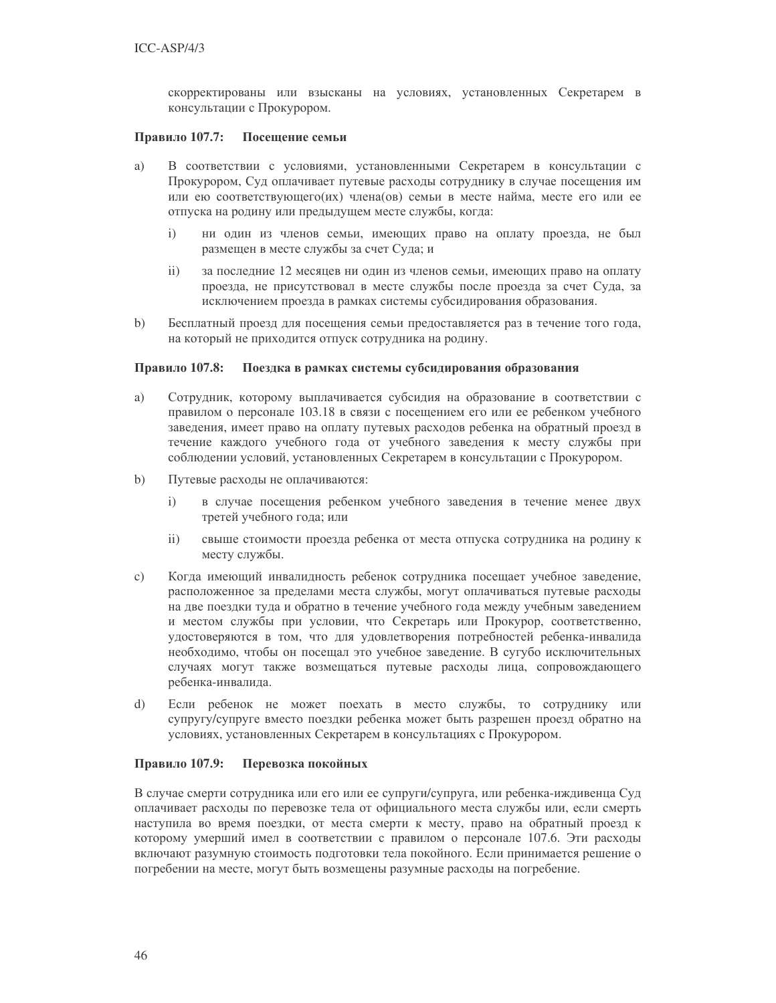скорректированы или взысканы на условиях, установленных Секретарем в консультации с Прокурором.

#### Правило 107.7: Посещение семьи

- a) В соответствии с условиями, установленными Секретарем в консультации с Прокурором, Суд оплачивает путевые расходы сотруднику в случае посещения им или ею соответствующего (их) члена (ов) семьи в месте найма, месте его или ее отпуска на родину или предыдущем месте службы, когда:
	- $\mathbf{i}$ ни один из членов семьи, имеющих право на оплату проезда, не был размещен в месте службы за счет Суда; и
	- $\overline{ii}$ ) за последние 12 месяцев ни один из членов семьи, имеющих право на оплату проезда, не присутствовал в месте службы после проезда за счет Суда, за исключением проезда в рамках системы субсидирования образования.
- Бесплатный проезд для посещения семьи предоставляется раз в течение того года,  $b)$ на который не приходится отпуск сотрудника на родину.

#### Правило 107.8: Поездка в рамках системы субсидирования образования

- Сотрудник, которому выплачивается субсидия на образование в соответствии с a) правилом о персонале 103.18 в связи с посещением его или ее ребенком учебного заведения, имеет право на оплату путевых расходов ребенка на обратный проезд в течение каждого учебного года от учебного заведения к месту службы при соблюдении условий, установленных Секретарем в консультации с Прокурором.
- $b)$ Путевые расходы не оплачиваются:
	- в случае посещения ребенком учебного заведения в течение менее двух  $\mathbf{i}$ третей учебного года; или
	- $ii)$ свыше стоимости проезда ребенка от места отпуска сотрудника на родину к месту службы.
- $\mathbf{c})$ Когда имеющий инвалидность ребенок сотрудника посещает учебное заведение, расположенное за пределами места службы, могут оплачиваться путевые расходы на две поездки туда и обратно в течение учебного года между учебным заведением и местом службы при условии, что Секретарь или Прокурор, соответственно, удостоверяются в том, что для удовлетворения потребностей ребенка-инвалида необходимо, чтобы он посещал это учебное заведение. В сугубо исключительных случаях могут также возмещаться путевые расходы лица, сопровождающего ребенка-инвалида.
- Если ребенок не может поехать в место службы, то сотруднику или  $\mathrm{d}$ супругу/супруге вместо поездки ребенка может быть разрешен проезд обратно на условиях, установленных Секретарем в консультациях с Прокурором.

#### Правило 107.9: Перевозка покойных

В случае смерти сотрудника или его или ее супруги/супруга, или ребенка-иждивенца Суд оплачивает расходы по перевозке тела от официального места службы или, если смерть наступила во время поездки, от места смерти к месту, право на обратный проезд к которому умерший имел в соответствии с правилом о персонале 107.6. Эти расходы включают разумную стоимость подготовки тела покойного. Если принимается решение о погребении на месте, могут быть возмещены разумные расходы на погребение.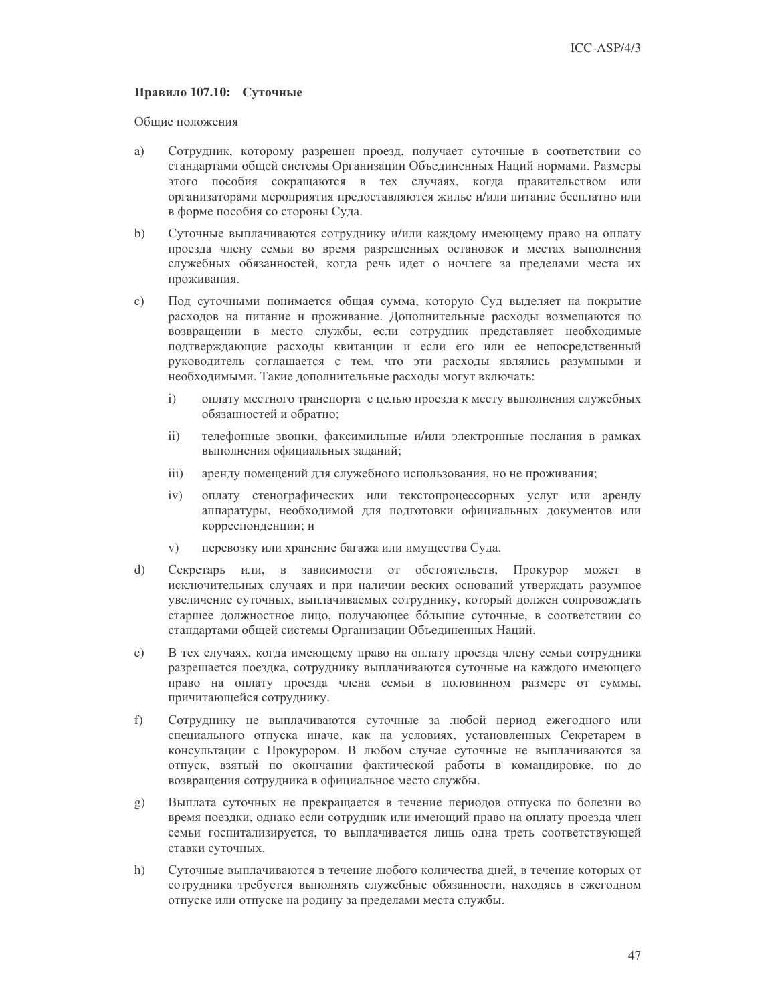### Правило 107.10: Суточные

#### Общие положения

- a) Сотрудник, которому разрешен проезд, получает суточные в соответствии со стандартами общей системы Организации Объединенных Наций нормами. Размеры этого пособия сокращаются в тех случаях, когда правительством или организаторами мероприятия предоставляются жилье и/или питание бесплатно или в форме пособия со стороны Суда.
- $\mathbf{b}$ Суточные выплачиваются сотруднику и/или каждому имеющему право на оплату проезда члену семьи во время разрешенных остановок и местах выполнения служебных обязанностей, когда речь идет о ночлеге за пределами места их проживания.
- Под суточными понимается общая сумма, которую Суд выделяет на покрытие  $\mathbf{c})$ расходов на питание и проживание. Дополнительные расходы возмещаются по возвращении в место службы, если сотрудник представляет необходимые подтверждающие расходы квитанции и если его или ее непосредственный руководитель соглашается с тем, что эти расходы являлись разумными и необходимыми. Такие дополнительные расходы могут включать:
	- $i)$ оплату местного транспорта с целью проезда к месту выполнения служебных обязанностей и обратно;
	- телефонные звонки, факсимильные и/или электронные послания в рамках  $\mathbf{ii}$ выполнения официальных заданий;
	- аренду помещений для служебного использования, но не проживания;  $\overline{iii}$ )
	- оплату стенографических или текстопроцессорных услуг или аренду  $iv)$ аппаратуры, необходимой для подготовки официальных документов или корреспонденции; и
	- перевозку или хранение багажа или имущества Суда.  $V)$
- $\mathrm{d}$ Секретарь или, в зависимости от обстоятельств, Прокурор может в исключительных случаях и при наличии веских оснований утверждать разумное увеличение суточных, выплачиваемых сотруднику, который должен сопровождать старшее должностное лицо, получающее бо́льшие суточные, в соответствии со стандартами общей системы Организации Объединенных Наций.
- В тех случаях, когда имеющему право на оплату проезда члену семьи сотрудника  $e)$ разрешается поездка, сотруднику выплачиваются суточные на каждого имеющего право на оплату проезда члена семьи в половинном размере от суммы, причитающейся сотруднику.
- Сотруднику не выплачиваются суточные за любой период ежегодного или  $f$ специального отпуска иначе, как на условиях, установленных Секретарем в консультации с Прокурором. В любом случае суточные не выплачиваются за отпуск, взятый по окончании фактической работы в командировке, но до возвращения сотрудника в официальное место службы.
- Выплата суточных не прекращается в течение периодов отпуска по болезни во  $\mathbf{g})$ время поездки, однако если сотрудник или имеющий право на оплату проезда член семьи госпитализируется, то выплачивается лишь одна треть соответствующей ставки суточных.
- $h)$ Суточные выплачиваются в течение любого количества дней, в течение которых от сотрудника требуется выполнять служебные обязанности, находясь в ежегодном отпуске или отпуске на родину за пределами места службы.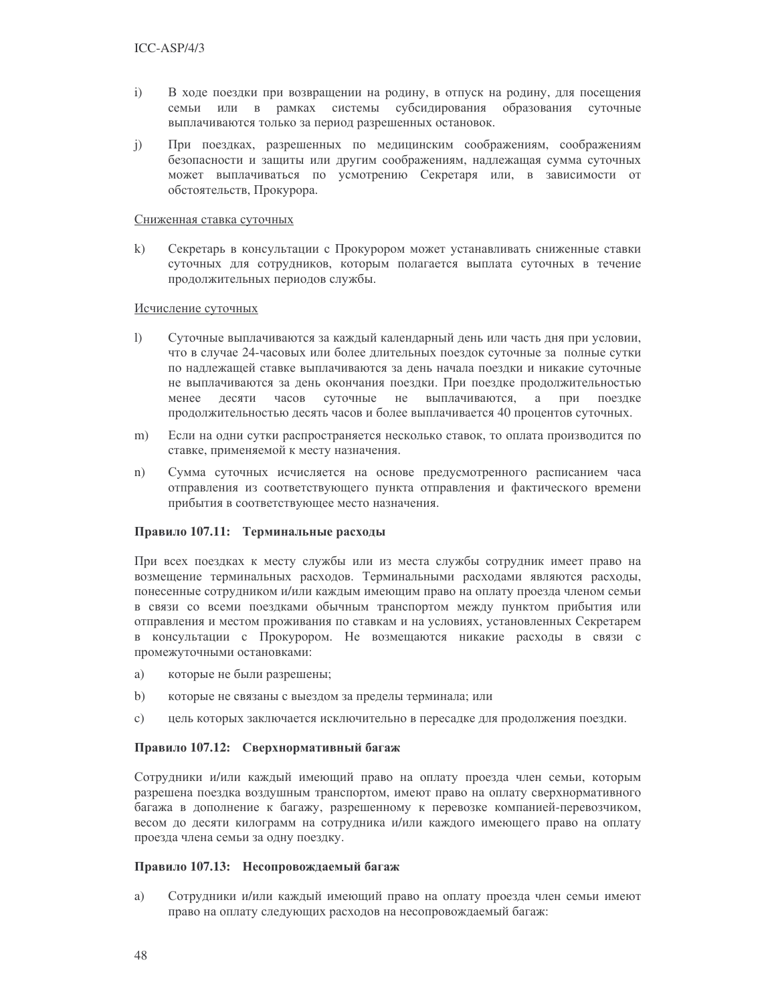- $i)$ В ходе поездки при возвращении на родину, в отпуск на родину, для посещения семьи или в рамках системы субсидирования образования суточные выплачиваются только за период разрешенных остановок.
- При поездках, разрешенных по медицинским соображениям, соображениям  $j)$ безопасности и защиты или другим соображениям, надлежащая сумма суточных может выплачиваться по усмотрению Секретаря или, в зависимости от обстоятельств, Прокурора.

#### Сниженная ставка суточных

 $\mathbf{k}$ Секретарь в консультации с Прокурором может устанавливать сниженные ставки суточных для сотрудников, которым полагается выплата суточных в течение продолжительных периодов службы.

### Исчисление суточных

- $\mathbf{I}$ Суточные выплачиваются за каждый календарный день или часть дня при условии, что в случае 24-часовых или более длительных поездок суточные за полные сутки по надлежащей ставке выплачиваются за день начала поездки и никакие суточные не выплачиваются за день окончания поездки. При поездке продолжительностью менее десяти часов суточные не выплачиваются, а при поездке продолжительностью десять часов и более выплачивается 40 процентов суточных.
- $m)$ Если на одни сутки распространяется несколько ставок, то оплата производится по ставке, применяемой к месту назначения.
- Сумма суточных исчисляется на основе предусмотренного расписанием часа  $n)$ отправления из соответствующего пункта отправления и фактического времени прибытия в соответствующее место назначения.

#### Правило 107.11: Терминальные расходы

При всех поездках к месту службы или из места службы сотрудник имеет право на возмещение терминальных расходов. Терминальными расходами являются расходы, понесенные сотрудником и/или каждым имеющим право на оплату проезда членом семьи в связи со всеми поездками обычным транспортом между пунктом прибытия или отправления и местом проживания по ставкам и на условиях, установленных Секретарем в консультации с Прокурором. Не возмещаются никакие расходы в связи с промежуточными остановками:

- которые не были разрешены; a)
- $b)$ которые не связаны с выездом за пределы терминала; или
- цель которых заключается исключительно в пересадке для продолжения поездки.  $\mathbf{c})$

### Правило 107.12: Сверхнормативный багаж

Сотрудники и/или каждый имеющий право на оплату проезда член семьи, которым разрешена поездка воздушным транспортом, имеют право на оплату сверхнормативного багажа в дополнение к багажу, разрешенному к перевозке компанией-перевозчиком, весом до десяти килограмм на сотрудника и/или каждого имеющего право на оплату проезда члена семьи за одну поездку.

### Правило 107.13: Несопровождаемый багаж

a) Сотрудники и/или каждый имеющий право на оплату проезда член семьи имеют право на оплату следующих расходов на несопровождаемый багаж: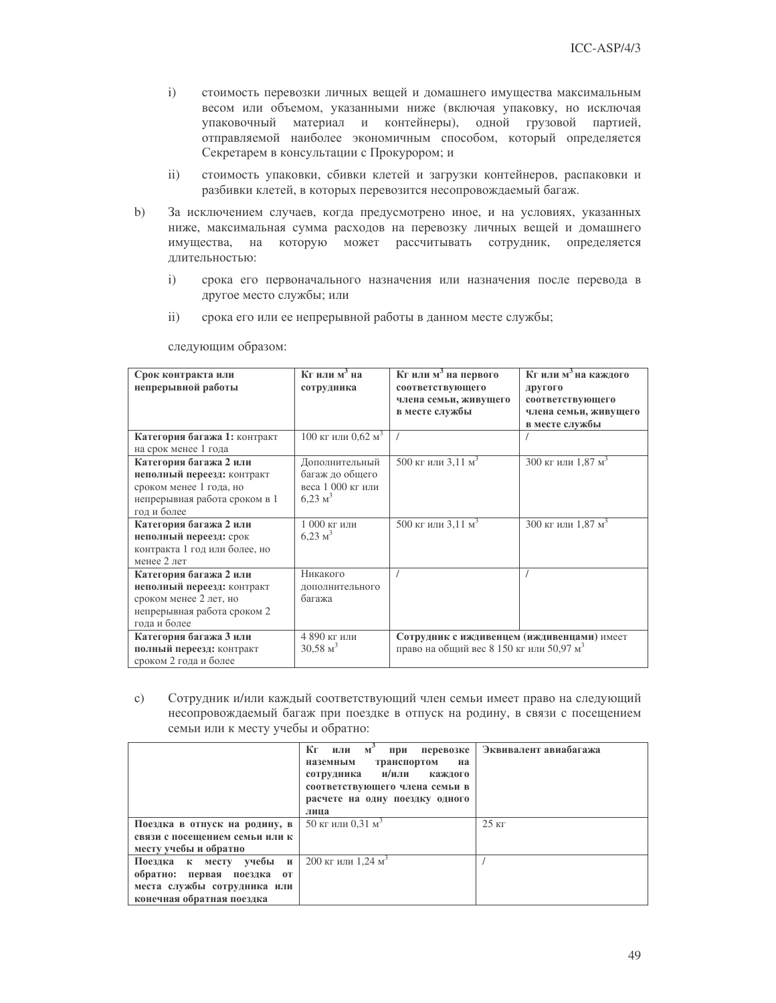- $i)$ стоимость перевозки личных вещей и домашнего имущества максимальным весом или объемом, указанными ниже (включая упаковку, но исключая упаковочный материал и контейнеры), одной грузовой партией, отправляемой наиболее экономичным способом, который определяется Секретарем в консультации с Прокурором; и
- $ii)$ стоимость упаковки, сбивки клетей и загрузки контейнеров, распаковки и разбивки клетей, в которых перевозится несопровождаемый багаж.
- $b)$ За исключением случаев, когда предусмотрено иное, и на условиях, указанных ниже, максимальная сумма расходов на перевозку личных вещей и домашнего имущества, на которую может рассчитывать сотрудник, определяется длительностью:
	- $i)$ срока его первоначального назначения или назначения после перевода в другое место службы; или
	- $ii)$ срока его или ее непрерывной работы в данном месте службы;

| Срок контракта или<br>непрерывной работы                                                                                        | $Kr$ или м <sup>3</sup> на<br>сотрудника                                     | Кг или м <sup>3</sup> на первого<br>соответствующего<br>члена семьи, живущего<br>в месте службы    | Кг или м <sup>3</sup> на каждого<br>другого<br>соответствующего<br>члена семьи, живущего<br>в месте службы |
|---------------------------------------------------------------------------------------------------------------------------------|------------------------------------------------------------------------------|----------------------------------------------------------------------------------------------------|------------------------------------------------------------------------------------------------------------|
| Категория багажа 1: контракт<br>на срок менее 1 года                                                                            | 100 кг или 0.62 м <sup>3</sup>                                               |                                                                                                    |                                                                                                            |
| Категория багажа 2 или<br>неполный переезд: контракт<br>сроком менее 1 года, но<br>непрерывная работа сроком в 1<br>год и более | Дополнительный<br>багаж до общего<br>веса 1 000 кг или<br>$6,23 \text{ m}^3$ | 500 кг или 3,11 м <sup>3</sup>                                                                     | 300 кг или 1,87 м <sup>3</sup>                                                                             |
| Категория багажа 2 или<br>неполный переезд: срок<br>контракта 1 год или более, но<br>менее 2 лет                                | $1000$ кг или<br>$6,23 \text{ m}^3$                                          | 500 кг или 3,11 м <sup>3</sup>                                                                     | 300 кг или 1,87 м <sup>3</sup>                                                                             |
| Категория багажа 2 или<br>неполный переезд: контракт<br>сроком менее 2 лет, но<br>непрерывная работа сроком 2<br>года и более   | Никакого<br>дополнительного<br>багажа                                        |                                                                                                    |                                                                                                            |
| Категория багажа 3 или<br>полный переезд: контракт<br>сроком 2 года и более                                                     | 4 890 кг или<br>$30,58 \text{ m}^3$                                          | Сотрудник с иждивенцем (иждивенцами) имеет<br>право на общий вес 8 150 кг или 50,97 м <sup>3</sup> |                                                                                                            |

следующим образом:

 $\mathbf{c})$ Сотрудник и/или каждый соответствующий член семьи имеет право на следующий несопровождаемый багаж при поездке в отпуск на родину, в связи с посещением семьи или к месту учебы и обратно:

|                                         | Кг<br>или м'<br>при<br>перевозке<br>транспортом<br>наземным<br>на<br>сотрудника и/или<br>каждого<br>соответствующего члена семьи в<br>расчете на одну поездку одного<br>лица | Эквивалент авиабагажа |
|-----------------------------------------|------------------------------------------------------------------------------------------------------------------------------------------------------------------------------|-----------------------|
| Поездка в отпуск на родину, в           | 50 кг или 0,31 м <sup>3</sup>                                                                                                                                                | $25 \text{ кг}$       |
| связи с посещением семьи или к          |                                                                                                                                                                              |                       |
| месту учебы и обратно                   |                                                                                                                                                                              |                       |
| Поездка к месту учебы и                 | 200 кг или 1.24 м <sup>3</sup>                                                                                                                                               |                       |
| обратно: первая<br>поездка<br><b>OT</b> |                                                                                                                                                                              |                       |
| места службы сотрудника или             |                                                                                                                                                                              |                       |
| конечная обратная поездка               |                                                                                                                                                                              |                       |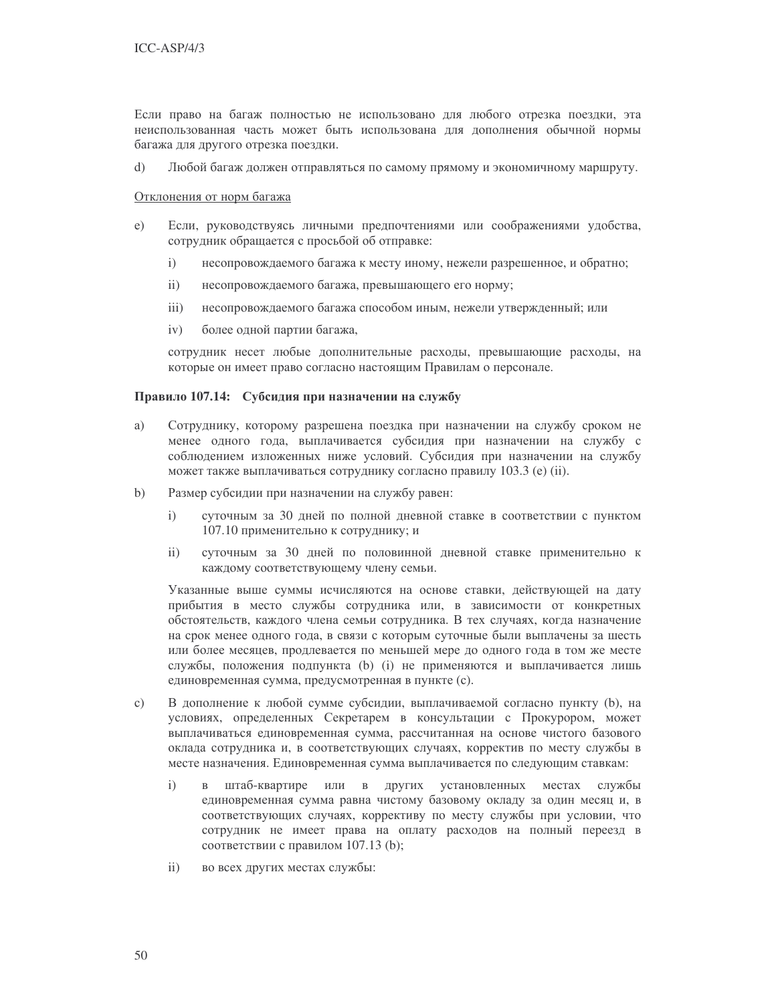Если право на багаж полностью не использовано для любого отрезка поездки, эта неиспользованная часть может быть использована для дополнения обычной нормы багажа для другого отрезка поездки.

 $\mathrm{d}$ Любой багаж должен отправляться по самому прямому и экономичному маршруту.

#### Отклонения от норм багажа

- $e)$ Если, руководствуясь личными предпочтениями или соображениями удобства, сотрудник обращается с просьбой об отправке:
	- несопровождаемого багажа к месту иному, нежели разрешенное, и обратно;  $\mathbf{i}$
	- $\overline{ii}$ ) несопровождаемого багажа, превышающего его норму;
	- $iii)$ несопровождаемого багажа способом иным, нежели утвержденный; или
	- $iv)$ более одной партии багажа,

сотрудник несет любые дополнительные расходы, превышающие расходы, на которые он имеет право согласно настоящим Правилам о персонале.

### Правило 107.14: Субсидия при назначении на службу

- a) Сотруднику, которому разрешена поездка при назначении на службу сроком не менее одного года, выплачивается субсидия при назначении на службу с соблюдением изложенных ниже условий. Субсидия при назначении на службу может также выплачиваться сотруднику согласно правилу 103.3 (e) (ii).
- $b)$ Размер субсидии при назначении на службу равен:
	- суточным за 30 дней по полной дневной ставке в соответствии с пунктом  $\mathbf{i}$ 107.10 применительно к сотруднику; и
	- суточным за 30 дней по половинной дневной ставке применительно к  $\mathbf{ii}$ каждому соответствующему члену семьи.

Указанные выше суммы исчисляются на основе ставки, действующей на дату прибытия в место службы сотрудника или, в зависимости от конкретных обстоятельств, каждого члена семьи сотрудника. В тех случаях, когда назначение на срок менее одного года, в связи с которым суточные были выплачены за шесть или более месяцев, продлевается по меньшей мере до одного года в том же месте службы, положения подпункта (b) (i) не применяются и выплачивается лишь единовременная сумма, предусмотренная в пункте (с).

- $\mathbf{c}$ ) В дополнение к любой сумме субсидии, выплачиваемой согласно пункту (b), на условиях, определенных Секретарем в консультации с Прокурором, может выплачиваться единовременная сумма, рассчитанная на основе чистого базового оклада сотрудника и, в соответствующих случаях, корректив по месту службы в месте назначения. Единовременная сумма выплачивается по следующим ставкам:
	- $\mathbf{i}$ штаб-квартире или в других установленных местах службы  $\mathbf{R}$ единовременная сумма равна чистому базовому окладу за один месяц и, в соответствующих случаях, коррективу по месту службы при условии, что сотрудник не имеет права на оплату расходов на полный переезд в соответствии с правилом 107.13 (b);
	- $\mathbf{ii}$ во всех других местах службы: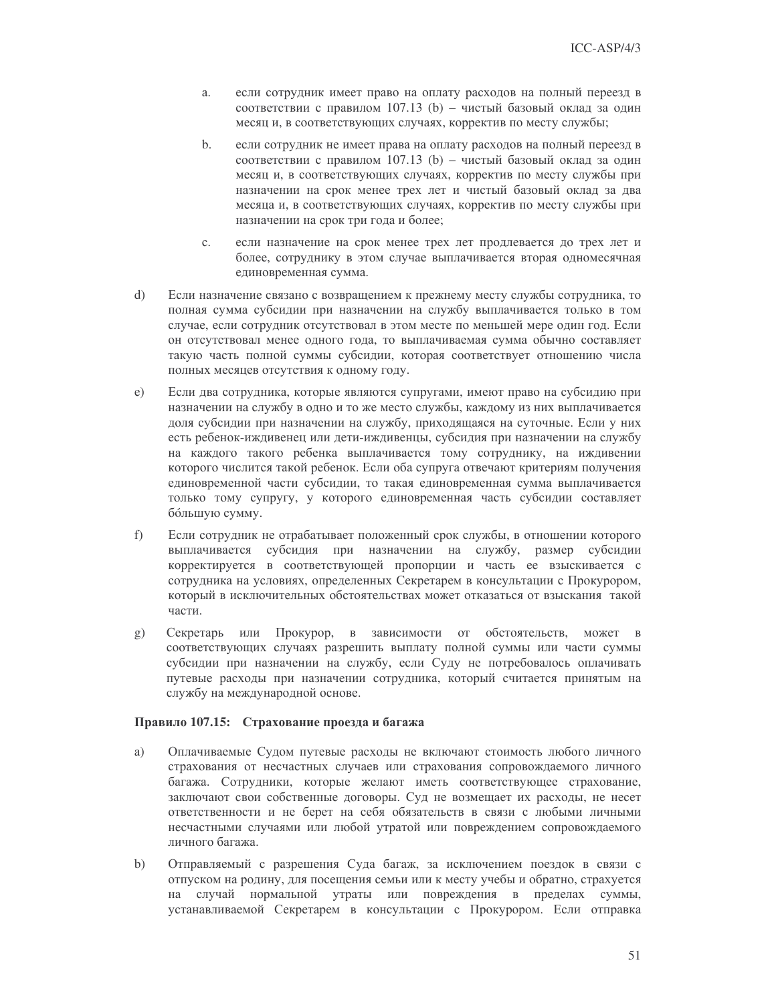- если сотрудник имеет право на оплату расходов на полный переезд в a. соответствии с правилом 107.13 (b) - чистый базовый оклад за один месяц и, в соответствующих случаях, корректив по месту службы;
- $\mathbf{b}$ . если сотрудник не имеет права на оплату расходов на полный переезд в соответствии с правилом 107.13 (b) - чистый базовый оклад за один месяц и, в соответствующих случаях, корректив по месту службы при назначении на срок менее трех лет и чистый базовый оклад за два месяца и, в соответствующих случаях, корректив по месту службы при назначении на срок три года и более;
- если назначение на срок менее трех лет продлевается до трех лет и  $\mathbf{c}$ . более, сотруднику в этом случае выплачивается вторая одномесячная единовременная сумма.
- Если назначение связано с возвращением к прежнему месту службы сотрудника, то  $\mathrm{d}$ полная сумма субсидии при назначении на службу выплачивается только в том случае, если сотрудник отсутствовал в этом месте по меньшей мере один год. Если он отсутствовал менее одного года, то выплачиваемая сумма обычно составляет такую часть полной суммы субсидии, которая соответствует отношению числа полных месяцев отсутствия к одному году.
- Если два сотрудника, которые являются супругами, имеют право на субсидию при  $e)$ назначении на службу в одно и то же место службы, каждому из них выплачивается доля субсидии при назначении на службу, приходящаяся на суточные. Если у них есть ребенок-иждивенец или дети-иждивенцы, субсидия при назначении на службу на каждого такого ребенка выплачивается тому сотруднику, на иждивении которого числится такой ребенок. Если оба супруга отвечают критериям получения единовременной части субсидии, то такая единовременная сумма выплачивается только тому супругу, у которого единовременная часть субсидии составляет бо́льшую сумму.
- $f$ ) Если сотрудник не отрабатывает положенный срок службы, в отношении которого выплачивается субсидия при назначении на службу, размер субсидии корректируется в соответствующей пропорции и часть ее взыскивается с сотрудника на условиях, определенных Секретарем в консультации с Прокурором, который в исключительных обстоятельствах может отказаться от взыскания такой части.
- Секретарь или Прокурор, в зависимости от обстоятельств, может в  $(g)$ соответствующих случаях разрешить выплату полной суммы или части суммы субсидии при назначении на службу, если Суду не потребовалось оплачивать путевые расходы при назначении сотрудника, который считается принятым на службу на международной основе.

#### Правило 107.15: Страхование проезда и багажа

- a) Оплачиваемые Судом путевые расходы не включают стоимость любого личного страхования от несчастных случаев или страхования сопровождаемого личного багажа. Сотрудники, которые желают иметь соответствующее страхование, заключают свои собственные договоры. Суд не возмещает их расходы, не несет ответственности и не берет на себя обязательств в связи с любыми личными несчастными случаями или любой утратой или повреждением сопровождаемого личного багажа.
- $b)$ Отправляемый с разрешения Суда багаж, за исключением поездок в связи с отпуском на родину, для посещения семьи или к месту учебы и обратно, страхуется на случай нормальной утраты или повреждения в пределах суммы, устанавливаемой Секретарем в консультации с Прокурором. Если отправка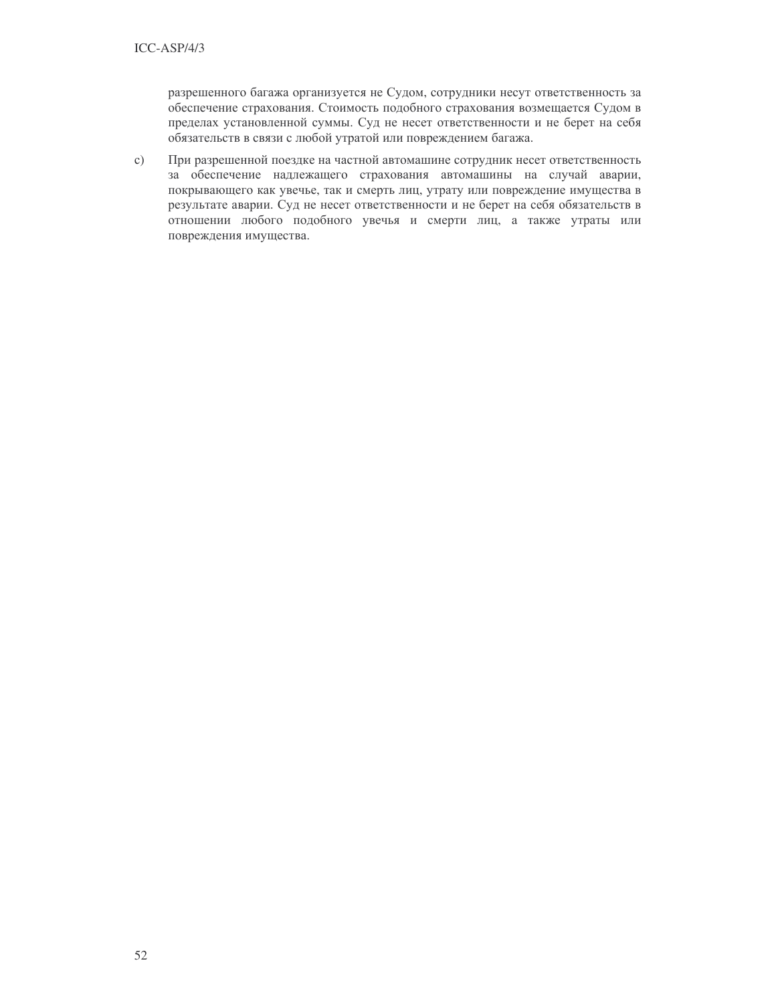разрешенного багажа организуется не Судом, сотрудники несут ответственность за обеспечение страхования. Стоимость подобного страхования возмещается Судом в пределах установленной суммы. Суд не несет ответственности и не берет на себя обязательств в связи с любой утратой или повреждением багажа.

При разрешенной поездке на частной автомашине сотрудник несет ответственность  $c)$ за обеспечение надлежащего страхования автомашины на случай аварии, покрывающего как увечье, так и смерть лиц, утрату или повреждение имущества в результате аварии. Суд не несет ответственности и не берет на себя обязательств в отношении любого подобного увечья и смерти лиц, а также утраты или повреждения имущества.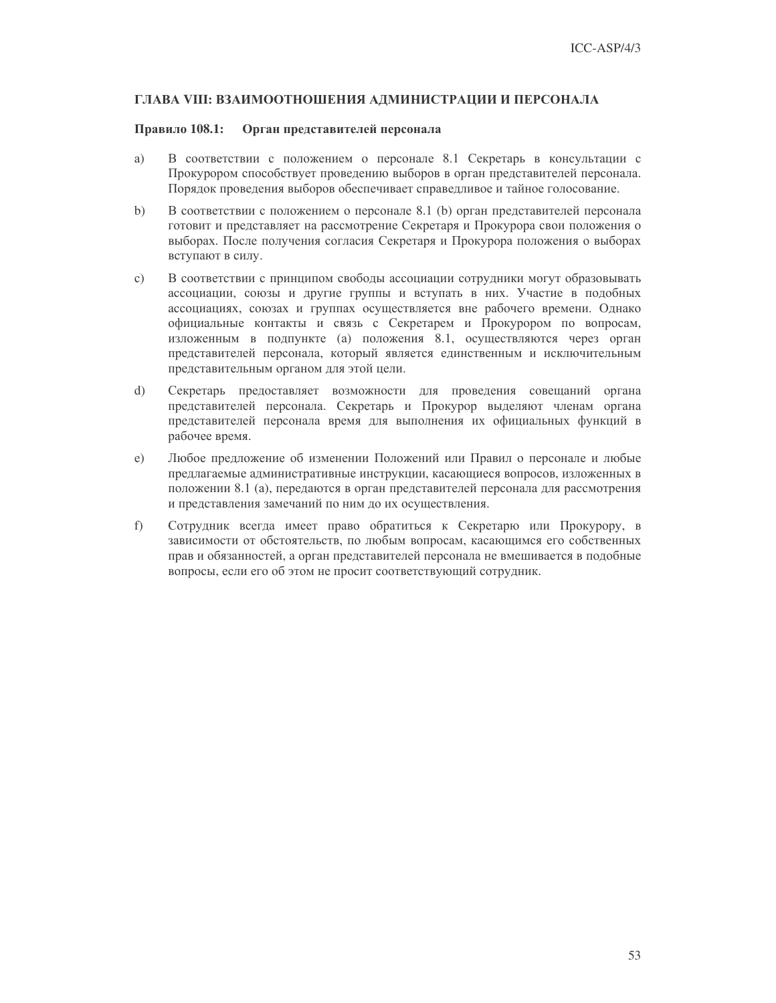### ГЛАВА VIII: ВЗАИМООТНОШЕНИЯ АДМИНИСТРАЦИИ И ПЕРСОНАЛА

### Правило 108.1: Орган представителей персонала

- a) В соответствии с положением о персонале 8.1 Секретарь в консультации с Прокурором способствует проведению выборов в орган представителей персонала. Порядок проведения выборов обеспечивает справедливое и тайное голосование.
- В соответствии с положением о персонале 8.1 (b) орган представителей персонала  $b)$ готовит и представляет на рассмотрение Секретаря и Прокурора свои положения о выборах. После получения согласия Секретаря и Прокурора положения о выборах вступают в силу.
- В соответствии с принципом свободы ассоциации сотрудники могут образовывать  $\mathbf{c})$ ассоциации, союзы и другие группы и вступать в них. Участие в подобных ассоциациях, союзах и группах осуществляется вне рабочего времени. Однако официальные контакты и связь с Секретарем и Прокурором по вопросам, изложенным в подпункте (а) положения 8.1, осуществляются через орган представителей персонала, который является единственным и исключительным представительным органом для этой цели.
- Секретарь предоставляет возможности для проведения совещаний органа  $\mathrm{d}$ представителей персонала. Секретарь и Прокурор выделяют членам органа представителей персонала время для выполнения их официальных функций в рабочее время.
- Любое предложение об изменении Положений или Правил о персонале и любые  $e)$ предлагаемые административные инструкции, касающиеся вопросов, изложенных в положении 8.1 (а), передаются в орган представителей персонала для рассмотрения и представления замечаний по ним до их осуществления.
- $f$ ) Сотрудник всегда имеет право обратиться к Секретарю или Прокурору, в зависимости от обстоятельств, по любым вопросам, касающимся его собственных прав и обязанностей, а орган представителей персонала не вмешивается в подобные вопросы, если его об этом не просит соответствующий сотрудник.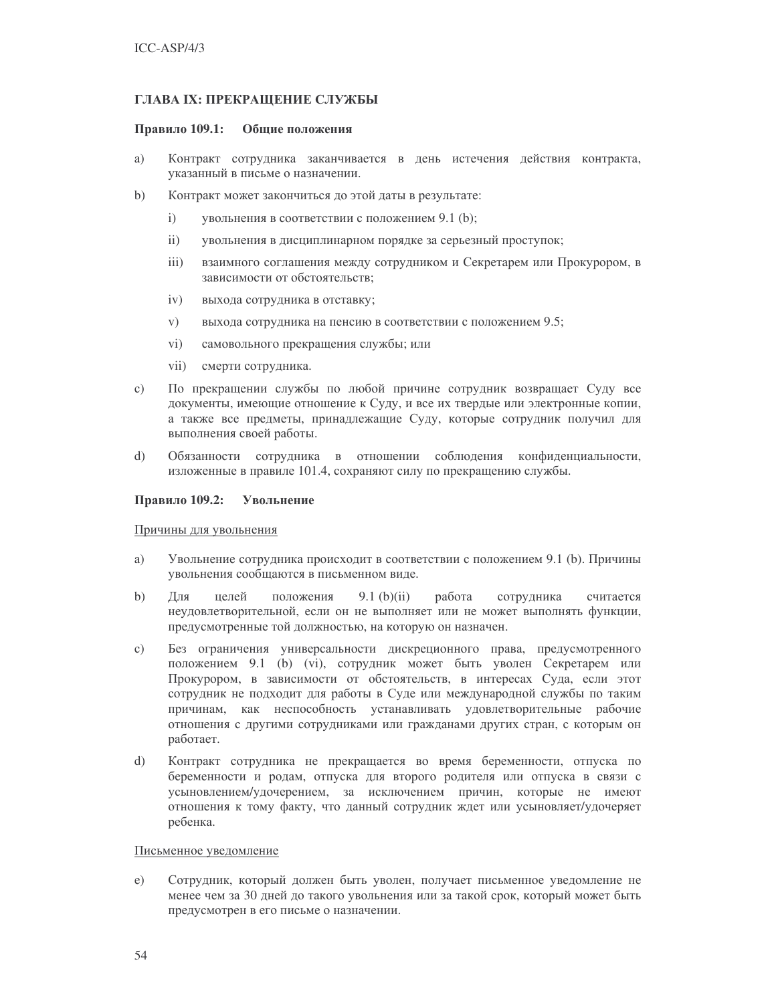### ГЛАВА IX: ПРЕКРАЩЕНИЕ СЛУЖБЫ

#### Правило 109.1: Общие положения

- a) Контракт сотрудника заканчивается в день истечения действия контракта, указанный в письме о назначении.
- $b)$ Контракт может закончиться до этой даты в результате:
	- $i)$ увольнения в соответствии с положением 9.1 (b);
	- $ii)$ увольнения в дисциплинарном порядке за серьезный проступок;
	- $\overline{iii}$ ) взаимного соглашения между сотрудником и Секретарем или Прокурором, в зависимости от обстоятельств;
	- $iv)$ выхода сотрудника в отставку;
	- $V)$ выхода сотрудника на пенсию в соответствии с положением 9.5;
	- $\rm vi)$ самовольного прекращения службы; или
	- vii) смерти сотрудника.
- $c)$ По прекращении службы по любой причине сотрудник возвращает Суду все документы, имеющие отношение к Суду, и все их твердые или электронные копии, а также все предметы, принадлежащие Суду, которые сотрудник получил для выполнения своей работы.
- $\overline{d}$ Обязанности сотрудника в отношении соблюдения конфиденциальности, изложенные в правиле 101.4, сохраняют силу по прекращению службы.

### Правило 109.2: Увольнение

#### Причины для увольнения

- Увольнение сотрудника происходит в соответствии с положением 9.1 (b). Причины a) увольнения сообщаются в письменном виде.
- $b)$ Лля пелей положения  $9.1$  (b)(ii) работа сотрудника считается неудовлетворительной, если он не выполняет или не может выполнять функции, предусмотренные той должностью, на которую он назначен.
- Без ограничения универсальности дискреционного права, предусмотренного  $\mathbf{c})$ положением 9.1 (b) (vi), сотрудник может быть уволен Секретарем или Прокурором, в зависимости от обстоятельств, в интересах Суда, если этот сотрудник не подходит для работы в Суде или международной службы по таким причинам, как неспособность устанавливать удовлетворительные рабочие отношения с другими сотрудниками или гражданами других стран, с которым он работает.
- Контракт сотрудника не прекращается во время беременности, отпуска по  $\mathbf{d}$ беременности и родам, отпуска для второго родителя или отпуска в связи с усыновлением/удочерением, за исключением причин, которые не имеют отношения к тому факту, что данный сотрудник ждет или усыновляет/удочеряет ребенка.

### Письменное уведомление

 $e)$ Сотрудник, который должен быть уволен, получает письменное уведомление не менее чем за 30 дней до такого увольнения или за такой срок, который может быть предусмотрен в его письме о назначении.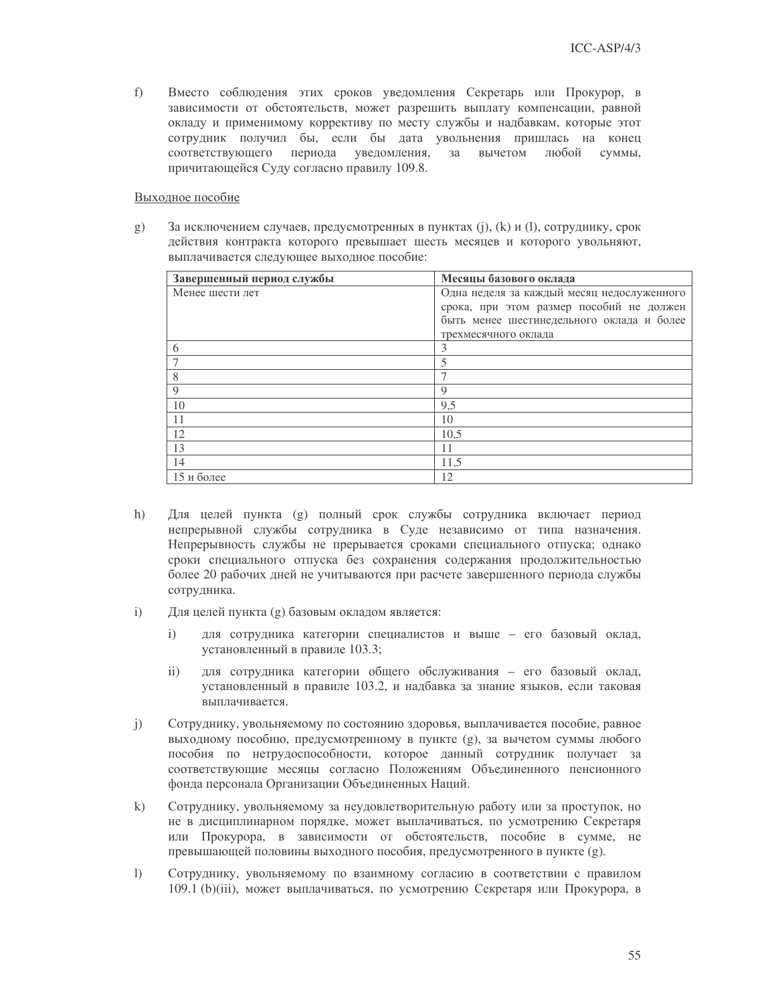Вместо соблюдения этих сроков уведомления Секретарь или Прокурор, в f) зависимости от обстоятельств, может разрешить выплату компенсации, равной окладу и применимому коррективу по месту службы и надбавкам, которые этот сотрудник получил бы, если бы дата увольнения пришлась на конец соответствующего периода уведомления, за вычетом любой суммы, причитающейся Суду согласно правилу 109.8.

#### Выходное пособие

 $g$ ) За исключением случаев, предусмотренных в пунктах (j), (k) и (l), сотруднику, срок действия контракта которого превышает шесть месяцев и которого увольняют, выплачивается следующее выходное пособие:

| Завершенный период службы | Месяцы базового оклада                     |
|---------------------------|--------------------------------------------|
| Менее шести лет           | Одна неделя за каждый месяц недослуженного |
|                           | срока, при этом размер пособий не должен   |
|                           | быть менее шестинедельного оклада и более  |
|                           | трехмесячного оклада                       |
| 6                         | 3                                          |
| $\overline{7}$            | 5                                          |
| 8                         |                                            |
| $\mathbf Q$               | 9                                          |
| 10                        | 9,5                                        |
| 11                        | 10                                         |
| 12                        | 10,5                                       |
| 13                        | 11                                         |
| 14                        | 11,5                                       |
| 15 и более                | 12                                         |

- Для целей пункта (g) полный срок службы сотрудника включает период  $h)$ непрерывной службы сотрудника в Суде независимо от типа назначения. Непрерывность службы не прерывается сроками специального отпуска; однако сроки специального отпуска без сохранения содержания продолжительностью более 20 рабочих дней не учитываются при расчете завершенного периода службы сотрудника.
- $i)$ Для целей пункта (g) базовым окладом является:
	- для сотрудника категории специалистов и выше его базовый оклад,  $i)$ установленный в правиле 103.3;
	- $\mathbf{ii}$ для сотрудника категории общего обслуживания - его базовый оклад, установленный в правиле 103.2, и надбавка за знание языков, если таковая выплачивается.
- $\mathbf{i}$ Сотруднику, увольняемому по состоянию здоровья, выплачивается пособие, равное выходному пособию, предусмотренному в пункте (g), за вычетом суммы любого пособия по нетрудоспособности, которое данный сотрудник получает за соответствующие месяцы согласно Положениям Объединенного пенсионного фонда персонала Организации Объединенных Наций.
- $\mathbf{k}$ Сотруднику, увольняемому за неудовлетворительную работу или за проступок, но не в дисциплинарном порядке, может выплачиваться, по усмотрению Секретаря или Прокурора, в зависимости от обстоятельств, пособие в сумме, не превышающей половины выходного пособия, предусмотренного в пункте (g).
- $\left| \right\rangle$ Сотруднику, увольняемому по взаимному согласию в соответствии с правилом 109.1 (b)(iii), может выплачиваться, по усмотрению Секретаря или Прокурора, в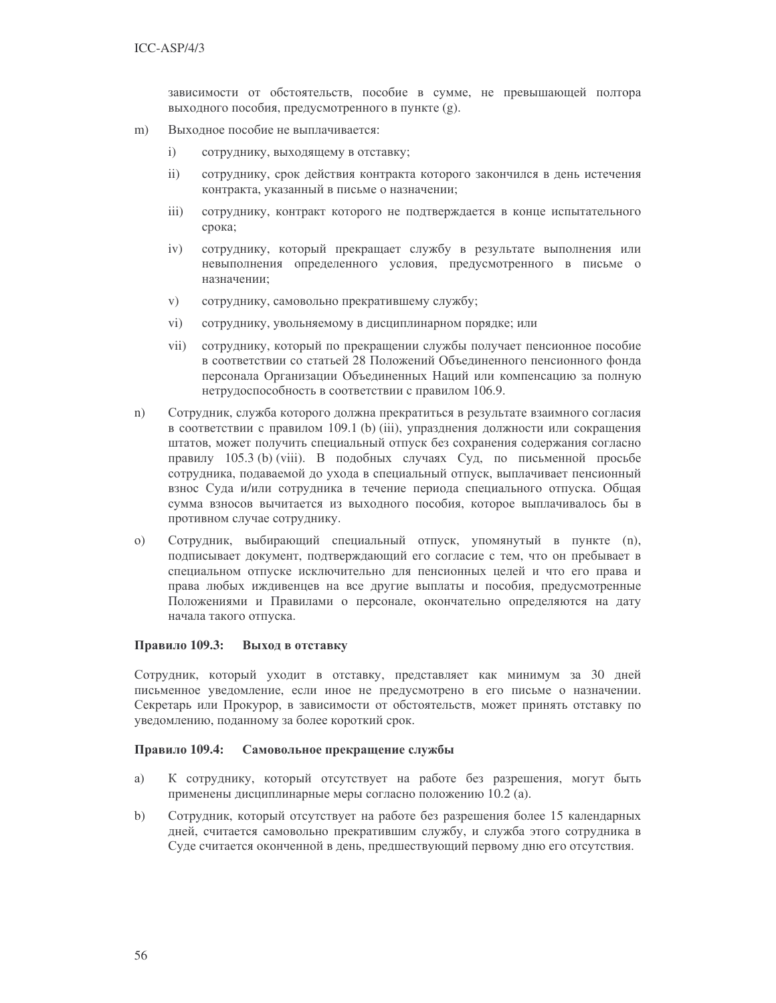зависимости от обстоятельств, пособие в сумме, не превышающей полтора выходного пособия, предусмотренного в пункте (g).

- Выходное пособие не выплачивается:  $m)$ 
	- $\mathbf{i}$ сотруднику, выходящему в отставку;
	- $\mathbf{ii}$ сотруднику, срок действия контракта которого закончился в день истечения контракта, указанный в письме о назначении;
	- $\overline{iii}$ сотруднику, контракт которого не подтверждается в конце испытательного срока;
	- $iv)$ сотруднику, который прекращает службу в результате выполнения или невыполнения определенного условия, предусмотренного в письме о назначении;
	- $V)$ сотруднику, самовольно прекратившему службу;
	- $\rm vi)$ сотруднику, увольняемому в дисциплинарном порядке; или
	- $vii)$ сотруднику, который по прекращении службы получает пенсионное пособие в соответствии со статьей 28 Положений Объединенного пенсионного фонда персонала Организации Объединенных Наций или компенсацию за полную нетрудоспособность в соответствии с правилом 106.9.
- $n)$ Сотрудник, служба которого должна прекратиться в результате взаимного согласия в соответствии с правилом 109.1 (b) (iii), упразднения должности или сокращения штатов, может получить специальный отпуск без сохранения содержания согласно правилу 105.3 (b) (viii). В подобных случаях Суд, по письменной просьбе сотрудника, подаваемой до ухода в специальный отпуск, выплачивает пенсионный взнос Суда и/или сотрудника в течение периода специального отпуска. Общая сумма взносов вычитается из выходного пособия, которое выплачивалось бы в противном случае сотруднику.
- $(0)$ Сотрудник, выбирающий специальный отпуск, упомянутый в пункте (n), подписывает документ, подтверждающий его согласие с тем, что он пребывает в специальном отпуске исключительно для пенсионных целей и что его права и права любых иждивенцев на все другие выплаты и пособия, предусмотренные Положениями и Правилами о персонале, окончательно определяются на дату начала такого отпуска.

#### Правило 109.3: Выход в отставку

Сотрудник, который уходит в отставку, представляет как минимум за 30 дней письменное уведомление, если иное не предусмотрено в его письме о назначении. Секретарь или Прокурор, в зависимости от обстоятельств, может принять отставку по уведомлению, поданному за более короткий срок.

#### Правило 109.4: Самовольное прекращение службы

- a) К сотруднику, который отсутствует на работе без разрешения, могут быть применены дисциплинарные меры согласно положению 10.2 (а).
- $b)$ Сотрудник, который отсутствует на работе без разрешения более 15 календарных дней, считается самовольно прекратившим службу, и служба этого сотрудника в Суде считается оконченной в день, предшествующий первому дню его отсутствия.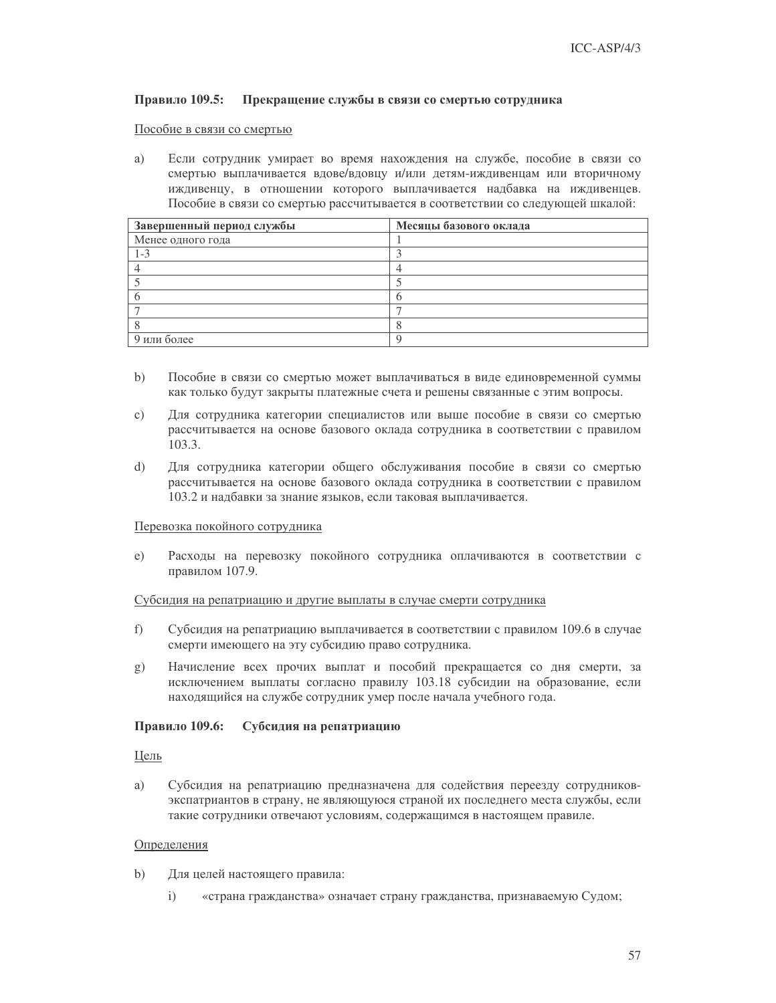#### Правило 109.5: Прекращение службы в связи со смертью сотрудника

### Пособие в связи со смертью

a) Если сотрудник умирает во время нахождения на службе, пособие в связи со смертью выплачивается вдове/вдовцу и/или детям-иждивенцам или вторичному иждивенцу, в отношении которого выплачивается надбавка на иждивенцев. Пособие в связи со смертью рассчитывается в соответствии со следующей шкалой:

| Завершенный период службы | Месяцы базового оклада |
|---------------------------|------------------------|
| Менее одного года         |                        |
| $1 - 3$                   |                        |
|                           |                        |
|                           |                        |
|                           |                        |
|                           |                        |
|                           |                        |
| 9 или более               |                        |

- $b)$ Пособие в связи со смертью может выплачиваться в виде единовременной суммы как только будут закрыты платежные счета и решены связанные с этим вопросы.
- $\mathbf{c}$ ) Для сотрудника категории специалистов или выше пособие в связи со смертью рассчитывается на основе базового оклада сотрудника в соответствии с правилом 103.3.
- $\mathbf{d}$ Для сотрудника категории общего обслуживания пособие в связи со смертью рассчитывается на основе базового оклада сотрудника в соответствии с правилом 103.2 и надбавки за знание языков, если таковая выплачивается.

#### Перевозка покойного сотрудника

Расходы на перевозку покойного сотрудника оплачиваются в соответствии с  $e)$ правилом 107.9.

#### Субсидия на репатриацию и другие выплаты в случае смерти сотрудника

- $f$ ) Субсидия на репатриацию выплачивается в соответствии с правилом 109.6 в случае смерти имеющего на эту субсидию право сотрудника.
- Начисление всех прочих выплат и пособий прекращается со дня смерти, за  $g)$ исключением выплаты согласно правилу 103.18 субсидии на образование, если находящийся на службе сотрудник умер после начала учебного года.

#### Правило 109.6: Субсидия на репатриацию

### Цель

a) Субсидия на репатриацию предназначена для содействия переезду сотрудниковэкспатриантов в страну, не являющуюся страной их последнего места службы, если такие сотрудники отвечают условиям, содержащимся в настоящем правиле.

#### Определения

- $b)$ Для целей настоящего правила:
	- $i)$ «страна гражданства» означает страну гражданства, признаваемую Судом;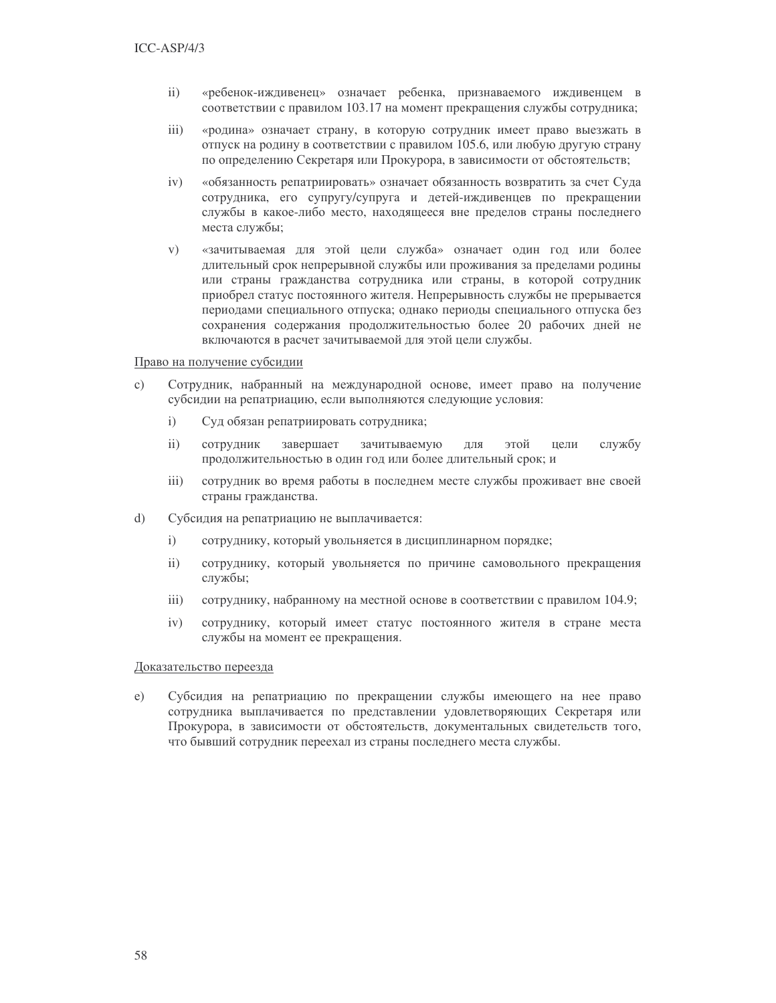- «ребенок-иждивенец» означает ребенка, признаваемого иждивенцем в  $ii)$ соответствии с правилом 103.17 на момент прекращения службы сотрудника;
- $\overline{iii}$ «родина» означает страну, в которую сотрудник имеет право выезжать в отпуск на родину в соответствии с правилом 105.6, или любую другую страну по определению Секретаря или Прокурора, в зависимости от обстоятельств;
- $iv)$ «обязанность репатриировать» означает обязанность возвратить за счет Суда сотрудника, его супругу/супруга и детей-иждивенцев по прекращении службы в какое-либо место, находящееся вне пределов страны последнего места службы;
- «зачитываемая для этой цели служба» означает один год или более  $V)$ длительный срок непрерывной службы или проживания за пределами родины или страны гражданства сотрудника или страны, в которой сотрудник приобрел статус постоянного жителя. Непрерывность службы не прерывается периодами специального отпуска; однако периоды специального отпуска без сохранения содержания продолжительностью более 20 рабочих дней не включаются в расчет зачитываемой для этой цели службы.

#### Право на получение субсидии

- $\mathbf{c}$ ) Сотрудник, набранный на международной основе, имеет право на получение субсидии на репатриацию, если выполняются следующие условия:
	- $\mathbf{i}$ Суд обязан репатриировать сотрудника;
	- $ii)$ сотрудник завершает зачитываемую ДЛЯ этой цели службу продолжительностью в один год или более длительный срок; и
	- $iii)$ сотрудник во время работы в последнем месте службы проживает вне своей страны гражданства.
- $\mathrm{d}$ Субсидия на репатриацию не выплачивается:
	- $i)$ сотруднику, который увольняется в дисциплинарном порядке;
	- $\mathbf{ii}$ сотруднику, который увольняется по причине самовольного прекращения службы;
	- сотруднику, набранному на местной основе в соответствии с правилом 104.9;  $iii)$
	- $iv)$ сотруднику, который имеет статус постоянного жителя в стране места службы на момент ее прекращения.

#### Доказательство переезда

Субсидия на репатриацию по прекращении службы имеющего на нее право  $e)$ сотрудника выплачивается по представлении удовлетворяющих Секретаря или Прокурора, в зависимости от обстоятельств, документальных свидетельств того, что бывший сотрудник переехал из страны последнего места службы.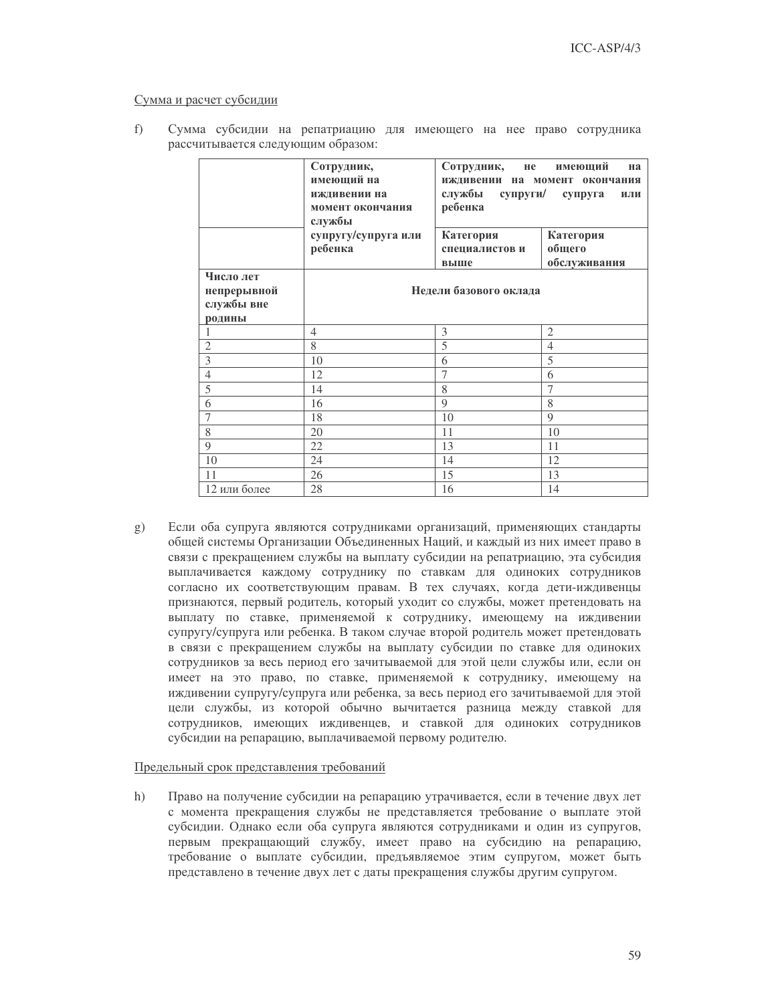#### Сумма и расчет субсидии

|  |  | Сумма субсидии на репатриацию для имеющего на нее право сотрудника |  |  |  |
|--|--|--------------------------------------------------------------------|--|--|--|
|  |  | рассчитывается следующим образом:                                  |  |  |  |

|                                                  | Сотрудник,<br>имеющий на<br>иждивении на<br>момент окончания<br>службы | Сотрудник, не имеющий<br>иждивении на момент окончания<br>службы супруги/<br>супруга<br>ребенка |                     |  |  |  |  |
|--------------------------------------------------|------------------------------------------------------------------------|-------------------------------------------------------------------------------------------------|---------------------|--|--|--|--|
|                                                  | супругу/супруга или<br>ребенка                                         | Категория<br>специалистов и                                                                     | Категория<br>общего |  |  |  |  |
|                                                  |                                                                        | выше                                                                                            | обслуживания        |  |  |  |  |
| Число лет<br>непрерывной<br>службы вне<br>родины |                                                                        | Недели базового оклада                                                                          |                     |  |  |  |  |
|                                                  | $\overline{4}$                                                         | 3                                                                                               | $\overline{2}$      |  |  |  |  |
| $\overline{2}$                                   | 8                                                                      | 5                                                                                               | $\overline{4}$      |  |  |  |  |
| $\overline{3}$                                   | 10                                                                     | 6                                                                                               | 5                   |  |  |  |  |
| $\overline{4}$                                   | 12                                                                     | $\overline{7}$                                                                                  | 6                   |  |  |  |  |
| 5                                                | 14                                                                     | 8                                                                                               | $\overline{7}$      |  |  |  |  |
| 6                                                | 16                                                                     | $\mathbf Q$                                                                                     | 8                   |  |  |  |  |
| $\overline{7}$                                   | 18                                                                     | 10                                                                                              | 9                   |  |  |  |  |
| 8                                                | 20                                                                     | 11                                                                                              | 10                  |  |  |  |  |
| 9                                                | 22                                                                     | 13                                                                                              | 11                  |  |  |  |  |
| 10                                               | 24                                                                     | 14                                                                                              | 12                  |  |  |  |  |
| 11                                               | 26                                                                     | 15                                                                                              | 13                  |  |  |  |  |
| 12 или более                                     | 28                                                                     | 16                                                                                              | 14                  |  |  |  |  |

Если оба супруга являются сотрудниками организаций, применяющих стандарты  $(g)$ общей системы Организации Объединенных Наций, и каждый из них имеет право в связи с прекращением службы на выплату субсидии на репатриацию, эта субсидия выплачивается каждому сотруднику по ставкам для одиноких сотрудников согласно их соответствующим правам. В тех случаях, когда дети-иждивенцы признаются, первый родитель, который уходит со службы, может претендовать на выплату по ставке, применяемой к сотруднику, имеющему на иждивении супругу/супруга или ребенка. В таком случае второй родитель может претендовать в связи с прекращением службы на выплату субсидии по ставке для одиноких сотрудников за весь период его зачитываемой для этой цели службы или, если он имеет на это право, по ставке, применяемой к сотруднику, имеющему на иждивении супругу/супруга или ребенка, за весь период его зачитываемой для этой цели службы, из которой обычно вычитается разница между ставкой для сотрудников, имеющих иждивенцев, и ставкой для одиноких сотрудников субсидии на репарацию, выплачиваемой первому родителю.

#### Предельный срок представления требований

Право на получение субсидии на репарацию утрачивается, если в течение двух лет  $h)$ с момента прекращения службы не представляется требование о выплате этой субсидии. Однако если оба супруга являются сотрудниками и один из супругов, первым прекращающий службу, имеет право на субсидию на репарацию, требование о выплате субсидии, предъявляемое этим супругом, может быть представлено в течение двух лет с даты прекращения службы другим супругом.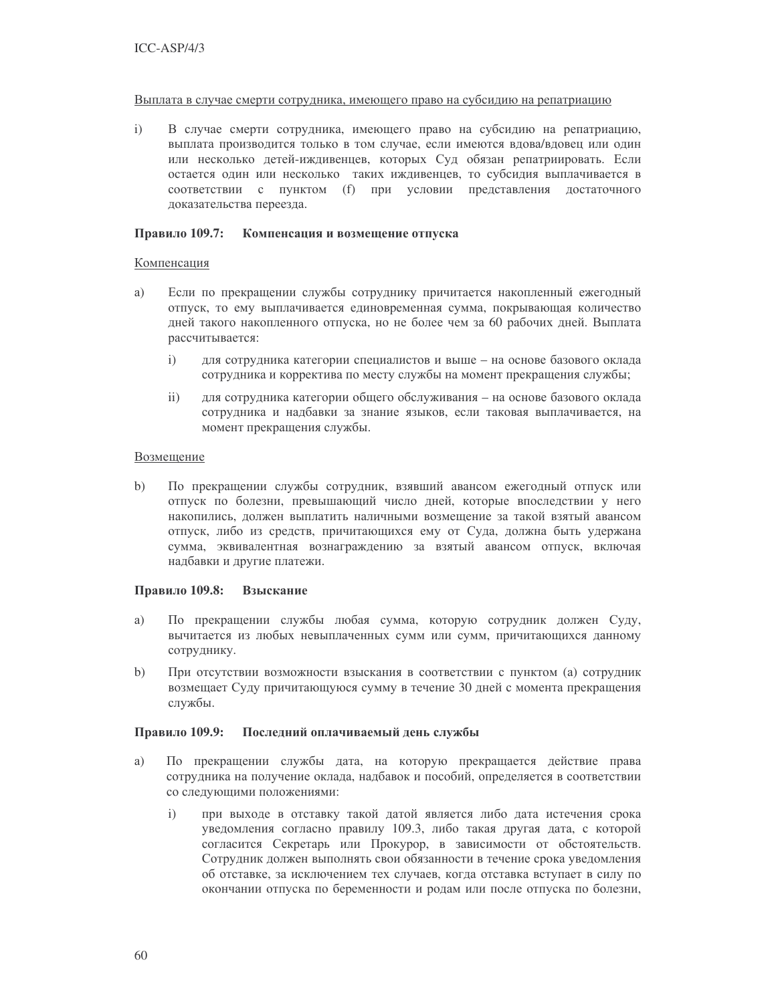#### Выплата в случае смерти сотрудника, имеющего право на субсидию на репатриацию

 $i)$ В случае смерти сотрудника, имеющего право на субсидию на репатриацию, выплата производится только в том случае, если имеются вдова/вдовец или один или несколько детей-иждивенцев, которых Суд обязан репатриировать. Если остается один или несколько таких иждивенцев, то субсидия выплачивается в соответствии с пунктом (f) при условии представления достаточного доказательства переезда.

#### Правило 109.7: Компенсация и возмещение отпуска

#### Компенсация

- Если по прекращении службы сотруднику причитается накопленный ежегодный a) отпуск, то ему выплачивается единовременная сумма, покрывающая количество дней такого накопленного отпуска, но не более чем за 60 рабочих дней. Выплата рассчитывается:
	- $\mathbf{i}$ для сотрудника категории специалистов и выше - на основе базового оклада сотрудника и корректива по месту службы на момент прекращения службы;
	- $\overline{ii}$ для сотрудника категории общего обслуживания - на основе базового оклада сотрудника и надбавки за знание языков, если таковая выплачивается, на момент прекращения службы.

#### Возмещение

 $b)$ По прекращении службы сотрудник, взявший авансом ежегодный отпуск или отпуск по болезни, превышающий число дней, которые впоследствии у него накопились, должен выплатить наличными возмещение за такой взятый авансом отпуск, либо из средств, причитающихся ему от Суда, должна быть удержана сумма, эквивалентная вознаграждению за взятый авансом отпуск, включая надбавки и другие платежи.

#### Правило 109.8: Взыскание

- По прекращении службы любая сумма, которую сотрудник должен Суду, a) вычитается из любых невыплаченных сумм или сумм, причитающихся данному сотруднику.
- $b)$ При отсутствии возможности взыскания в соответствии с пунктом (а) сотрудник возмещает Суду причитающуюся сумму в течение 30 дней с момента прекращения службы.

#### Правило 109.9: Последний оплачиваемый день службы

- По прекращении службы дата, на которую прекращается действие права a) сотрудника на получение оклада, надбавок и пособий, определяется в соответствии со следующими положениями:
	- при выходе в отставку такой датой является либо дата истечения срока  $i)$ уведомления согласно правилу 109.3, либо такая другая дата, с которой согласится Секретарь или Прокурор, в зависимости от обстоятельств. Сотрудник должен выполнять свои обязанности в течение срока уведомления об отставке, за исключением тех случаев, когда отставка вступает в силу по окончании отпуска по беременности и родам или после отпуска по болезни,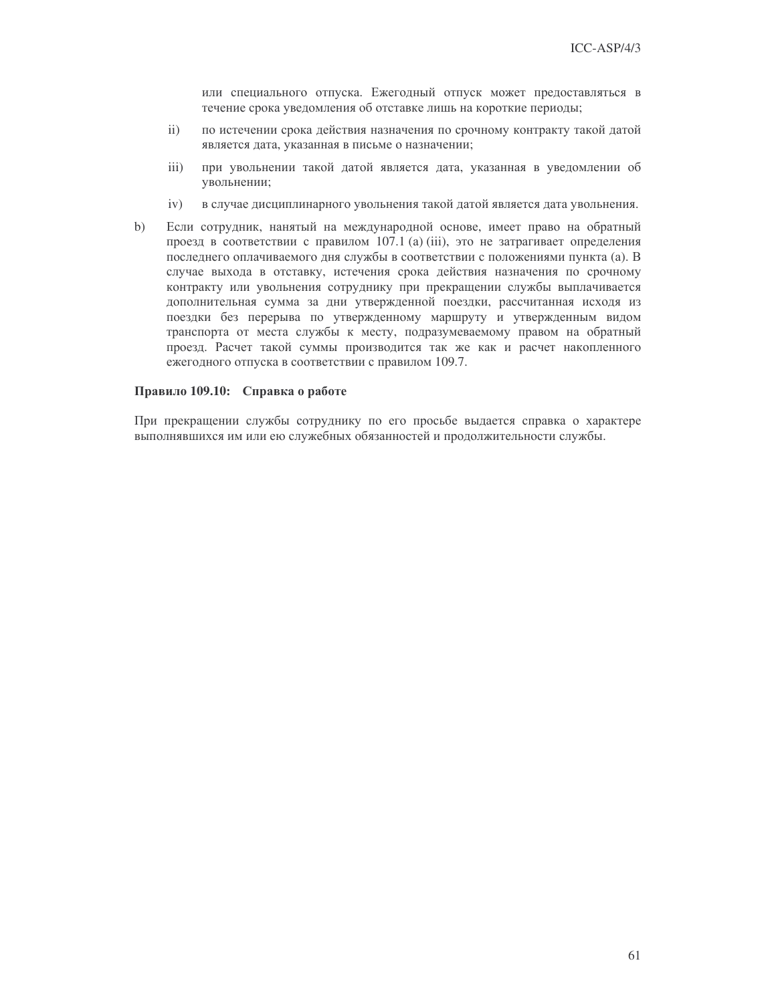или специального отпуска. Ежегодный отпуск может предоставляться в течение срока уведомления об отставке лишь на короткие периоды;

- по истечении срока действия назначения по срочному контракту такой датой  $\mathbf{ii}$ является дата, указанная в письме о назначении;
- $iii)$ при увольнении такой датой является дата, указанная в уведомлении об увольнении;
- $iv)$ в случае дисциплинарного увольнения такой датой является дата увольнения.
- $b)$ Если сотрудник, нанятый на международной основе, имеет право на обратный проезд в соответствии с правилом 107.1 (a) (iii), это не затрагивает определения последнего оплачиваемого дня службы в соответствии с положениями пункта (а). В случае выхода в отставку, истечения срока действия назначения по срочному контракту или увольнения сотруднику при прекращении службы выплачивается дополнительная сумма за дни утвержденной поездки, рассчитанная исходя из поездки без перерыва по утвержденному маршруту и утвержденным видом транспорта от места службы к месту, подразумеваемому правом на обратный проезд. Расчет такой суммы производится так же как и расчет накопленного ежегодного отпуска в соответствии с правилом 109.7.

#### Правило 109.10: Справка о работе

При прекращении службы сотруднику по его просьбе выдается справка о характере выполнявшихся им или ею служебных обязанностей и продолжительности службы.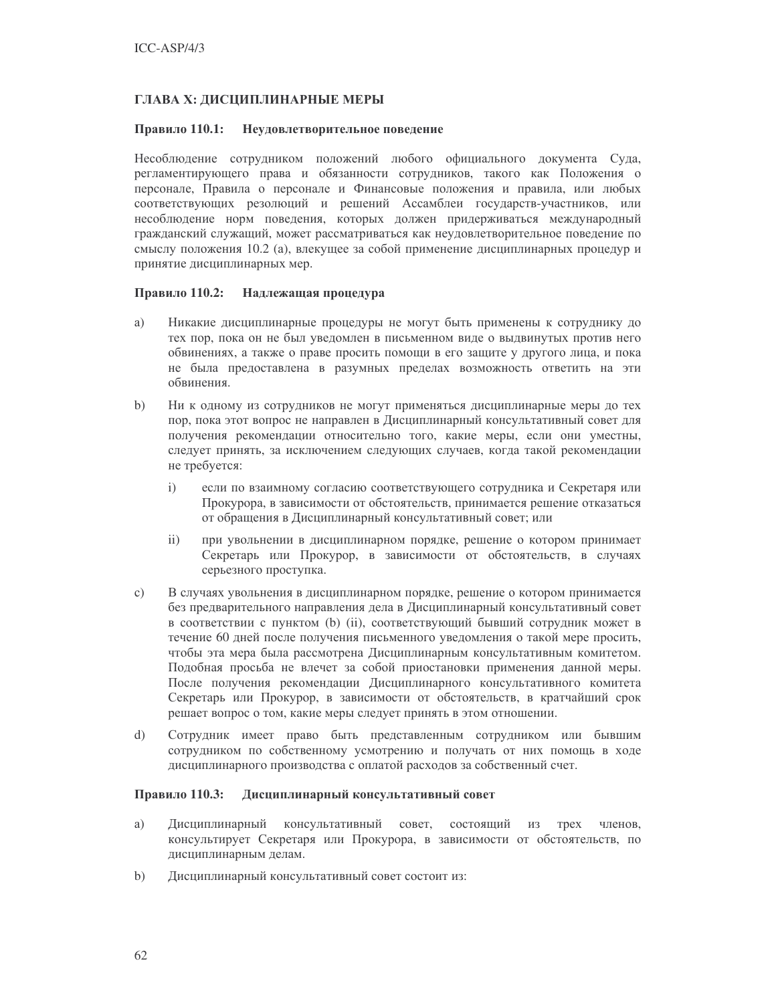### ГЛАВА Х: ДИСЦИПЛИНАРНЫЕ МЕРЫ

#### Правило 110.1: Неудовлетворительное поведение

Несоблюдение сотрудником положений любого официального документа Суда, регламентирующего права и обязанности сотрудников, такого как Положения о персонале, Правила о персонале и Финансовые положения и правила, или любых соответствующих резолюций и решений Ассамблеи государств-участников, или несоблюдение норм поведения, которых должен придерживаться международный гражданский служащий, может рассматриваться как неудовлетворительное поведение по смыслу положения 10.2 (а), влекущее за собой применение дисциплинарных процедур и принятие дисциплинарных мер.

#### Правило 110.2: Надлежащая процедура

- a) Никакие дисциплинарные процедуры не могут быть применены к сотруднику до тех пор, пока он не был уведомлен в письменном виде о выдвинутых против него обвинениях, а также о праве просить помощи в его защите у другого лица, и пока не была предоставлена в разумных пределах возможность ответить на эти обвинения.
- Ни к одному из сотрудников не могут применяться дисциплинарные меры до тех  $b)$ пор, пока этот вопрос не направлен в Дисциплинарный консультативный совет для получения рекомендации относительно того, какие меры, если они уместны, следует принять, за исключением следующих случаев, когда такой рекомендации не требуется:
	- $\mathbf{i}$ если по взаимному согласию соответствующего сотрудника и Секретаря или Прокурора, в зависимости от обстоятельств, принимается решение отказаться от обращения в Дисциплинарный консультативный совет; или
	- $\mathbf{ii}$ при увольнении в дисциплинарном порядке, решение о котором принимает Секретарь или Прокурор, в зависимости от обстоятельств, в случаях серьезного проступка.
- В случаях увольнения в дисциплинарном порядке, решение о котором принимается  $c)$ без предварительного направления дела в Дисциплинарный консультативный совет в соответствии с пунктом (b) (ii), соответствующий бывший сотрудник может в течение 60 дней после получения письменного уведомления о такой мере просить, чтобы эта мера была рассмотрена Дисциплинарным консультативным комитетом. Подобная просьба не влечет за собой приостановки применения данной меры. После получения рекомендации Дисциплинарного консультативного комитета Секретарь или Прокурор, в зависимости от обстоятельств, в кратчайший срок решает вопрос о том, какие меры следует принять в этом отношении.
- Сотрудник имеет право быть представленным сотрудником или бывшим  $\mathbf{d}$ сотрудником по собственному усмотрению и получать от них помощь в ходе дисциплинарного производства с оплатой расходов за собственный счет.

#### Правило 110.3: Дисциплинарный консультативный совет

- Дисциплинарный консультативный совет, состоящий из трех членов, a) консультирует Секретаря или Прокурора, в зависимости от обстоятельств, по дисциплинарным делам.
- $b)$ Дисциплинарный консультативный совет состоит из: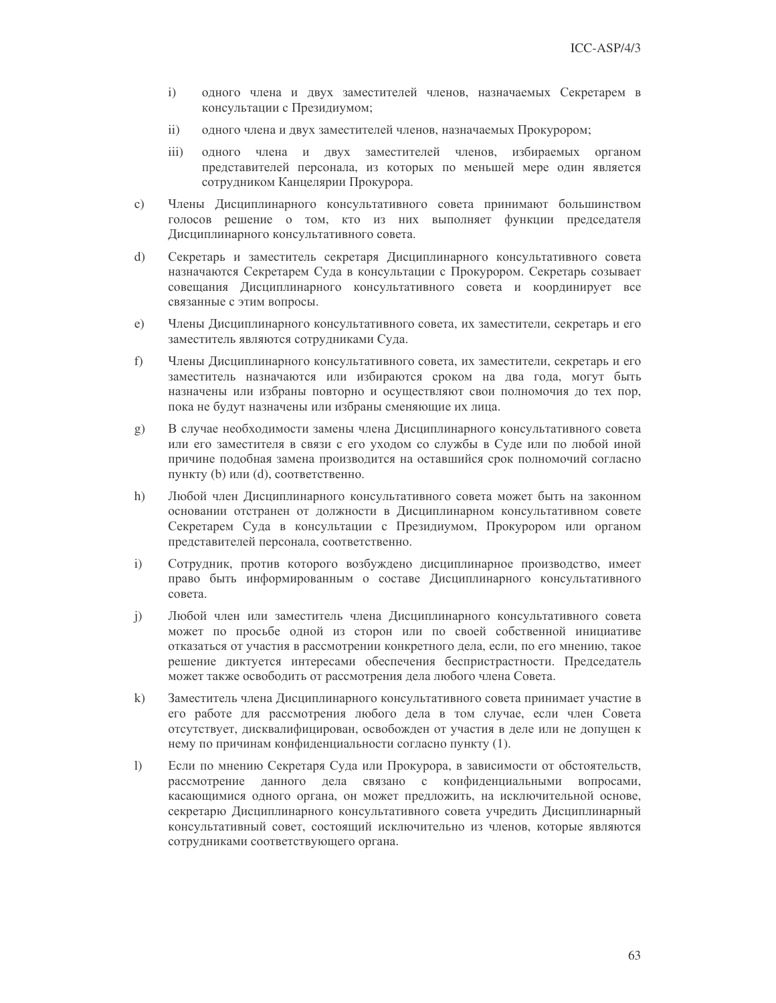- одного члена и двух заместителей членов, назначаемых Секретарем в  $i)$ консультации с Президиумом;
- одного члена и двух заместителей членов, назначаемых Прокурором;  $\mathbf{ii}$
- $\overline{\text{iii}}$ одного члена и двух заместителей членов, избираемых органом представителей персонала, из которых по меньшей мере один является сотрудником Канцелярии Прокурора.
- Члены Дисциплинарного консультативного совета принимают большинством  $\mathbf{c})$ голосов решение о том, кто из них выполняет функции председателя Дисциплинарного консультативного совета.
- Секретарь и заместитель секретаря Дисциплинарного консультативного совета  $\mathrm{d}$ назначаются Секретарем Суда в консультации с Прокурором. Секретарь созывает совещания Дисциплинарного консультативного совета и координирует все связанные с этим вопросы.
- $e)$ Члены Дисциплинарного консультативного совета, их заместители, секретарь и его заместитель являются сотрудниками Суда.
- $f$ ) Члены Дисциплинарного консультативного совета, их заместители, секретарь и его заместитель назначаются или избираются сроком на два года, могут быть назначены или избраны повторно и осуществляют свои полномочия до тех пор, пока не будут назначены или избраны сменяющие их лица.
- В случае необходимости замены члена Дисциплинарного консультативного совета  $(g)$ или его заместителя в связи с его уходом со службы в Суде или по любой иной причине подобная замена производится на оставшийся срок полномочий согласно пункту (b) или (d), соответственно.
- $h)$ Любой член Дисциплинарного консультативного совета может быть на законном основании отстранен от должности в Дисциплинарном консультативном совете Секретарем Суда в консультации с Президиумом, Прокурором или органом представителей персонала, соответственно.
- Сотрудник, против которого возбуждено дисциплинарное производство, имеет  $i)$ право быть информированным о составе Дисциплинарного консультативного совета.
- Любой член или заместитель члена Дисциплинарного консультативного совета  $\mathbf{i}$ может по просьбе одной из сторон или по своей собственной инициативе отказаться от участия в рассмотрении конкретного дела, если, по его мнению, такое решение диктуется интересами обеспечения беспристрастности. Председатель может также освободить от рассмотрения дела любого члена Совета.
- $k)$ Заместитель члена Дисциплинарного консультативного совета принимает участие в его работе для рассмотрения любого дела в том случае, если член Совета отсутствует, дисквалифицирован, освобожден от участия в деле или не допущен к нему по причинам конфиденциальности согласно пункту (1).
- $\mathbf{D}$ Если по мнению Секретаря Суда или Прокурора, в зависимости от обстоятельств, рассмотрение данного дела связано с конфиденциальными вопросами, касающимися одного органа, он может предложить, на исключительной основе, секретарю Дисциплинарного консультативного совета учредить Дисциплинарный консультативный совет, состоящий исключительно из членов, которые являются сотрудниками соответствующего органа.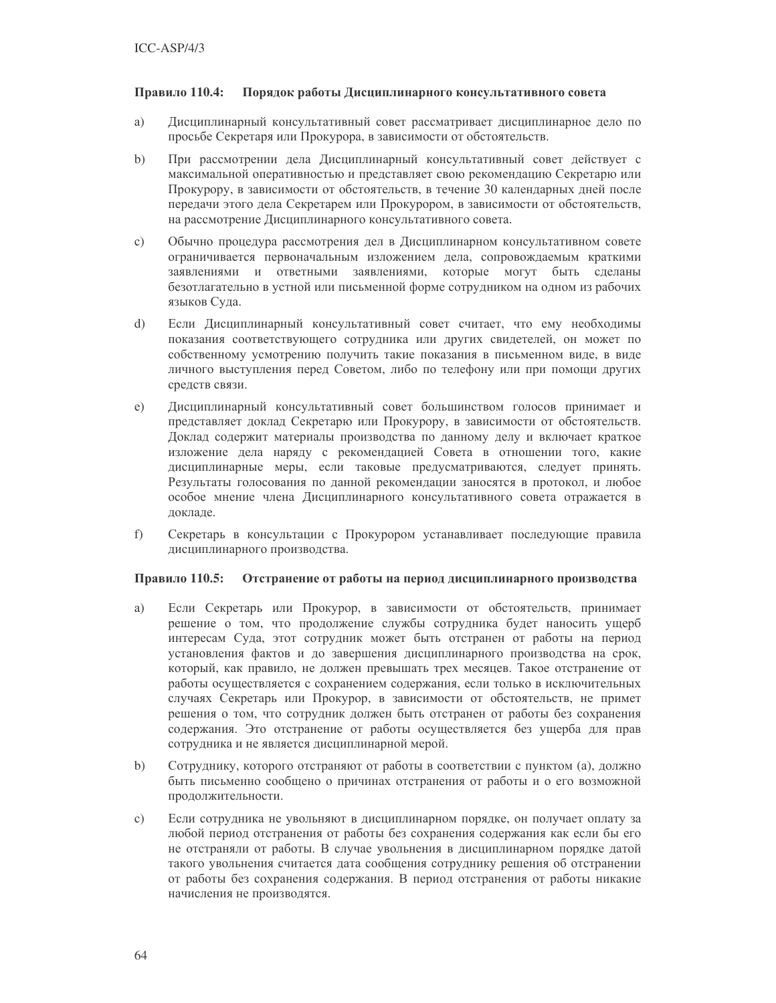#### Правило 110.4: Порядок работы Дисциплинарного консультативного совета

- Дисциплинарный консультативный совет рассматривает дисциплинарное дело по a) просьбе Секретаря или Прокурора, в зависимости от обстоятельств.
- $b)$ При рассмотрении дела Дисциплинарный консультативный совет действует с максимальной оперативностью и представляет свою рекомендацию Секретарю или Прокурору, в зависимости от обстоятельств, в течение 30 календарных дней после передачи этого дела Секретарем или Прокурором, в зависимости от обстоятельств, на рассмотрение Дисциплинарного консультативного совета.
- $c)$ Обычно процедура рассмотрения дел в Дисциплинарном консультативном совете ограничивается первоначальным изложением дела, сопровождаемым краткими заявлениями и ответными заявлениями, которые могут быть сделаны безотлагательно в устной или письменной форме сотрудником на одном из рабочих языков Суда.
- $\mathrm{d}$ Если Дисциплинарный консультативный совет считает, что ему необходимы показания соответствующего сотрудника или других свидетелей, он может по собственному усмотрению получить такие показания в письменном виде, в виде личного выступления перед Советом, либо по телефону или при помощи других средств связи.
- Дисциплинарный консультативный совет большинством голосов принимает и  $e)$ представляет доклад Секретарю или Прокурору, в зависимости от обстоятельств. Доклад содержит материалы производства по данному делу и включает краткое изложение дела наряду с рекомендацией Совета в отношении того, какие дисциплинарные меры, если таковые предусматриваются, следует принять. Результаты голосования по данной рекомендации заносятся в протокол, и любое особое мнение члена Дисциплинарного консультативного совета отражается в докладе.
- f) Секретарь в консультации с Прокурором устанавливает последующие правила дисциплинарного производства.

#### Правило 110.5: Отстранение от работы на период дисциплинарного производства

- Если Секретарь или Прокурор, в зависимости от обстоятельств, принимает a) решение о том, что продолжение службы сотрудника будет наносить ущерб интересам Суда, этот сотрудник может быть отстранен от работы на период установления фактов и до завершения дисциплинарного производства на срок, который, как правило, не должен превышать трех месяцев. Такое отстранение от работы осуществляется с сохранением содержания, если только в исключительных случаях Секретарь или Прокурор, в зависимости от обстоятельств, не примет решения о том, что сотрудник должен быть отстранен от работы без сохранения содержания. Это отстранение от работы осуществляется без ущерба для прав сотрудника и не является дисциплинарной мерой.
- $b)$ Сотруднику, которого отстраняют от работы в соответствии с пунктом (а), должно быть письменно сообщено о причинах отстранения от работы и о его возможной продолжительности.
- $\mathbf{c}$ ) Если сотрудника не увольняют в дисциплинарном порядке, он получает оплату за любой период отстранения от работы без сохранения содержания как если бы его не отстраняли от работы. В случае увольнения в дисциплинарном порядке датой такого увольнения считается дата сообщения сотруднику решения об отстранении от работы без сохранения содержания. В период отстранения от работы никакие начисления не производятся.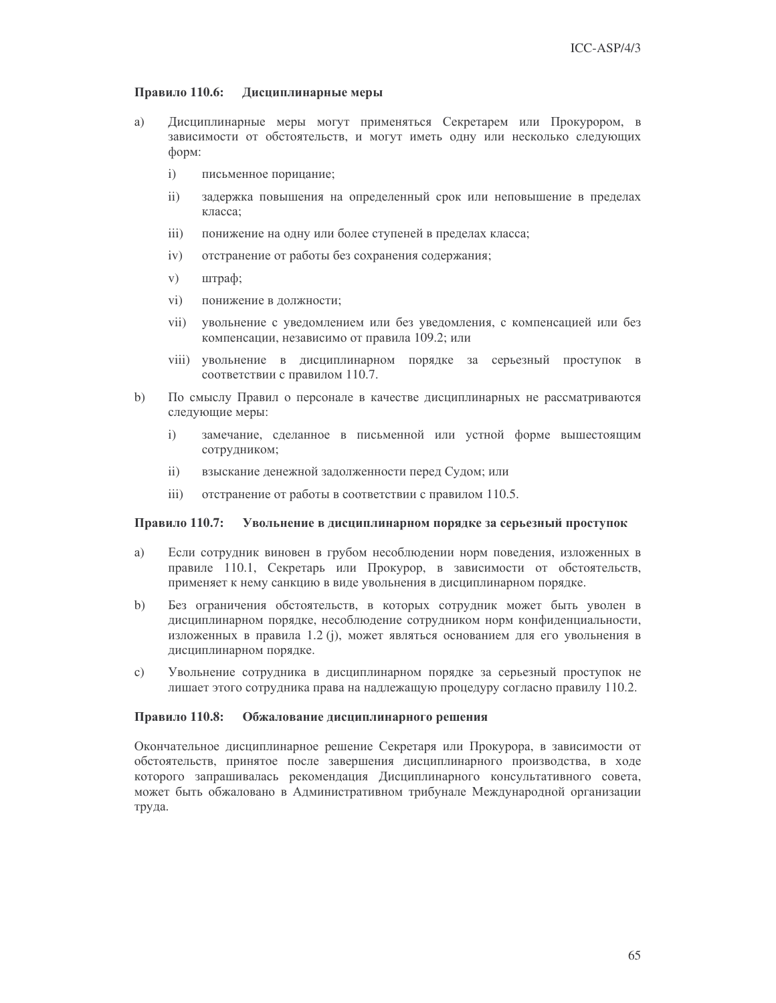#### Правило 110.6: Дисциплинарные меры

- Дисциплинарные меры могут применяться Секретарем или Прокурором, в a) зависимости от обстоятельств, и могут иметь одну или несколько следующих форм:
	- $i)$ письменное порицание;
	- $\mathbf{ii}$ задержка повышения на определенный срок или неповышение в пределах класса:
	- $iii)$ понижение на одну или более ступеней в пределах класса;
	- $iv)$ отстранение от работы без сохранения содержания;
	- $V)$ штраф;
	- $\rm vi)$ понижение в должности;
	- $vii)$ увольнение с уведомлением или без уведомления, с компенсацией или без компенсации, независимо от правила 109.2; или
	- viii) увольнение в дисциплинарном порядке за серьезный проступок в соответствии с правилом 110.7.
- $b)$ По смыслу Правил о персонале в качестве дисциплинарных не рассматриваются следующие меры:
	- $\mathbf{i}$ замечание, сделанное в письменной или устной форме вышестоящим сотрудником;
	- $\mathbf{ii}$ взыскание денежной задолженности перед Судом; или
	- $\overline{111}$ отстранение от работы в соответствии с правилом 110.5.

#### Правило 110.7: Увольнение в дисциплинарном порядке за серьезный проступок

- a) Если сотрудник виновен в грубом несоблюдении норм поведения, изложенных в правиле 110.1, Секретарь или Прокурор, в зависимости от обстоятельств, применяет к нему санкцию в виде увольнения в дисциплинарном порядке.
- Без ограничения обстоятельств, в которых сотрудник может быть уволен в  $b)$ дисциплинарном порядке, несоблюдение сотрудником норм конфиденциальности, изложенных в правила 1.2 (j), может являться основанием для его увольнения в дисциплинарном порядке.
- Увольнение сотрудника в дисциплинарном порядке за серьезный проступок не  $\mathbf{c}$ ) лишает этого сотрудника права на надлежащую процедуру согласно правилу 110.2.

#### Правило 110.8: Обжалование дисциплинарного решения

Окончательное дисциплинарное решение Секретаря или Прокурора, в зависимости от обстоятельств, принятое после завершения дисциплинарного производства, в ходе которого запрашивалась рекомендация Дисциплинарного консультативного совета, может быть обжаловано в Административном трибунале Международной организации труда.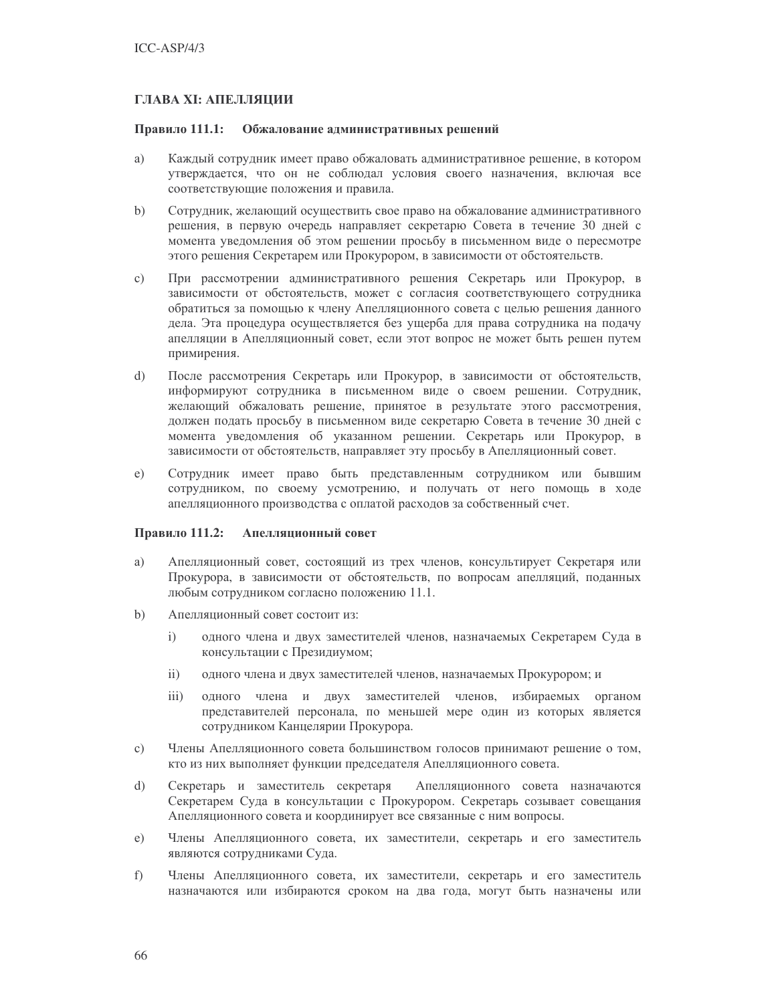### ГЛАВА XI: АПЕЛЛЯЦИИ

#### Правило 111.1: Обжалование административных решений

- a) Каждый сотрудник имеет право обжаловать административное решение, в котором утверждается, что он не соблюдал условия своего назначения, включая все соответствующие положения и правила.
- $b)$ Сотрудник, желающий осуществить свое право на обжалование административного решения, в первую очередь направляет секретарю Совета в течение 30 дней с момента уведомления об этом решении просьбу в письменном виде о пересмотре этого решения Секретарем или Прокурором, в зависимости от обстоятельств.
- При рассмотрении административного решения Секретарь или Прокурор, в  $\mathbf{c})$ зависимости от обстоятельств, может с согласия соответствующего сотрудника обратиться за помощью к члену Апелляционного совета с целью решения данного дела. Эта процедура осуществляется без ущерба для права сотрудника на подачу апелляции в Апелляционный совет, если этот вопрос не может быть решен путем примирения.
- $\overline{d}$ После рассмотрения Секретарь или Прокурор, в зависимости от обстоятельств, информируют сотрудника в письменном виде о своем решении. Сотрудник, желающий обжаловать решение, принятое в результате этого рассмотрения, должен подать просьбу в письменном виде секретарю Совета в течение 30 дней с момента уведомления об указанном решении. Секретарь или Прокурор, в зависимости от обстоятельств, направляет эту просьбу в Апелляционный совет.
- Сотрудник имеет право быть представленным сотрудником или бывшим  $e)$ сотрудником, по своему усмотрению, и получать от него помощь в ходе апелляционного производства с оплатой расходов за собственный счет.

#### Правило 111.2: Апеллянионный совет

- a) Апелляционный совет, состоящий из трех членов, консультирует Секретаря или Прокурора, в зависимости от обстоятельств, по вопросам апелляций, поданных любым сотрудником согласно положению 11.1.
- $b)$ Апелляционный совет состоит из:
	- одного члена и двух заместителей членов, назначаемых Секретарем Суда в  $\mathbf{i}$ консультации с Президиумом;
	- $\mathbf{ii}$ одного члена и двух заместителей членов, назначаемых Прокурором; и
	- iii) одного члена и двух заместителей членов, избираемых органом представителей персонала, по меньшей мере один из которых является сотрудником Канцелярии Прокурора.
- Члены Апелляционного совета большинством голосов принимают решение о том,  $\mathbf{c})$ кто из них выполняет функции председателя Апелляционного совета.
- $\overline{d}$ Апелляционного совета назначаются Секретарь и заместитель секретаря Секретарем Суда в консультации с Прокурором. Секретарь созывает совещания Апелляционного совета и координирует все связанные с ним вопросы.
- Члены Апелляционного совета, их заместители, секретарь и его заместитель  $e)$ являются сотрудниками Суда.
- $f$ ) Члены Апелляционного совета, их заместители, секретарь и его заместитель назначаются или избираются сроком на два года, могут быть назначены или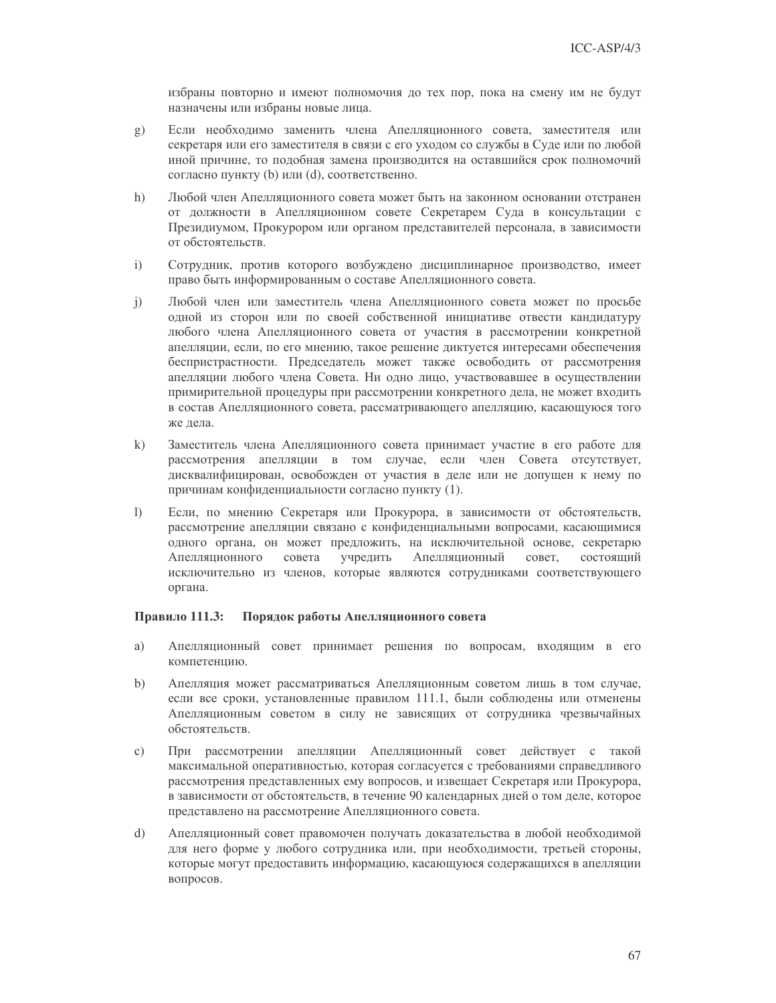избраны повторно и имеют полномочия до тех пор, пока на смену им не будут назначены или избраны новые лица.

- Если необходимо заменить члена Апелляционного совета, заместителя или  $g$ ) секретаря или его заместителя в связи с его уходом со службы в Суде или по любой иной причине, то подобная замена производится на оставшийся срок полномочий согласно пункту (b) или (d), соответственно.
- $h)$ Любой член Апелляционного совета может быть на законном основании отстранен от должности в Апелляционном совете Секретарем Суда в консультации с Президиумом, Прокурором или органом представителей персонала, в зависимости от обстоятельств.
- Сотрудник, против которого возбуждено дисциплинарное производство, имеет  $i)$ право быть информированным о составе Апелляционного совета.
- Любой член или заместитель члена Апелляционного совета может по просьбе  $\mathbf{j}$ ) одной из сторон или по своей собственной инициативе отвести кандидатуру любого члена Апелляционного совета от участия в рассмотрении конкретной апелляции, если, по его мнению, такое решение диктуется интересами обеспечения беспристрастности. Председатель может также освободить от рассмотрения апелляции любого члена Совета. Ни одно лицо, участвовавшее в осуществлении примирительной процедуры при рассмотрении конкретного дела, не может входить в состав Апелляционного совета, рассматривающего апелляцию, касающуюся того же лела.
- $k)$ Заместитель члена Апелляционного совета принимает участие в его работе для рассмотрения апелляции в том случае, если член Совета отсутствует, дисквалифицирован, освобожден от участия в деле или не допущен к нему по причинам конфиденциальности согласно пункту (1).
- $\mathbf{D}$ Если, по мнению Секретаря или Прокурора, в зависимости от обстоятельств, рассмотрение апелляции связано с конфиденциальными вопросами, касающимися одного органа, он может предложить, на исключительной основе, секретарю учредить Апелляционный Апелляционного совета совет, состоящий исключительно из членов, которые являются сотрудниками соответствующего органа.

#### Правило 111.3: Порядок работы Апелляционного совета

- Апелляционный совет принимает решения по вопросам, входящим в его a) компетенцию.
- $b)$ Апелляция может рассматриваться Апелляционным советом лишь в том случае, если все сроки, установленные правилом 111.1, были соблюдены или отменены Апелляционным советом в силу не зависящих от сотрудника чрезвычайных обстоятельств.
- При рассмотрении апелляции Апелляционный совет действует с такой  $c)$ максимальной оперативностью, которая согласуется с требованиями справедливого рассмотрения представленных ему вопросов, и извещает Секретаря или Прокурора, в зависимости от обстоятельств, в течение 90 календарных дней о том деле, которое представлено на рассмотрение Апелляционного совета.
- $\mathbf{d}$ Апелляционный совет правомочен получать доказательства в любой необходимой для него форме у любого сотрудника или, при необходимости, третьей стороны, которые могут предоставить информацию, касающуюся содержащихся в апелляции вопросов.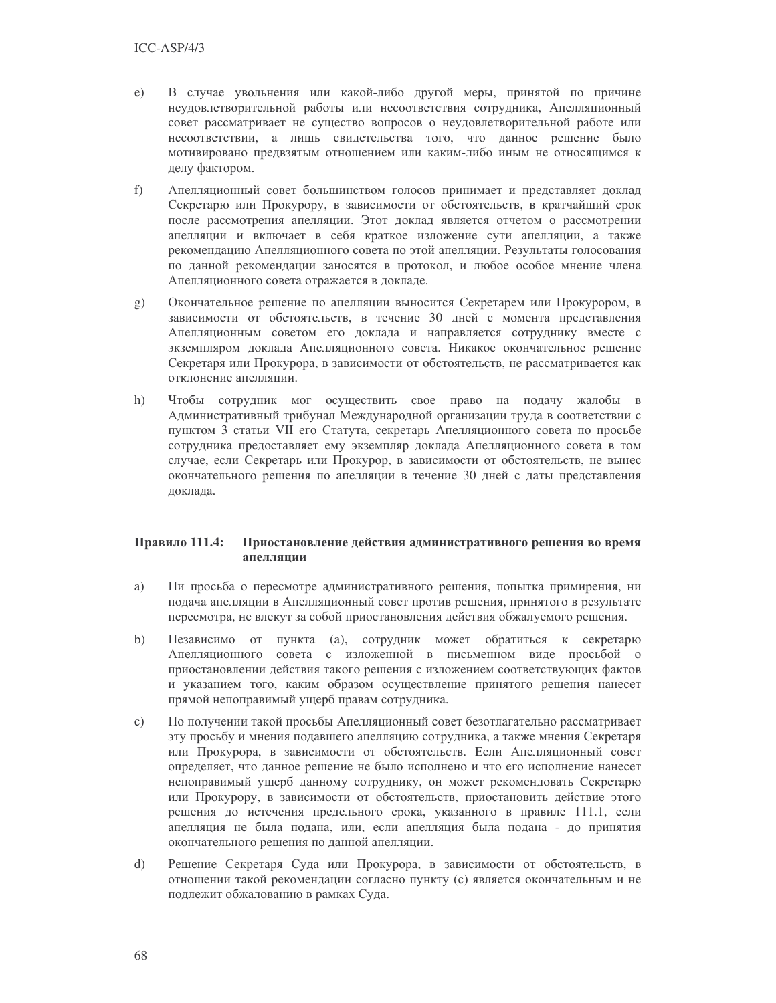- В случае увольнения или какой-либо другой меры, принятой по причине  $e)$ неудовлетворительной работы или несоответствия сотрудника, Апелляционный совет рассматривает не существо вопросов о неудовлетворительной работе или несоответствии, а лишь свидетельства того, что данное решение было мотивировано предвзятым отношением или каким-либо иным не относящимся к делу фактором.
- $f$ ) Апелляционный совет большинством голосов принимает и представляет доклад Секретарю или Прокурору, в зависимости от обстоятельств, в кратчайший срок после рассмотрения апелляции. Этот доклад является отчетом о рассмотрении апелляции и включает в себя краткое изложение сути апелляции, а также рекомендацию Апелляционного совета по этой апелляции. Результаты голосования по данной рекомендации заносятся в протокол, и любое особое мнение члена Апелляционного совета отражается в докладе.
- Окончательное решение по апелляции выносится Секретарем или Прокурором, в  $(g)$ зависимости от обстоятельств, в течение 30 дней с момента представления Апелляционным советом его доклада и направляется сотруднику вместе с экземпляром доклада Апелляционного совета. Никакое окончательное решение Секретаря или Прокурора, в зависимости от обстоятельств, не рассматривается как отклонение апелляции.
- Чтобы сотрудник мог осуществить свое право на подачу жалобы в  $h)$ Административный трибунал Международной организации труда в соответствии с пунктом 3 статьи VII его Статута, секретарь Апелляционного совета по просьбе сотрудника предоставляет ему экземпляр доклада Апелляционного совета в том случае, если Секретарь или Прокурор, в зависимости от обстоятельств, не вынес окончательного решения по апелляции в течение 30 дней с даты представления локлала.

#### Правило 111.4: Приостановление действия административного решения во время апелляции

- Ни просьба о пересмотре административного решения, попытка примирения, ни a) подача апелляции в Апелляционный совет против решения, принятого в результате пересмотра, не влекут за собой приостановления действия обжалуемого решения.
- $b)$ Независимо от пункта (а), сотрудник может обратиться к секретарю Апелляционного совета с изложенной в письменном виде просьбой о приостановлении действия такого решения с изложением соответствующих фактов и указанием того, каким образом осуществление принятого решения нанесет прямой непоправимый ущерб правам сотрудника.
- По получении такой просьбы Апелляционный совет безотлагательно рассматривает  $\mathbf{c}$ ) эту просьбу и мнения подавшего апелляцию сотрудника, а также мнения Секретаря или Прокурора, в зависимости от обстоятельств. Если Апелляционный совет определяет, что данное решение не было исполнено и что его исполнение нанесет непоправимый ущерб данному сотруднику, он может рекомендовать Секретарю или Прокурору, в зависимости от обстоятельств, приостановить действие этого решения до истечения предельного срока, указанного в правиле 111.1, если апелляция не была подана, или, если апелляция была подана - до принятия окончательного решения по данной апелляции.
- $\mathbf{d}$ Решение Секретаря Суда или Прокурора, в зависимости от обстоятельств, в отношении такой рекомендации согласно пункту (с) является окончательным и не подлежит обжалованию в рамках Суда.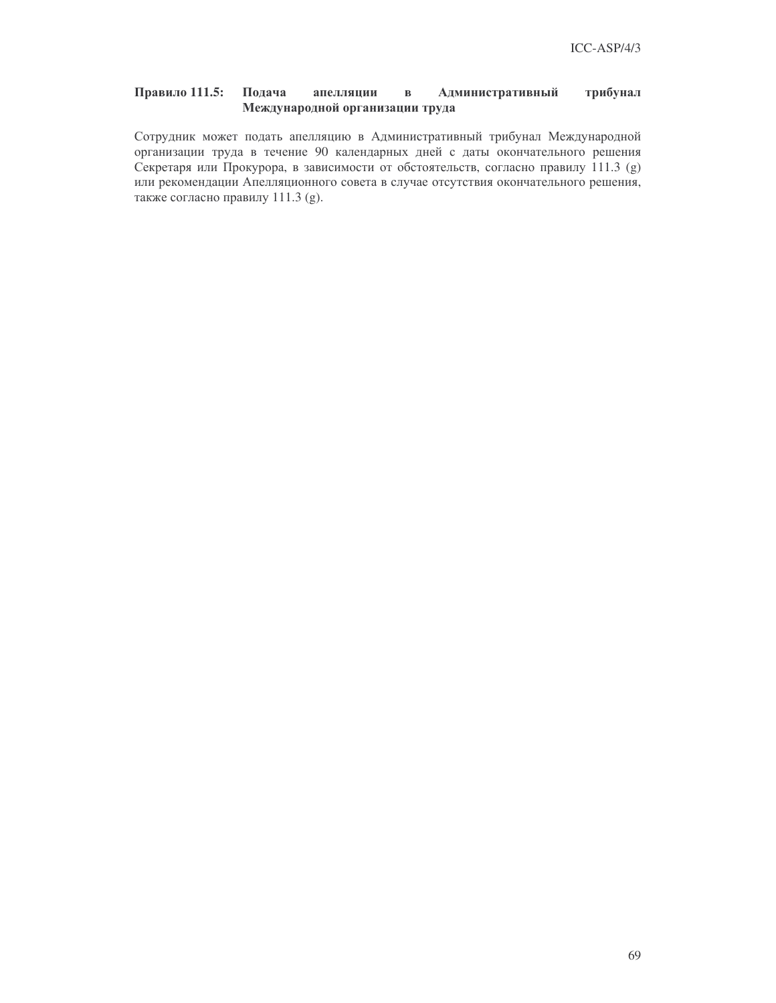#### Правило 111.5: Подача трибунал апелляции  $\, {\bf B}$ Административный Международной организации труда

Сотрудник может подать апелляцию в Административный трибунал Международной организации труда в течение 90 календарных дней с даты окончательного решения Секретаря или Прокурора, в зависимости от обстоятельств, согласно правилу 111.3 (g) или рекомендации Апелляционного совета в случае отсутствия окончательного решения, также согласно правилу 111.3 (g).